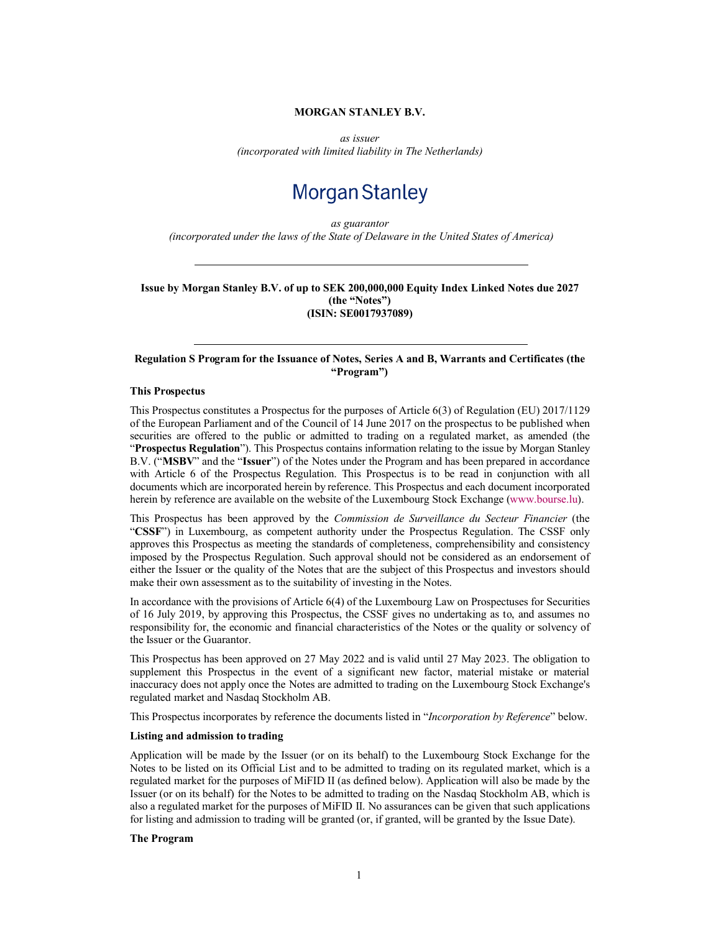## **MORGAN STANLEY B.V.**

*as issuer*

*(incorporated with limited liability in The Netherlands)*

# **Morgan Stanley**

*as guarantor (incorporated under the laws of the State of Delaware in the United States of America)*

**Issue by Morgan Stanley B.V. of up to SEK 200,000,000 Equity Index Linked Notes due 2027 (the "Notes") (ISIN: SE0017937089)**

## **Regulation S Program for the Issuance of Notes, Series A and B, Warrants and Certificates (the "Program")**

#### **This Prospectus**

This Prospectus constitutes a Prospectus for the purposes of Article 6(3) of Regulation (EU) 2017/1129 of the European Parliament and of the Council of 14 June 2017 on the prospectus to be published when securities are offered to the public or admitted to trading on a regulated market, as amended (the "**Prospectus Regulation**"). This Prospectus contains information relating to the issue by Morgan Stanley B.V. ("**MSBV**" and the "**Issuer**") of the Notes under the Program and has been prepared in accordance with Article 6 of the Prospectus Regulation. This Prospectus is to be read in c[onjunction with al](http://www.bourse.lu/)l documents which are incorporated herein by reference. This Prospectus and each document incorporated herein by reference are available on the website of the Luxembourg Stock Exchange (www.bourse.lu).

This Prospectus has been approved by the *Commission de Surveillance du Secteur Financier* (the "**CSSF**") in Luxembourg, as competent authority under the Prospectus Regulation. The CSSF only approves this Prospectus as meeting the standards of completeness, comprehensibility and consistency imposed by the Prospectus Regulation. Such approval should not be considered as an endorsement of either the Issuer or the quality of the Notes that are the subject of this Prospectus and investors should make their own assessment as to the suitability of investing in the Notes.

In accordance with the provisions of Article 6(4) of the Luxembourg Law on Prospectuses for Securities of 16 July 2019, by approving this Prospectus, the CSSF gives no undertaking as to, and assumes no responsibility for, the economic and financial characteristics of the Notes or the quality or solvency of the Issuer or the Guarantor.

This Prospectus has been approved on 27 May 2022 and is valid until 27 May 2023. The obligation to supplement this Prospectus in the event of a significant new factor, material mistake or material inaccuracy does not apply once the Notes are admitted to trading on the Luxembourg Stock Exchange's regulated market and Nasdaq Stockholm AB.

This Prospectus incorporates by reference the documents listed in "*Incorporation by Reference*" below.

#### **Listing and admission to trading**

Application will be made by the Issuer (or on its behalf) to the Luxembourg Stock Exchange for the Notes to be listed on its Official List and to be admitted to trading on its regulated market, which is a regulated market for the purposes of MiFID II (as defined below). Application will also be made by the Issuer (or on its behalf) for the Notes to be admitted to trading on the Nasdaq Stockholm AB, which is also a regulated market for the purposes of MiFID II. No assurances can be given that such applications for listing and admission to trading will be granted (or, if granted, will be granted by the Issue Date).

#### **The Program**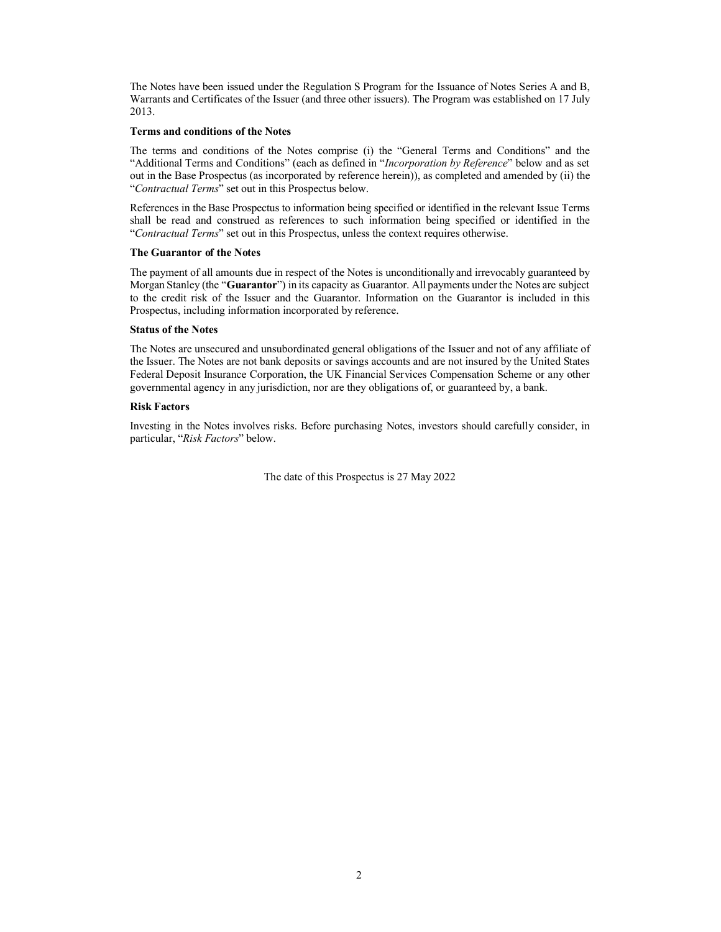The Notes have been issued under the Regulation S Program for the Issuance of Notes Series A and B, Warrants and Certificates of the Issuer (and three other issuers). The Program was established on 17 July 2013.

#### **Terms and conditions of the Notes**

The terms and conditions of the Notes comprise (i) the "General Terms and Conditions" and the "Additional Terms and Conditions" (each as defined in "*Incorporation by Reference*" below and as set out in the Base Prospectus (as incorporated by reference herein)), as completed and amended by (ii) the "*Contractual Terms*" set out in this Prospectus below.

References in the Base Prospectus to information being specified or identified in the relevant Issue Terms shall be read and construed as references to such information being specified or identified in the "*Contractual Terms*" set out in this Prospectus, unless the context requires otherwise.

#### **The Guarantor of the Notes**

The payment of all amounts due in respect of the Notes is unconditionally and irrevocably guaranteed by Morgan Stanley (the "**Guarantor**") in its capacity as Guarantor. All payments under the Notes are subject to the credit risk of the Issuer and the Guarantor. Information on the Guarantor is included in this Prospectus, including information incorporated by reference.

#### **Status of the Notes**

The Notes are unsecured and unsubordinated general obligations of the Issuer and not of any affiliate of the Issuer. The Notes are not bank deposits or savings accounts and are not insured by the United States Federal Deposit Insurance Corporation, the UK Financial Services Compensation Scheme or any other governmental agency in any jurisdiction, nor are they obligations of, or guaranteed by, a bank.

#### **Risk Factors**

Investing in the Notes involves risks. Before purchasing Notes, investors should carefully consider, in particular, "*Risk Factors*" below.

The date of this Prospectus is 27 May 2022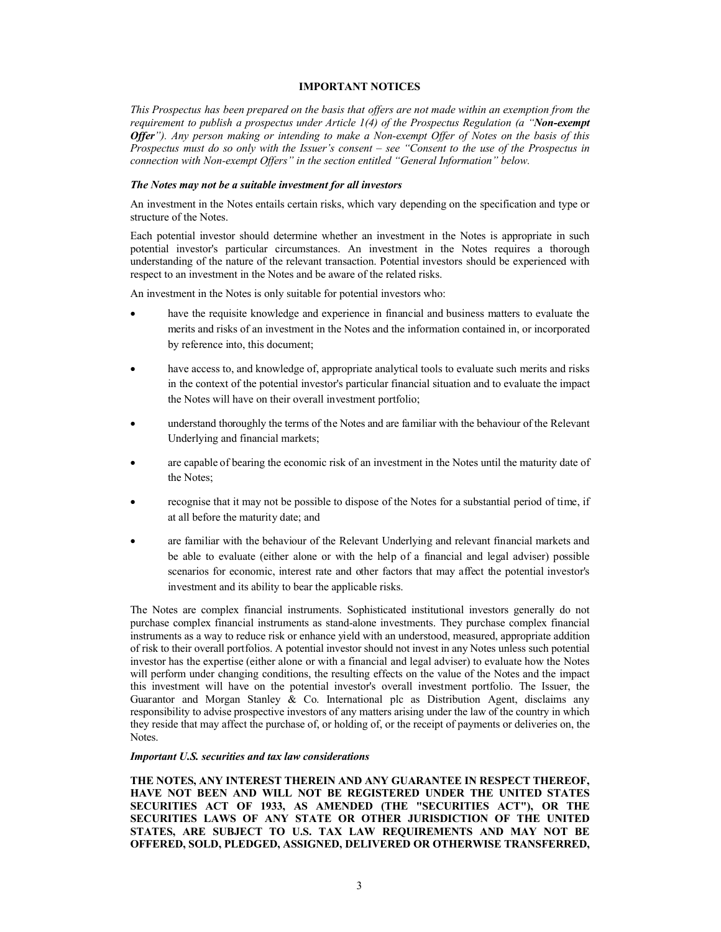#### **IMPORTANT NOTICES**

*This Prospectus has been prepared on the basis that offers are not made within an exemption from the requirement to publish a prospectus under Article 1(4) of the Prospectus Regulation (a "Non-exempt Offer"). Any person making or intending to make a Non-exempt Offer of Notes on the basis of this Prospectus must do so only with the Issuer's consent – see "Consent to the use of the Prospectus in connection with Non-exempt Offers" in the section entitled "General Information" below.*

#### *The Notes may not be a suitable investment for all investors*

An investment in the Notes entails certain risks, which vary depending on the specification and type or structure of the Notes.

Each potential investor should determine whether an investment in the Notes is appropriate in such potential investor's particular circumstances. An investment in the Notes requires a thorough understanding of the nature of the relevant transaction. Potential investors should be experienced with respect to an investment in the Notes and be aware of the related risks.

An investment in the Notes is only suitable for potential investors who:

- have the requisite knowledge and experience in financial and business matters to evaluate the merits and risks of an investment in the Notes and the information contained in, or incorporated by reference into, this document;
- have access to, and knowledge of, appropriate analytical tools to evaluate such merits and risks in the context of the potential investor's particular financial situation and to evaluate the impact the Notes will have on their overall investment portfolio;
- understand thoroughly the terms of the Notes and are familiar with the behaviour of the Relevant Underlying and financial markets;
- are capable of bearing the economic risk of an investment in the Notes until the maturity date of the Notes;
- recognise that it may not be possible to dispose of the Notes for a substantial period of time, if at all before the maturity date; and
- are familiar with the behaviour of the Relevant Underlying and relevant financial markets and be able to evaluate (either alone or with the help of a financial and legal adviser) possible scenarios for economic, interest rate and other factors that may affect the potential investor's investment and its ability to bear the applicable risks.

The Notes are complex financial instruments. Sophisticated institutional investors generally do not purchase complex financial instruments as stand-alone investments. They purchase complex financial instruments as a way to reduce risk or enhance yield with an understood, measured, appropriate addition of risk to their overall portfolios. A potential investor should not invest in any Notes unless such potential investor has the expertise (either alone or with a financial and legal adviser) to evaluate how the Notes will perform under changing conditions, the resulting effects on the value of the Notes and the impact this investment will have on the potential investor's overall investment portfolio. The Issuer, the Guarantor and Morgan Stanley & Co. International plc as Distribution Agent, disclaims any responsibility to advise prospective investors of any matters arising under the law of the country in which they reside that may affect the purchase of, or holding of, or the receipt of payments or deliveries on, the Notes.

#### *Important U.S. securities and tax law considerations*

**THE NOTES, ANY INTEREST THEREIN AND ANY GUARANTEE IN RESPECT THEREOF, HAVE NOT BEEN AND WILL NOT BE REGISTERED UNDER THE UNITED STATES SECURITIES ACT OF 1933, AS AMENDED (THE "SECURITIES ACT"), OR THE SECURITIES LAWS OF ANY STATE OR OTHER JURISDICTION OF THE UNITED STATES, ARE SUBJECT TO U.S. TAX LAW REQUIREMENTS AND MAY NOT BE OFFERED, SOLD, PLEDGED, ASSIGNED, DELIVERED OR OTHERWISE TRANSFERRED,**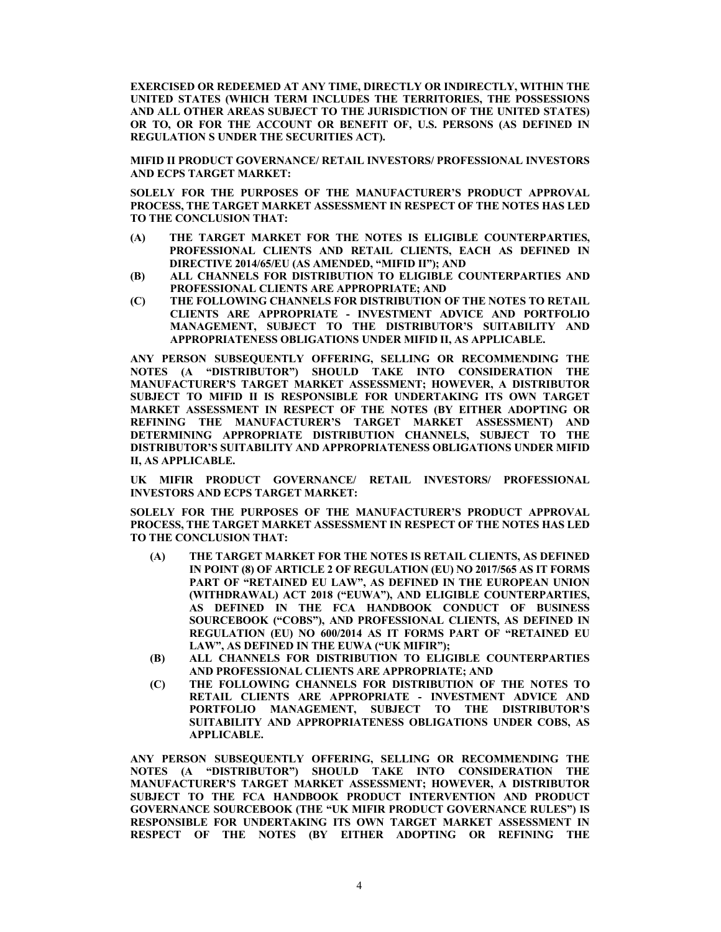**EXERCISED OR REDEEMED AT ANY TIME, DIRECTLY OR INDIRECTLY, WITHIN THE UNITED STATES (WHICH TERM INCLUDES THE TERRITORIES, THE POSSESSIONS AND ALL OTHER AREAS SUBJECT TO THE JURISDICTION OF THE UNITED STATES) OR TO, OR FOR THE ACCOUNT OR BENEFIT OF, U.S. PERSONS (AS DEFINED IN REGULATION S UNDER THE SECURITIES ACT).**

**MIFID II PRODUCT GOVERNANCE/ RETAIL INVESTORS/ PROFESSIONAL INVESTORS AND ECPS TARGET MARKET:**

**SOLELY FOR THE PURPOSES OF THE MANUFACTURER'S PRODUCT APPROVAL PROCESS, THE TARGET MARKET ASSESSMENT IN RESPECT OF THE NOTES HAS LED TO THE CONCLUSION THAT:** 

- **(A) THE TARGET MARKET FOR THE NOTES IS ELIGIBLE COUNTERPARTIES, PROFESSIONAL CLIENTS AND RETAIL CLIENTS, EACH AS DEFINED IN DIRECTIVE 2014/65/EU (AS AMENDED, "MIFID II"); AND**
- **(B) ALL CHANNELS FOR DISTRIBUTION TO ELIGIBLE COUNTERPARTIES AND PROFESSIONAL CLIENTS ARE APPROPRIATE; AND**
- **(C) THE FOLLOWING CHANNELS FOR DISTRIBUTION OF THE NOTES TO RETAIL CLIENTS ARE APPROPRIATE - INVESTMENT ADVICE AND PORTFOLIO MANAGEMENT, SUBJECT TO THE DISTRIBUTOR'S SUITABILITY AND APPROPRIATENESS OBLIGATIONS UNDER MIFID II, AS APPLICABLE.**

**ANY PERSON SUBSEQUENTLY OFFERING, SELLING OR RECOMMENDING THE NOTES (A "DISTRIBUTOR") SHOULD TAKE INTO CONSIDERATION THE MANUFACTURER'S TARGET MARKET ASSESSMENT; HOWEVER, A DISTRIBUTOR SUBJECT TO MIFID II IS RESPONSIBLE FOR UNDERTAKING ITS OWN TARGET MARKET ASSESSMENT IN RESPECT OF THE NOTES (BY EITHER ADOPTING OR REFINING THE MANUFACTURER'S TARGET MARKET ASSESSMENT) AND DETERMINING APPROPRIATE DISTRIBUTION CHANNELS, SUBJECT TO THE DISTRIBUTOR'S SUITABILITY AND APPROPRIATENESS OBLIGATIONS UNDER MIFID II, AS APPLICABLE.**

**UK MIFIR PRODUCT GOVERNANCE/ RETAIL INVESTORS/ PROFESSIONAL INVESTORS AND ECPS TARGET MARKET:**

**SOLELY FOR THE PURPOSES OF THE MANUFACTURER'S PRODUCT APPROVAL PROCESS, THE TARGET MARKET ASSESSMENT IN RESPECT OF THE NOTES HAS LED TO THE CONCLUSION THAT:** 

- **(A) THE TARGET MARKET FOR THE NOTES IS RETAIL CLIENTS, AS DEFINED IN POINT (8) OF ARTICLE 2 OF REGULATION (EU) NO 2017/565 AS IT FORMS**  PART OF "RETAINED EU LAW", AS DEFINED IN THE EUROPEAN UNION **(WITHDRAWAL) ACT 2018 ("EUWA"), AND ELIGIBLE COUNTERPARTIES, AS DEFINED IN THE FCA HANDBOOK CONDUCT OF BUSINESS SOURCEBOOK ("COBS"), AND PROFESSIONAL CLIENTS, AS DEFINED IN REGULATION (EU) NO 600/2014 AS IT FORMS PART OF "RETAINED EU LAW", AS DEFINED IN THE EUWA ("UK MIFIR");**
- **(B) ALL CHANNELS FOR DISTRIBUTION TO ELIGIBLE COUNTERPARTIES AND PROFESSIONAL CLIENTS ARE APPROPRIATE; AND**
- **(C) THE FOLLOWING CHANNELS FOR DISTRIBUTION OF THE NOTES TO RETAIL CLIENTS ARE APPROPRIATE - INVESTMENT ADVICE AND PORTFOLIO MANAGEMENT, SUBJECT TO THE DISTRIBUTOR'S SUITABILITY AND APPROPRIATENESS OBLIGATIONS UNDER COBS, AS APPLICABLE.**

**ANY PERSON SUBSEQUENTLY OFFERING, SELLING OR RECOMMENDING THE NOTES (A "DISTRIBUTOR") SHOULD TAKE INTO CONSIDERATION THE MANUFACTURER'S TARGET MARKET ASSESSMENT; HOWEVER, A DISTRIBUTOR SUBJECT TO THE FCA HANDBOOK PRODUCT INTERVENTION AND PRODUCT GOVERNANCE SOURCEBOOK (THE "UK MIFIR PRODUCT GOVERNANCE RULES") IS RESPONSIBLE FOR UNDERTAKING ITS OWN TARGET MARKET ASSESSMENT IN RESPECT OF THE NOTES (BY EITHER ADOPTING OR REFINING THE**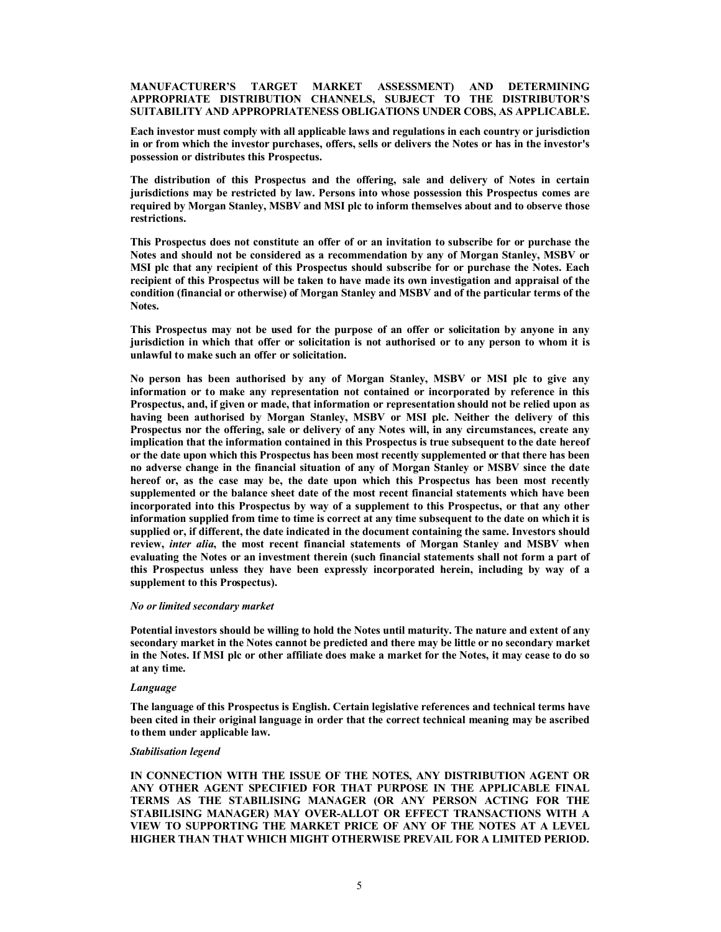#### **MANUFACTURER'S TARGET MARKET ASSESSMENT) AND DETERMINING APPROPRIATE DISTRIBUTION CHANNELS, SUBJECT TO THE DISTRIBUTOR'S SUITABILITY AND APPROPRIATENESS OBLIGATIONS UNDER COBS, AS APPLICABLE.**

**Each investor must comply with all applicable laws and regulations in each country or jurisdiction in or from which the investor purchases, offers, sells or delivers the Notes or has in the investor's possession or distributes this Prospectus.**

**The distribution of this Prospectus and the offering, sale and delivery of Notes in certain jurisdictions may be restricted by law. Persons into whose possession this Prospectus comes are required by Morgan Stanley, MSBV and MSI plc to inform themselves about and to observe those restrictions.**

**This Prospectus does not constitute an offer of or an invitation to subscribe for or purchase the Notes and should not be considered as a recommendation by any of Morgan Stanley, MSBV or MSI plc that any recipient of this Prospectus should subscribe for or purchase the Notes. Each recipient of this Prospectus will be taken to have made its own investigation and appraisal of the condition (financial or otherwise) of Morgan Stanley and MSBV and of the particular terms of the Notes.**

**This Prospectus may not be used for the purpose of an offer or solicitation by anyone in any jurisdiction in which that offer or solicitation is not authorised or to any person to whom it is unlawful to make such an offer or solicitation.**

**No person has been authorised by any of Morgan Stanley, MSBV or MSI plc to give any information or to make any representation not contained or incorporated by reference in this Prospectus, and, if given or made, that information or representation should not be relied upon as having been authorised by Morgan Stanley, MSBV or MSI plc. Neither the delivery of this Prospectus nor the offering, sale or delivery of any Notes will, in any circumstances, create any implication that the information contained in this Prospectus is true subsequent to the date hereof or the date upon which this Prospectus has been most recently supplemented or that there has been no adverse change in the financial situation of any of Morgan Stanley or MSBV since the date hereof or, as the case may be, the date upon which this Prospectus has been most recently supplemented or the balance sheet date of the most recent financial statements which have been incorporated into this Prospectus by way of a supplement to this Prospectus, or that any other information supplied from time to time is correct at any time subsequent to the date on which it is supplied or, if different, the date indicated in the document containing the same. Investors should review,** *inter alia***, the most recent financial statements of Morgan Stanley and MSBV when evaluating the Notes or an investment therein (such financial statements shall not form a part of this Prospectus unless they have been expressly incorporated herein, including by way of a supplement to this Prospectus).**

#### *No or limited secondary market*

**Potential investors should be willing to hold the Notes until maturity. The nature and extent of any secondary market in the Notes cannot be predicted and there may be little or no secondary market in the Notes. If MSI plc or other affiliate does make a market for the Notes, it may cease to do so at any time.**

#### *Language*

**The language of this Prospectus is English. Certain legislative references and technical terms have been cited in their original language in order that the correct technical meaning may be ascribed to them under applicable law.**

#### *Stabilisation legend*

**IN CONNECTION WITH THE ISSUE OF THE NOTES, ANY DISTRIBUTION AGENT OR ANY OTHER AGENT SPECIFIED FOR THAT PURPOSE IN THE APPLICABLE FINAL TERMS AS THE STABILISING MANAGER (OR ANY PERSON ACTING FOR THE STABILISING MANAGER) MAY OVER-ALLOT OR EFFECT TRANSACTIONS WITH A VIEW TO SUPPORTING THE MARKET PRICE OF ANY OF THE NOTES AT A LEVEL HIGHER THAN THAT WHICH MIGHT OTHERWISE PREVAIL FOR A LIMITED PERIOD.**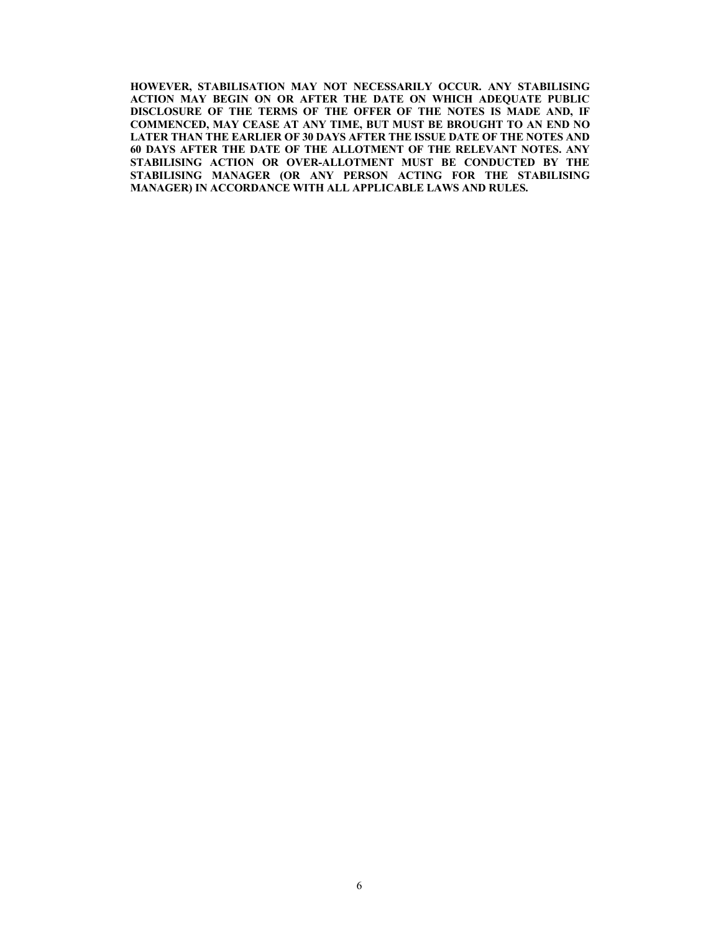**HOWEVER, STABILISATION MAY NOT NECESSARILY OCCUR. ANY STABILISING ACTION MAY BEGIN ON OR AFTER THE DATE ON WHICH ADEQUATE PUBLIC DISCLOSURE OF THE TERMS OF THE OFFER OF THE NOTES IS MADE AND, IF COMMENCED, MAY CEASE AT ANY TIME, BUT MUST BE BROUGHT TO AN END NO LATER THAN THE EARLIER OF 30 DAYS AFTER THE ISSUE DATE OF THE NOTES AND 60 DAYS AFTER THE DATE OF THE ALLOTMENT OF THE RELEVANT NOTES. ANY STABILISING ACTION OR OVER-ALLOTMENT MUST BE CONDUCTED BY THE STABILISING MANAGER (OR ANY PERSON ACTING FOR THE STABILISING MANAGER) IN ACCORDANCE WITH ALL APPLICABLE LAWS AND RULES.**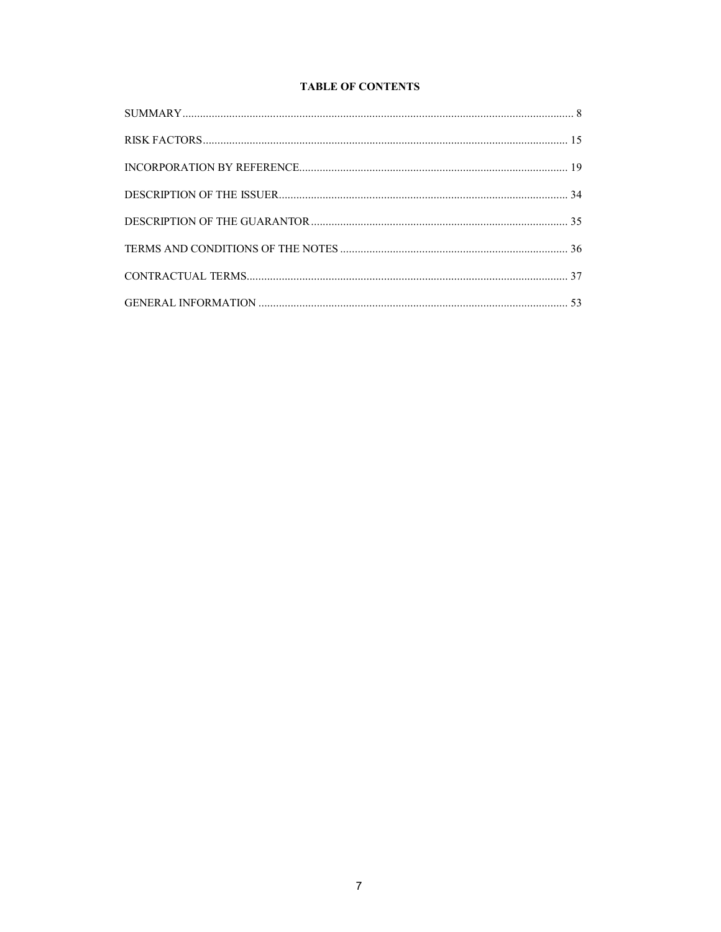# **TABLE OF CONTENTS**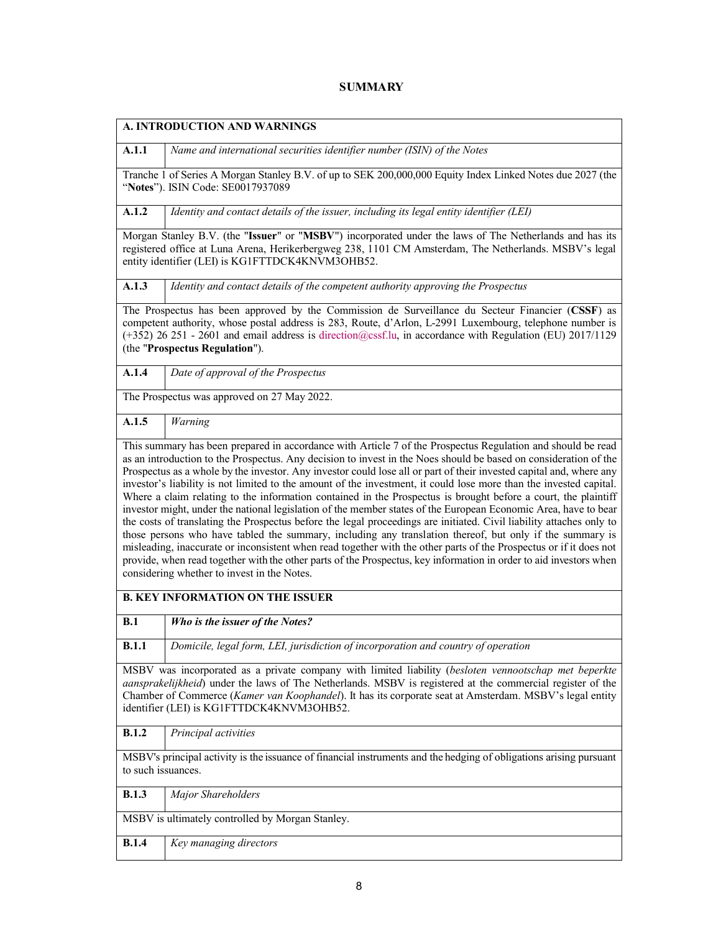# **SUMMARY**

|                                                                                                                                                                                                                                                                                                                                                                             | A. INTRODUCTION AND WARNINGS                                                                                                                                                                                                                                                                                                                                                                                                                                                                                                                                                                                                                                                                                                                                                                                                                                                           |  |  |  |  |  |
|-----------------------------------------------------------------------------------------------------------------------------------------------------------------------------------------------------------------------------------------------------------------------------------------------------------------------------------------------------------------------------|----------------------------------------------------------------------------------------------------------------------------------------------------------------------------------------------------------------------------------------------------------------------------------------------------------------------------------------------------------------------------------------------------------------------------------------------------------------------------------------------------------------------------------------------------------------------------------------------------------------------------------------------------------------------------------------------------------------------------------------------------------------------------------------------------------------------------------------------------------------------------------------|--|--|--|--|--|
| A.1.1                                                                                                                                                                                                                                                                                                                                                                       | Name and international securities identifier number (ISIN) of the Notes                                                                                                                                                                                                                                                                                                                                                                                                                                                                                                                                                                                                                                                                                                                                                                                                                |  |  |  |  |  |
|                                                                                                                                                                                                                                                                                                                                                                             | Tranche 1 of Series A Morgan Stanley B.V. of up to SEK 200,000,000 Equity Index Linked Notes due 2027 (the<br>"Notes"). ISIN Code: SE0017937089                                                                                                                                                                                                                                                                                                                                                                                                                                                                                                                                                                                                                                                                                                                                        |  |  |  |  |  |
| A.1.2                                                                                                                                                                                                                                                                                                                                                                       | Identity and contact details of the issuer, including its legal entity identifier (LEI)                                                                                                                                                                                                                                                                                                                                                                                                                                                                                                                                                                                                                                                                                                                                                                                                |  |  |  |  |  |
|                                                                                                                                                                                                                                                                                                                                                                             | Morgan Stanley B.V. (the "Issuer" or "MSBV") incorporated under the laws of The Netherlands and has its<br>registered office at Luna Arena, Herikerbergweg 238, 1101 CM Amsterdam, The Netherlands. MSBV's legal<br>entity identifier (LEI) is KG1FTTDCK4KNVM3OHB52.                                                                                                                                                                                                                                                                                                                                                                                                                                                                                                                                                                                                                   |  |  |  |  |  |
| A.1.3                                                                                                                                                                                                                                                                                                                                                                       | Identity and contact details of the competent authority approving the Prospectus                                                                                                                                                                                                                                                                                                                                                                                                                                                                                                                                                                                                                                                                                                                                                                                                       |  |  |  |  |  |
|                                                                                                                                                                                                                                                                                                                                                                             | The Prospectus has been approved by the Commission de Surveillance du Secteur Financier (CSSF) as<br>competent authority, whose postal address is 283, Route, d'Arlon, L-2991 Luxembourg, telephone number is<br>(+352) 26 251 - 2601 and email address is direction@cssf.lu, in accordance with Regulation (EU) 2017/1129<br>(the "Prospectus Regulation").                                                                                                                                                                                                                                                                                                                                                                                                                                                                                                                           |  |  |  |  |  |
| A.1.4                                                                                                                                                                                                                                                                                                                                                                       | Date of approval of the Prospectus                                                                                                                                                                                                                                                                                                                                                                                                                                                                                                                                                                                                                                                                                                                                                                                                                                                     |  |  |  |  |  |
|                                                                                                                                                                                                                                                                                                                                                                             | The Prospectus was approved on 27 May 2022.                                                                                                                                                                                                                                                                                                                                                                                                                                                                                                                                                                                                                                                                                                                                                                                                                                            |  |  |  |  |  |
| A.1.5                                                                                                                                                                                                                                                                                                                                                                       | Warning                                                                                                                                                                                                                                                                                                                                                                                                                                                                                                                                                                                                                                                                                                                                                                                                                                                                                |  |  |  |  |  |
|                                                                                                                                                                                                                                                                                                                                                                             | investor's liability is not limited to the amount of the investment, it could lose more than the invested capital.<br>Where a claim relating to the information contained in the Prospectus is brought before a court, the plaintiff<br>investor might, under the national legislation of the member states of the European Economic Area, have to bear<br>the costs of translating the Prospectus before the legal proceedings are initiated. Civil liability attaches only to<br>those persons who have tabled the summary, including any translation thereof, but only if the summary is<br>misleading, inaccurate or inconsistent when read together with the other parts of the Prospectus or if it does not<br>provide, when read together with the other parts of the Prospectus, key information in order to aid investors when<br>considering whether to invest in the Notes. |  |  |  |  |  |
|                                                                                                                                                                                                                                                                                                                                                                             | <b>B. KEY INFORMATION ON THE ISSUER</b>                                                                                                                                                                                                                                                                                                                                                                                                                                                                                                                                                                                                                                                                                                                                                                                                                                                |  |  |  |  |  |
| B.1                                                                                                                                                                                                                                                                                                                                                                         | Who is the issuer of the Notes?                                                                                                                                                                                                                                                                                                                                                                                                                                                                                                                                                                                                                                                                                                                                                                                                                                                        |  |  |  |  |  |
| B.1.1                                                                                                                                                                                                                                                                                                                                                                       | Domicile, legal form, LEI, jurisdiction of incorporation and country of operation                                                                                                                                                                                                                                                                                                                                                                                                                                                                                                                                                                                                                                                                                                                                                                                                      |  |  |  |  |  |
| MSBV was incorporated as a private company with limited liability (besloten vennootschap met beperkte<br>aansprakelijkheid) under the laws of The Netherlands. MSBV is registered at the commercial register of the<br>Chamber of Commerce (Kamer van Koophandel). It has its corporate seat at Amsterdam. MSBV's legal entity<br>identifier (LEI) is KG1FTTDCK4KNVM3OHB52. |                                                                                                                                                                                                                                                                                                                                                                                                                                                                                                                                                                                                                                                                                                                                                                                                                                                                                        |  |  |  |  |  |
| <b>B.1.2</b>                                                                                                                                                                                                                                                                                                                                                                | Principal activities                                                                                                                                                                                                                                                                                                                                                                                                                                                                                                                                                                                                                                                                                                                                                                                                                                                                   |  |  |  |  |  |
| MSBV's principal activity is the issuance of financial instruments and the hedging of obligations arising pursuant<br>to such issuances.                                                                                                                                                                                                                                    |                                                                                                                                                                                                                                                                                                                                                                                                                                                                                                                                                                                                                                                                                                                                                                                                                                                                                        |  |  |  |  |  |
| B.1.3                                                                                                                                                                                                                                                                                                                                                                       | Major Shareholders                                                                                                                                                                                                                                                                                                                                                                                                                                                                                                                                                                                                                                                                                                                                                                                                                                                                     |  |  |  |  |  |
|                                                                                                                                                                                                                                                                                                                                                                             | MSBV is ultimately controlled by Morgan Stanley.                                                                                                                                                                                                                                                                                                                                                                                                                                                                                                                                                                                                                                                                                                                                                                                                                                       |  |  |  |  |  |
| B.1.4                                                                                                                                                                                                                                                                                                                                                                       | Key managing directors                                                                                                                                                                                                                                                                                                                                                                                                                                                                                                                                                                                                                                                                                                                                                                                                                                                                 |  |  |  |  |  |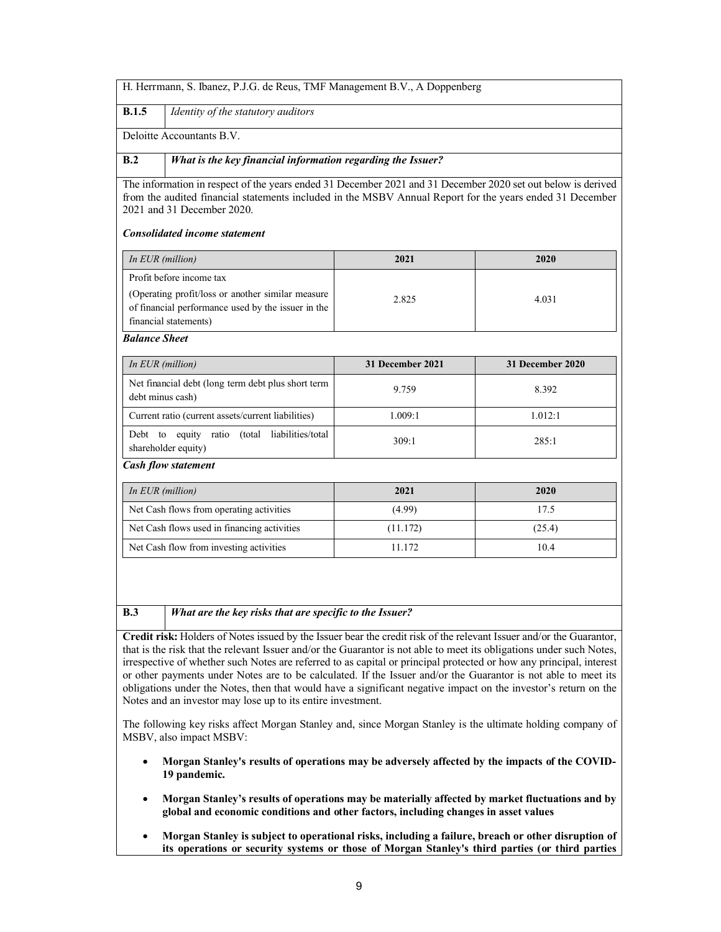**B.1.5** *Identity of the statutory auditors*

Deloitte Accountants B.V.

# **B.2** *What is the key financial information regarding the Issuer?*

The information in respect of the years ended 31 December 2021 and 31 December 2020 set out below is derived from the audited financial statements included in the MSBV Annual Report for the years ended 31 December 2021 and 31 December 2020.

## *Consolidated income statement*

| In EUR (million)                                                                                                                 | 2021  | 2020  |
|----------------------------------------------------------------------------------------------------------------------------------|-------|-------|
| Profit before income tax                                                                                                         |       |       |
| (Operating profit/loss or another similar measure<br>of financial performance used by the issuer in the<br>financial statements) | 2.825 | 4.031 |

*Balance Sheet* 

| In EUR (million)                                                        | 31 December 2021 | 31 December 2020 |  |  |  |  |
|-------------------------------------------------------------------------|------------------|------------------|--|--|--|--|
| Net financial debt (long term debt plus short term<br>debt minus cash)  | 9.759            | 8.392            |  |  |  |  |
| Current ratio (current assets/current liabilities)                      | 1.009:1          | 1.012:1          |  |  |  |  |
| equity ratio (total liabilities/total<br>Debt to<br>shareholder equity) | 309:1            | 285:1            |  |  |  |  |
| <b>Cash flow statement</b>                                              |                  |                  |  |  |  |  |

| In EUR (million)                            | 2021     | 2020   |
|---------------------------------------------|----------|--------|
| Net Cash flows from operating activities    | (4.99)   | 17.5   |
| Net Cash flows used in financing activities | (11.172) | (25.4) |
| Net Cash flow from investing activities     | 11.172   | 10.4   |

#### **B.3** *What are the key risks that are specific to the Issuer?*

**Credit risk:** Holders of Notes issued by the Issuer bear the credit risk of the relevant Issuer and/or the Guarantor, that is the risk that the relevant Issuer and/or the Guarantor is not able to meet its obligations under such Notes, irrespective of whether such Notes are referred to as capital or principal protected or how any principal, interest or other payments under Notes are to be calculated. If the Issuer and/or the Guarantor is not able to meet its obligations under the Notes, then that would have a significant negative impact on the investor's return on the Notes and an investor may lose up to its entire investment.

The following key risks affect Morgan Stanley and, since Morgan Stanley is the ultimate holding company of MSBV, also impact MSBV:

- **Morgan Stanley's results of operations may be adversely affected by the impacts of the COVID-19 pandemic.**
- **Morgan Stanley's results of operations may be materially affected by market fluctuations and by global and economic conditions and other factors, including changes in asset values**
- **Morgan Stanley is subject to operational risks, including a failure, breach or other disruption of its operations or security systems or those of Morgan Stanley's third parties (or third parties**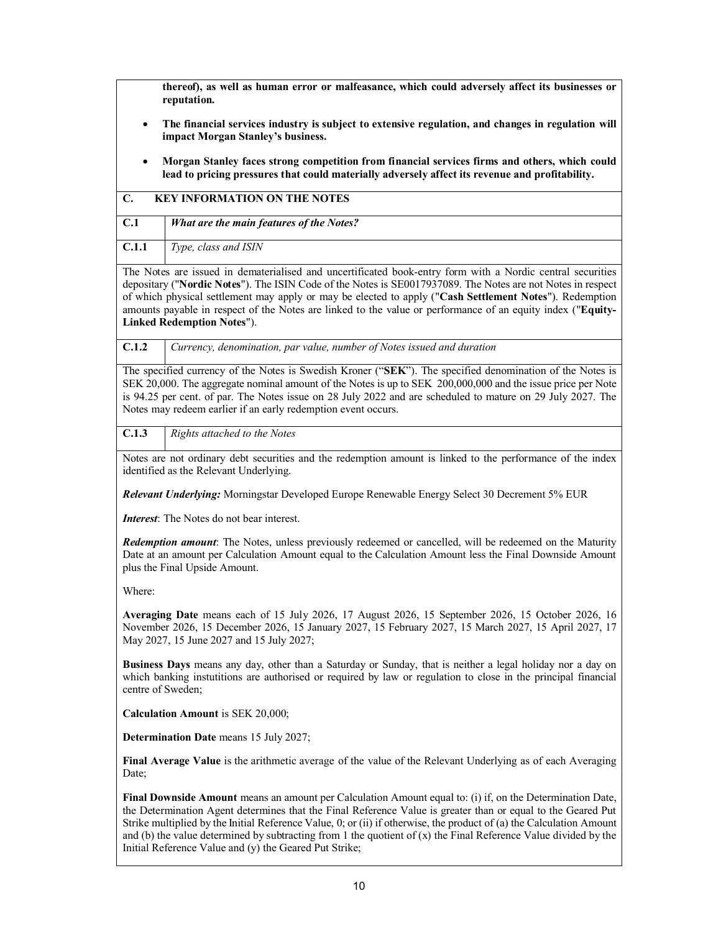**thereof), as well as human error or malfeasance, which could adversely affect its businesses or reputation.**

- **The financial services industry is subject to extensive regulation, and changes in regulation will impact Morgan Stanley's business.**
- **Morgan Stanley faces strong competition from financial services firms and others, which could lead to pricing pressures that could materially adversely affect its revenue and profitability.**

|               |  |  |  | <b>C. KEY INFORMATION ON THE NOTES</b>                                                                                              |  |  |
|---------------|--|--|--|-------------------------------------------------------------------------------------------------------------------------------------|--|--|
| $\sim$ $\sim$ |  |  |  | $\mathbf{1}$ and $\mathbf{1}$ and $\mathbf{1}$ and $\mathbf{1}$ and $\mathbf{1}$ and $\mathbf{1}$ and $\mathbf{1}$ and $\mathbf{1}$ |  |  |

| C.1   | <b>What are the main features of the Notes?</b> |
|-------|-------------------------------------------------|
| C.1.1 | Type, class and ISIN                            |

The Notes are issued in dematerialised and uncertificated book-entry form with a Nordic central securities depositary ("**Nordic Notes**"). The ISIN Code of the Notes is SE0017937089. The Notes are not Notes in respect of which physical settlement may apply or may be elected to apply ("**Cash Settlement Notes**"). Redemption amounts payable in respect of the Notes are linked to the value or performance of an equity index ("**Equity-Linked Redemption Notes**").

**C.1.2** *Currency, denomination, par value, number of Notes issued and duration*

The specified currency of the Notes is Swedish Kroner ("**SEK**"). The specified denomination of the Notes is SEK 20,000. The aggregate nominal amount of the Notes is up to SEK 200,000,000 and the issue price per Note is 94.25 per cent. of par. The Notes issue on 28 July 2022 and are scheduled to mature on 29 July 2027. The Notes may redeem earlier if an early redemption event occurs.

**C.1.3** *Rights attached to the Notes*

Notes are not ordinary debt securities and the redemption amount is linked to the performance of the index identified as the Relevant Underlying.

*Relevant Underlying:* Morningstar Developed Europe Renewable Energy Select 30 Decrement 5% EUR

*Interest*: The Notes do not bear interest.

*Redemption amount*: The Notes, unless previously redeemed or cancelled, will be redeemed on the Maturity Date at an amount per Calculation Amount equal to the Calculation Amount less the Final Downside Amount plus the Final Upside Amount.

Where:

**Averaging Date** means each of 15 July 2026, 17 August 2026, 15 September 2026, 15 October 2026, 16 November 2026, 15 December 2026, 15 January 2027, 15 February 2027, 15 March 2027, 15 April 2027, 17 May 2027, 15 June 2027 and 15 July 2027;

**Business Days** means any day, other than a Saturday or Sunday, that is neither a legal holiday nor a day on which banking instutitions are authorised or required by law or regulation to close in the principal financial centre of Sweden;

**Calculation Amount** is SEK 20,000;

**Determination Date** means 15 July 2027;

**Final Average Value** is the arithmetic average of the value of the Relevant Underlying as of each Averaging Date;

**Final Downside Amount** means an amount per Calculation Amount equal to: (i) if, on the Determination Date, the Determination Agent determines that the Final Reference Value is greater than or equal to the Geared Put Strike multiplied by the Initial Reference Value, 0; or (ii) if otherwise, the product of (a) the Calculation Amount and (b) the value determined by subtracting from 1 the quotient of  $(x)$  the Final Reference Value divided by the Initial Reference Value and (y) the Geared Put Strike;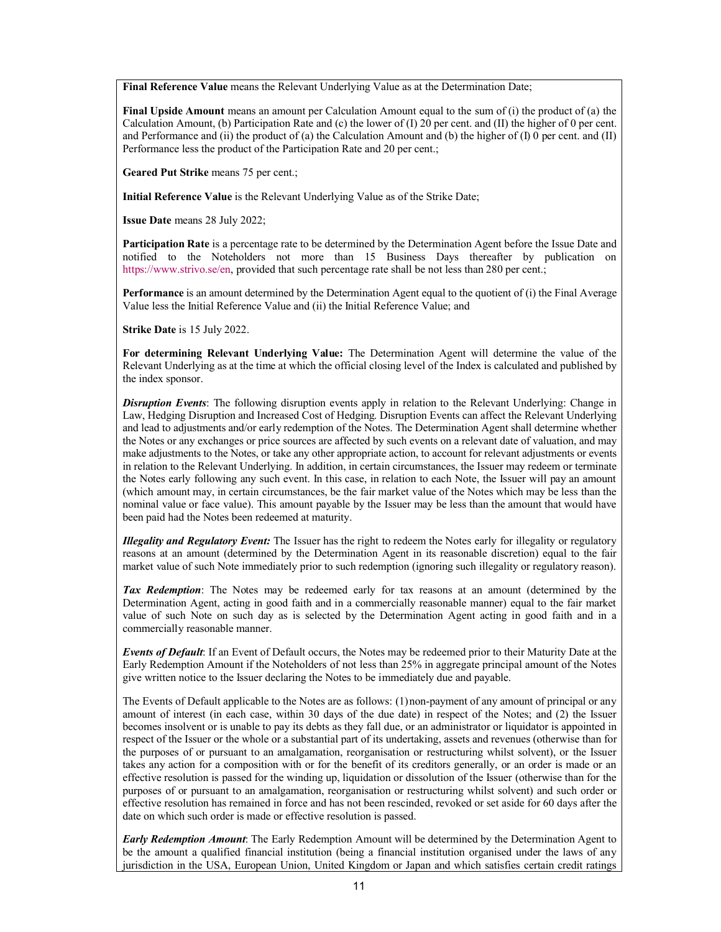**Final Reference Value** means the Relevant Underlying Value as at the Determination Date;

**Final Upside Amount** means an amount per Calculation Amount equal to the sum of (i) the product of (a) the Calculation Amount, (b) Participation Rate and (c) the lower of (I) 20 per cent. and (II) the higher of 0 per cent. and Performance and (ii) the product of (a) the Calculation Amount and (b) the higher of (I) 0 per cent. and (II) Performance less the product of the Participation Rate and 20 per cent.;

**Geared Put Strike** means 75 per cent.;

**Initial Reference Value** is the Relevant Underlying Value as of the Strike Date;

**Issue Date** means 28 July 2022;

**[Participation Rate](https://www.strivo.se/en)** is a percentage rate to be determined by the Determination Agent before the Issue Date and notified to the Noteholders not more than 15 Business Days thereafter by publication on https://www.strivo.se/en, provided that such percentage rate shall be not less than 280 per cent.;

**Performance** is an amount determined by the Determination Agent equal to the quotient of (i) the Final Average Value less the Initial Reference Value and (ii) the Initial Reference Value; and

**Strike Date** is 15 July 2022.

**For determining Relevant Underlying Value:** The Determination Agent will determine the value of the Relevant Underlying as at the time at which the official closing level of the Index is calculated and published by the index sponsor.

*Disruption Events*: The following disruption events apply in relation to the Relevant Underlying: Change in Law, Hedging Disruption and Increased Cost of Hedging. Disruption Events can affect the Relevant Underlying and lead to adjustments and/or early redemption of the Notes. The Determination Agent shall determine whether the Notes or any exchanges or price sources are affected by such events on a relevant date of valuation, and may make adjustments to the Notes, or take any other appropriate action, to account for relevant adjustments or events in relation to the Relevant Underlying. In addition, in certain circumstances, the Issuer may redeem or terminate the Notes early following any such event. In this case, in relation to each Note, the Issuer will pay an amount (which amount may, in certain circumstances, be the fair market value of the Notes which may be less than the nominal value or face value). This amount payable by the Issuer may be less than the amount that would have been paid had the Notes been redeemed at maturity.

*Illegality and Regulatory Event:* The Issuer has the right to redeem the Notes early for illegality or regulatory reasons at an amount (determined by the Determination Agent in its reasonable discretion) equal to the fair market value of such Note immediately prior to such redemption (ignoring such illegality or regulatory reason).

*Tax Redemption*: The Notes may be redeemed early for tax reasons at an amount (determined by the Determination Agent, acting in good faith and in a commercially reasonable manner) equal to the fair market value of such Note on such day as is selected by the Determination Agent acting in good faith and in a commercially reasonable manner.

*Events of Default*: If an Event of Default occurs, the Notes may be redeemed prior to their Maturity Date at the Early Redemption Amount if the Noteholders of not less than 25% in aggregate principal amount of the Notes give written notice to the Issuer declaring the Notes to be immediately due and payable.

The Events of Default applicable to the Notes are as follows: (1)non-payment of any amount of principal or any amount of interest (in each case, within 30 days of the due date) in respect of the Notes; and (2) the Issuer becomes insolvent or is unable to pay its debts as they fall due, or an administrator or liquidator is appointed in respect of the Issuer or the whole or a substantial part of its undertaking, assets and revenues (otherwise than for the purposes of or pursuant to an amalgamation, reorganisation or restructuring whilst solvent), or the Issuer takes any action for a composition with or for the benefit of its creditors generally, or an order is made or an effective resolution is passed for the winding up, liquidation or dissolution of the Issuer (otherwise than for the purposes of or pursuant to an amalgamation, reorganisation or restructuring whilst solvent) and such order or effective resolution has remained in force and has not been rescinded, revoked or set aside for 60 days after the date on which such order is made or effective resolution is passed.

*Early Redemption Amount*: The Early Redemption Amount will be determined by the Determination Agent to be the amount a qualified financial institution (being a financial institution organised under the laws of any jurisdiction in the USA, European Union, United Kingdom or Japan and which satisfies certain credit ratings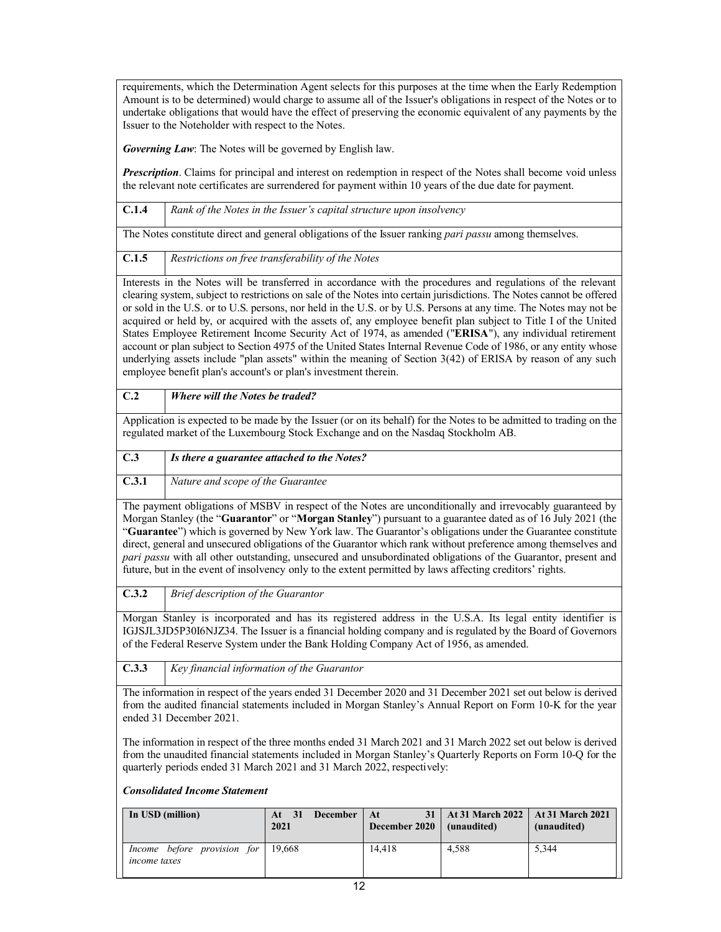requirements, which the Determination Agent selects for this purposes at the time when the Early Redemption Amount is to be determined) would charge to assume all of the Issuer's obligations in respect of the Notes or to undertake obligations that would have the effect of preserving the economic equivalent of any payments by the Issuer to the Noteholder with respect to the Notes.

*Governing Law*: The Notes will be governed by English law.

*Prescription*. Claims for principal and interest on redemption in respect of the Notes shall become void unless the relevant note certificates are surrendered for payment within 10 years of the due date for payment.

**C.1.4** *Rank of the Notes in the Issuer's capital structure upon insolvency*

The Notes constitute direct and general obligations of the Issuer ranking *pari passu* among themselves.

**C.1.5** *Restrictions on free transferability of the Notes*

Interests in the Notes will be transferred in accordance with the procedures and regulations of the relevant clearing system, subject to restrictions on sale of the Notes into certain jurisdictions. The Notes cannot be offered or sold in the U.S. or to U.S. persons, nor held in the U.S. or by U.S. Persons at any time. The Notes may not be acquired or held by, or acquired with the assets of, any employee benefit plan subject to Title I of the United States Employee Retirement Income Security Act of 1974, as amended ("**ERISA**"), any individual retirement account or plan subject to Section 4975 of the United States Internal Revenue Code of 1986, or any entity whose underlying assets include "plan assets" within the meaning of Section 3(42) of ERISA by reason of any such employee benefit plan's account's or plan's investment therein.

**C.2** *Where will the Notes be traded?*

Application is expected to be made by the Issuer (or on its behalf) for the Notes to be admitted to trading on the regulated market of the Luxembourg Stock Exchange and on the Nasdaq Stockholm AB.

| C.3   | Is there a guarantee attached to the Notes? |
|-------|---------------------------------------------|
| C.3.1 | Nature and scope of the Guarantee           |

The payment obligations of MSBV in respect of the Notes are unconditionally and irrevocably guaranteed by Morgan Stanley (the "**Guarantor**" or "**Morgan Stanley**") pursuant to a guarantee dated as of 16 July 2021 (the "**Guarantee**") which is governed by New York law. The Guarantor's obligations under the Guarantee constitute direct, general and unsecured obligations of the Guarantor which rank without preference among themselves and *pari passu* with all other outstanding, unsecured and unsubordinated obligations of the Guarantor, present and future, but in the event of insolvency only to the extent permitted by laws affecting creditors' rights.

**C.3.2** *Brief description of the Guarantor*

Morgan Stanley is incorporated and has its registered address in the U.S.A. Its legal entity identifier is IGJSJL3JD5P30I6NJZ34. The Issuer is a financial holding company and is regulated by the Board of Governors of the Federal Reserve System under the Bank Holding Company Act of 1956, as amended.

**C.3.3** *Key financial information of the Guarantor*

The information in respect of the years ended 31 December 2020 and 31 December 2021 set out below is derived from the audited financial statements included in Morgan Stanley's Annual Report on Form 10-K for the year ended 31 December 2021.

The information in respect of the three months ended 31 March 2021 and 31 March 2022 set out below is derived from the unaudited financial statements included in Morgan Stanley's Quarterly Reports on Form 10-Q for the quarterly periods ended 31 March 2021 and 31 March 2022, respectively:

# *Consolidated Income Statement*

| In USD (million)                                          | <b>December</b><br>At $31$<br>2021 | - At<br>December $2020$ (unaudited) | 31   At 31 March 2022   At 31 March 2021 | (unaudited) |
|-----------------------------------------------------------|------------------------------------|-------------------------------------|------------------------------------------|-------------|
| Income before provision for 19,668<br><i>income taxes</i> |                                    | 14.418                              | 4.588                                    | 5.344       |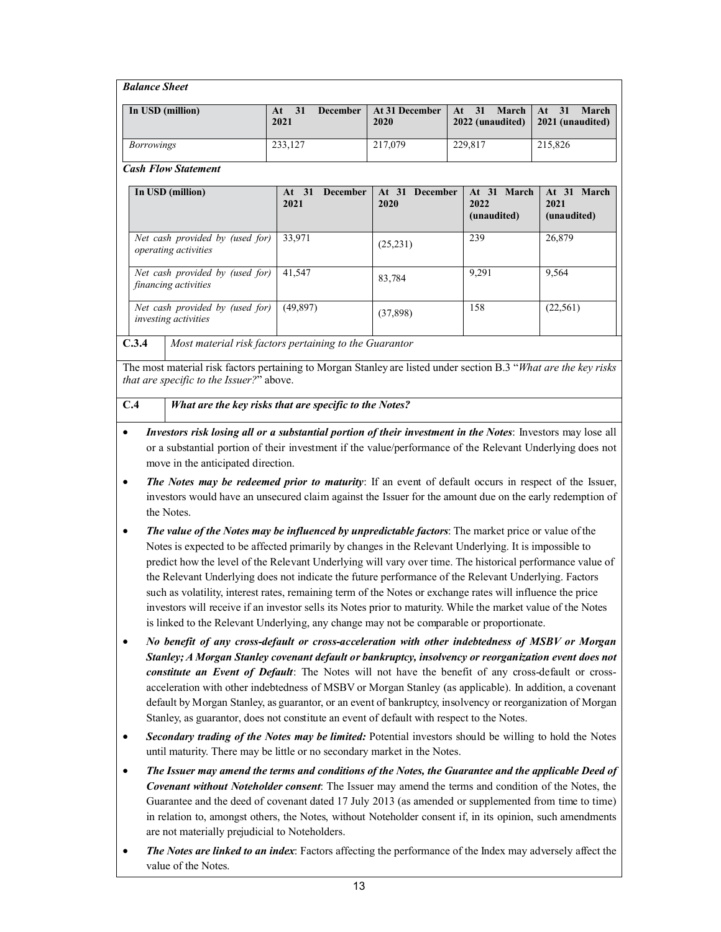| <b>Balance Sheet</b>                                           |                                                         |                        |                                       |                                        |
|----------------------------------------------------------------|---------------------------------------------------------|------------------------|---------------------------------------|----------------------------------------|
| In USD (million)                                               | 31<br><b>December</b><br>At<br>2021                     | At 31 December<br>2020 | March<br>31<br>At<br>2022 (unaudited) | $At = 31$<br>March<br>2021 (unaudited) |
| <b>Borrowings</b>                                              | 233,127                                                 | 217,079                | 229,817                               | 215,826                                |
| <b>Cash Flow Statement</b>                                     |                                                         |                        |                                       |                                        |
| In USD (million)                                               | <b>December</b><br>At <sub>31</sub><br>2021             | At 31 December<br>2020 | At 31 March<br>2022<br>(unaudited)    | At 31 March<br>2021<br>(unaudited)     |
| Net cash provided by (used for)<br>operating activities        | 33,971                                                  | (25, 231)              | 239                                   | 26,879                                 |
| Net cash provided by (used for)<br>financing activities        | 41,547                                                  | 83,784                 | 9,291                                 | 9,564                                  |
| Net cash provided by (used for)<br><i>investing activities</i> | (49, 897)                                               | (37,898)               | 158                                   | (22, 561)                              |
| C24                                                            | Most material right factors pertaining to the Guaranton |                        |                                       |                                        |

**C.3.4** *Most material risk factors pertaining to the Guarantor*

The most material risk factors pertaining to Morgan Stanley are listed under section B.3 "*What are the key risks that are specific to the Issuer?*" above.

# **C.4** *What are the key risks that are specific to the Notes?*

- *Investors risk losing all or a substantial portion of their investment in the Notes*: Investors may lose all or a substantial portion of their investment if the value/performance of the Relevant Underlying does not move in the anticipated direction.
- *The Notes may be redeemed prior to maturity*: If an event of default occurs in respect of the Issuer, investors would have an unsecured claim against the Issuer for the amount due on the early redemption of the Notes.
- *The value of the Notes may be influenced by unpredictable factors*: The market price or value of the Notes is expected to be affected primarily by changes in the Relevant Underlying. It is impossible to predict how the level of the Relevant Underlying will vary over time. The historical performance value of the Relevant Underlying does not indicate the future performance of the Relevant Underlying. Factors such as volatility, interest rates, remaining term of the Notes or exchange rates will influence the price investors will receive if an investor sells its Notes prior to maturity. While the market value of the Notes is linked to the Relevant Underlying, any change may not be comparable or proportionate.
- *No benefit of any cross-default or cross-acceleration with other indebtedness of MSBV or Morgan Stanley; A Morgan Stanley covenant default or bankruptcy, insolvency or reorganization event does not constitute an Event of Default*: The Notes will not have the benefit of any cross-default or crossacceleration with other indebtedness of MSBV or Morgan Stanley (as applicable). In addition, a covenant default by Morgan Stanley, as guarantor, or an event of bankruptcy, insolvency or reorganization of Morgan Stanley, as guarantor, does not constitute an event of default with respect to the Notes.
- *Secondary trading of the Notes may be limited:* Potential investors should be willing to hold the Notes until maturity. There may be little or no secondary market in the Notes.
- *The Issuer may amend the terms and conditions of the Notes, the Guarantee and the applicable Deed of Covenant without Noteholder consent*: The Issuer may amend the terms and condition of the Notes, the Guarantee and the deed of covenant dated 17 July 2013 (as amended or supplemented from time to time) in relation to, amongst others, the Notes, without Noteholder consent if, in its opinion, such amendments are not materially prejudicial to Noteholders.
- *The Notes are linked to an index*: Factors affecting the performance of the Index may adversely affect the value of the Notes.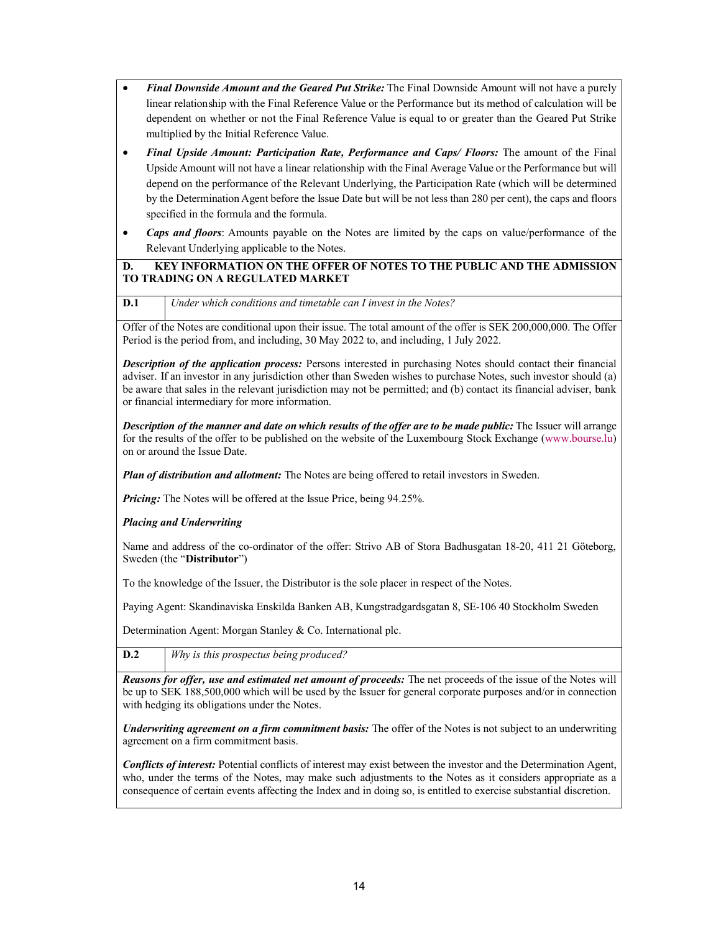- *Final Downside Amount and the Geared Put Strike:* The Final Downside Amount will not have a purely linear relationship with the Final Reference Value or the Performance but its method of calculation will be dependent on whether or not the Final Reference Value is equal to or greater than the Geared Put Strike multiplied by the Initial Reference Value.
- *Final Upside Amount: Participation Rate, Performance and Caps/ Floors:* The amount of the Final Upside Amount will not have a linear relationship with the Final Average Value or the Performance but will depend on the performance of the Relevant Underlying, the Participation Rate (which will be determined by the Determination Agent before the Issue Date but will be not less than 280 per cent), the caps and floors specified in the formula and the formula.
- *Caps and floors*: Amounts payable on the Notes are limited by the caps on value/performance of the Relevant Underlying applicable to the Notes.

# **D. KEY INFORMATION ON THE OFFER OF NOTES TO THE PUBLIC AND THE ADMISSION TO TRADING ON A REGULATED MARKET**

**D.1** *Under which conditions and timetable can I invest in the Notes?*

Offer of the Notes are conditional upon their issue. The total amount of the offer is SEK 200,000,000. The Offer Period is the period from, and including, 30 May 2022 to, and including, 1 July 2022.

*Description of the application process:* Persons interested in purchasing Notes should contact their financial adviser. If an investor in any jurisdiction other than Sweden wishes to purchase Notes, such investor should (a) be aware that sales in the relevant jurisdiction may not be permitted; and (b) contact its financial adviser, bank or financial intermediary for more information.

*Description of the manner and date on which results of the offer are to be made public:* The Issuer will arrange for the results of the offer to be published on the website of the Luxembourg Stock Exchange (www.bourse.lu) on or around the Issue Date.

*Plan of distribution and allotment:* The Notes are being offered to retail investors in Sweden.

*Pricing:* The Notes will be offered at the Issue Price, being 94.25%.

*Placing and Underwriting*

Name and address of the co-ordinator of the offer: Strivo AB of Stora Badhusgatan 18-20, 411 21 Göteborg, Sweden (the "**Distributor**")

To the knowledge of the Issuer, the Distributor is the sole placer in respect of the Notes.

Paying Agent: Skandinaviska Enskilda Banken AB, Kungstradgardsgatan 8, SE-106 40 Stockholm Sweden

Determination Agent: Morgan Stanley & Co. International plc.

**D.2** *Why is this prospectus being produced?*

*Reasons for offer, use and estimated net amount of proceeds:* The net proceeds of the issue of the Notes will be up to SEK 188,500,000 which will be used by the Issuer for general corporate purposes and/or in connection with hedging its obligations under the Notes.

*Underwriting agreement on a firm commitment basis:* The offer of the Notes is not subject to an underwriting agreement on a firm commitment basis.

*Conflicts of interest:* Potential conflicts of interest may exist between the investor and the Determination Agent, who, under the terms of the Notes, may make such adjustments to the Notes as it considers appropriate as a consequence of certain events affecting the Index and in doing so, is entitled to exercise substantial discretion.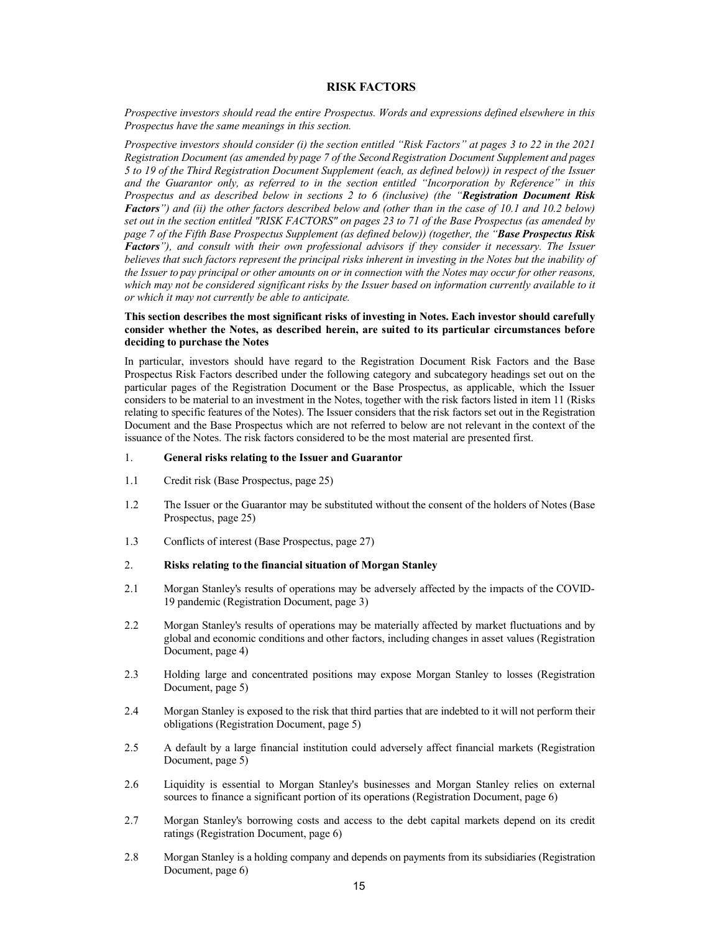#### <span id="page-14-0"></span>**RISK FACTORS**

*Prospective investors should read the entire Prospectus. Words and expressions defined elsewhere in this Prospectus have the same meanings in this section.*

*Prospective investors should consider (i) the section entitled "Risk Factors" at pages 3 to 22 in the 2021 Registration Document (as amended by page 7 of the Second Registration Document Supplement and pages 5 to 19 of the Third Registration Document Supplement (each, as defined below)) in respect of the Issuer and the Guarantor only, as referred to in the section entitled "Incorporation by Reference" in this Prospectus and as described below in sections 2 to 6 (inclusive) (the "Registration Document Risk Factors") and (ii) the other factors described below and (other than in the case of 10.1 and 10.2 below) set out in the section entitled "RISK FACTORS" on pages 23 to 71 of the Base Prospectus (as amended by page 7 of the Fifth Base Prospectus Supplement (as defined below)) (together, the "Base Prospectus Risk Factors"), and consult with their own professional advisors if they consider it necessary. The Issuer believes that such factors represent the principal risks inherent in investing in the Notes but the inability of the Issuer to pay principal or other amounts on or in connection with the Notes may occur for other reasons, which may not be considered significant risks by the Issuer based on information currently available to it or which it may not currently be able to anticipate.*

#### **This section describes the most significant risks of investing in Notes. Each investor should carefully consider whether the Notes, as described herein, are suited to its particular circumstances before deciding to purchase the Notes**

In particular, investors should have regard to the Registration Document Risk Factors and the Base Prospectus Risk Factors described under the following category and subcategory headings set out on the particular pages of the Registration Document or the Base Prospectus, as applicable, which the Issuer considers to be material to an investment in the Notes, together with the risk factors listed in item 11 (Risks relating to specific features of the Notes). The Issuer considers that the risk factors set out in the Registration Document and the Base Prospectus which are not referred to below are not relevant in the context of the issuance of the Notes. The risk factors considered to be the most material are presented first.

#### 1. **General risks relating to the Issuer and Guarantor**

- 1.1 Credit risk (Base Prospectus, page 25)
- 1.2 The Issuer or the Guarantor may be substituted without the consent of the holders of Notes (Base Prospectus, page 25)
- 1.3 Conflicts of interest (Base Prospectus, page 27)
- 2. **Risks relating to the financial situation of Morgan Stanley**
- 2.1 Morgan Stanley's results of operations may be adversely affected by the impacts of the COVID-19 pandemic (Registration Document, page 3)
- 2.2 Morgan Stanley's results of operations may be materially affected by market fluctuations and by global and economic conditions and other factors, including changes in asset values (Registration Document, page 4)
- 2.3 Holding large and concentrated positions may expose Morgan Stanley to losses (Registration Document, page 5)
- 2.4 Morgan Stanley is exposed to the risk that third parties that are indebted to it will not perform their obligations (Registration Document, page 5)
- 2.5 A default by a large financial institution could adversely affect financial markets (Registration Document, page 5)
- 2.6 Liquidity is essential to Morgan Stanley's businesses and Morgan Stanley relies on external sources to finance a significant portion of its operations (Registration Document, page 6)
- 2.7 Morgan Stanley's borrowing costs and access to the debt capital markets depend on its credit ratings (Registration Document, page 6)
- 2.8 Morgan Stanley is a holding company and depends on payments from its subsidiaries (Registration Document, page 6)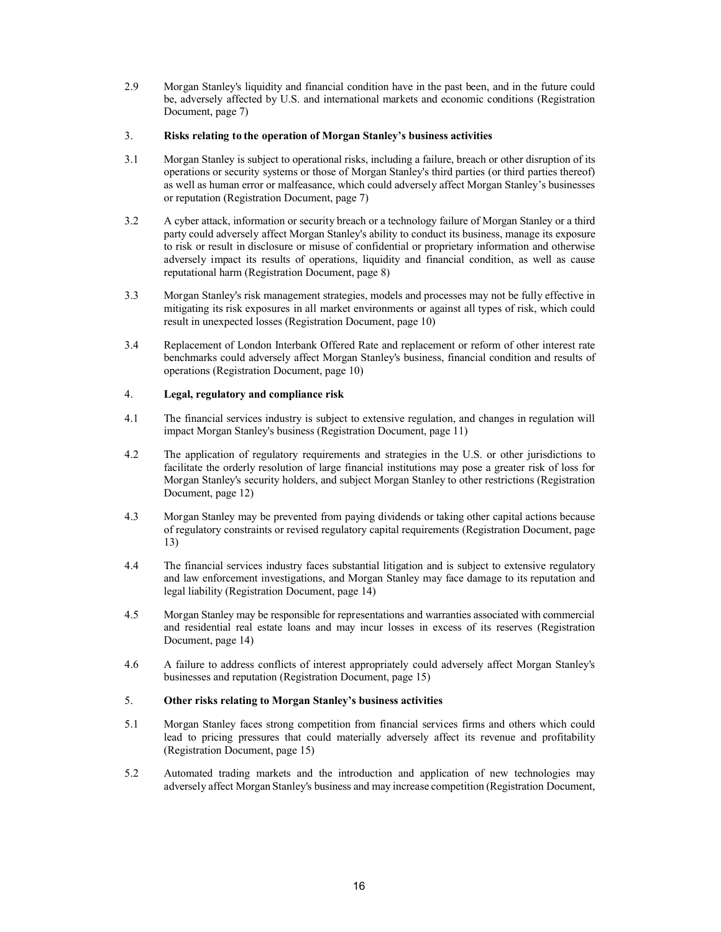2.9 Morgan Stanley's liquidity and financial condition have in the past been, and in the future could be, adversely affected by U.S. and international markets and economic conditions (Registration Document, page 7)

## 3. **Risks relating to the operation of Morgan Stanley's business activities**

- 3.1 Morgan Stanley is subject to operational risks, including a failure, breach or other disruption of its operations or security systems or those of Morgan Stanley's third parties (or third parties thereof) as well as human error or malfeasance, which could adversely affect Morgan Stanley's businesses or reputation (Registration Document, page 7)
- 3.2 A cyber attack, information or security breach or a technology failure of Morgan Stanley or a third party could adversely affect Morgan Stanley's ability to conduct its business, manage its exposure to risk or result in disclosure or misuse of confidential or proprietary information and otherwise adversely impact its results of operations, liquidity and financial condition, as well as cause reputational harm (Registration Document, page 8)
- 3.3 Morgan Stanley's risk management strategies, models and processes may not be fully effective in mitigating its risk exposures in all market environments or against all types of risk, which could result in unexpected losses (Registration Document, page 10)
- 3.4 Replacement of London Interbank Offered Rate and replacement or reform of other interest rate benchmarks could adversely affect Morgan Stanley's business, financial condition and results of operations (Registration Document, page 10)

# 4. **Legal, regulatory and compliance risk**

- 4.1 The financial services industry is subject to extensive regulation, and changes in regulation will impact Morgan Stanley's business (Registration Document, page 11)
- 4.2 The application of regulatory requirements and strategies in the U.S. or other jurisdictions to facilitate the orderly resolution of large financial institutions may pose a greater risk of loss for Morgan Stanley's security holders, and subject Morgan Stanley to other restrictions (Registration Document, page 12)
- 4.3 Morgan Stanley may be prevented from paying dividends or taking other capital actions because of regulatory constraints or revised regulatory capital requirements (Registration Document, page 13)
- 4.4 The financial services industry faces substantial litigation and is subject to extensive regulatory and law enforcement investigations, and Morgan Stanley may face damage to its reputation and legal liability (Registration Document, page 14)
- 4.5 Morgan Stanley may be responsible for representations and warranties associated with commercial and residential real estate loans and may incur losses in excess of its reserves (Registration Document, page 14)
- 4.6 A failure to address conflicts of interest appropriately could adversely affect Morgan Stanley's businesses and reputation (Registration Document, page 15)

# 5. **Other risks relating to Morgan Stanley's business activities**

- 5.1 Morgan Stanley faces strong competition from financial services firms and others which could lead to pricing pressures that could materially adversely affect its revenue and profitability (Registration Document, page 15)
- 5.2 Automated trading markets and the introduction and application of new technologies may adversely affect Morgan Stanley's business and may increase competition (Registration Document,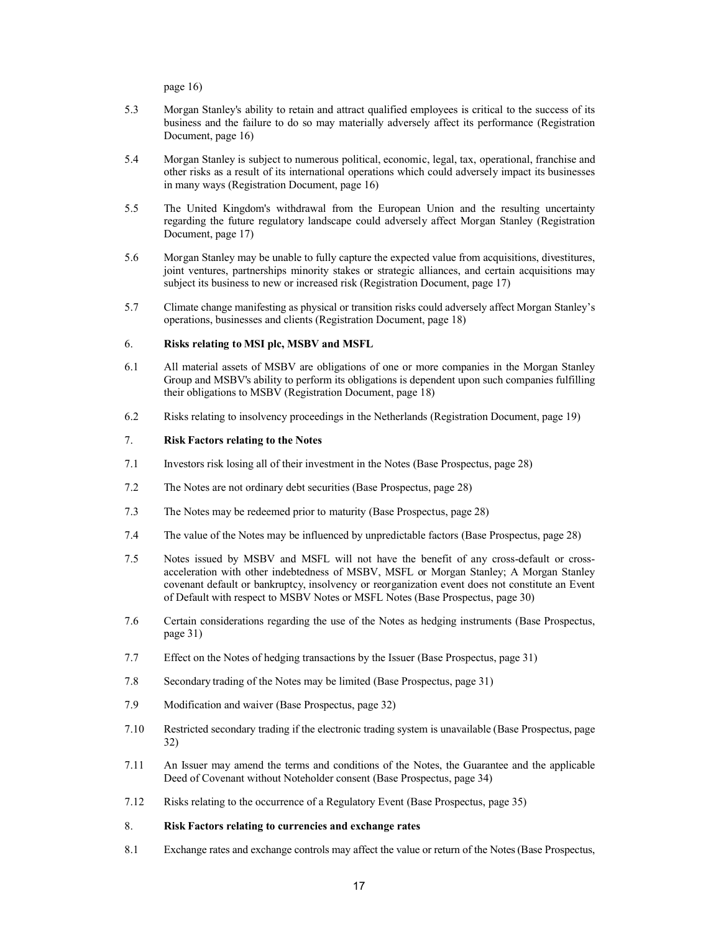page 16)

- 5.3 Morgan Stanley's ability to retain and attract qualified employees is critical to the success of its business and the failure to do so may materially adversely affect its performance (Registration Document, page 16)
- 5.4 Morgan Stanley is subject to numerous political, economic, legal, tax, operational, franchise and other risks as a result of its international operations which could adversely impact its businesses in many ways (Registration Document, page 16)
- 5.5 The United Kingdom's withdrawal from the European Union and the resulting uncertainty regarding the future regulatory landscape could adversely affect Morgan Stanley (Registration Document, page 17)
- 5.6 Morgan Stanley may be unable to fully capture the expected value from acquisitions, divestitures, joint ventures, partnerships minority stakes or strategic alliances, and certain acquisitions may subject its business to new or increased risk (Registration Document, page 17)
- 5.7 Climate change manifesting as physical or transition risks could adversely affect Morgan Stanley's operations, businesses and clients (Registration Document, page 18)

#### 6. **Risks relating to MSI plc, MSBV and MSFL**

- 6.1 All material assets of MSBV are obligations of one or more companies in the Morgan Stanley Group and MSBV's ability to perform its obligations is dependent upon such companies fulfilling their obligations to MSBV (Registration Document, page 18)
- 6.2 Risks relating to insolvency proceedings in the Netherlands (Registration Document, page 19)

# 7. **Risk Factors relating to the Notes**

- 7.1 Investors risk losing all of their investment in the Notes (Base Prospectus, page 28)
- 7.2 The Notes are not ordinary debt securities (Base Prospectus, page 28)
- 7.3 The Notes may be redeemed prior to maturity (Base Prospectus, page 28)
- 7.4 The value of the Notes may be influenced by unpredictable factors (Base Prospectus, page 28)
- 7.5 Notes issued by MSBV and MSFL will not have the benefit of any cross-default or crossacceleration with other indebtedness of MSBV, MSFL or Morgan Stanley; A Morgan Stanley covenant default or bankruptcy, insolvency or reorganization event does not constitute an Event of Default with respect to MSBV Notes or MSFL Notes (Base Prospectus, page 30)
- 7.6 Certain considerations regarding the use of the Notes as hedging instruments (Base Prospectus, page 31)
- 7.7 Effect on the Notes of hedging transactions by the Issuer (Base Prospectus, page 31)
- 7.8 Secondary trading of the Notes may be limited (Base Prospectus, page 31)
- 7.9 Modification and waiver (Base Prospectus, page 32)
- 7.10 Restricted secondary trading if the electronic trading system is unavailable (Base Prospectus, page 32)
- 7.11 An Issuer may amend the terms and conditions of the Notes, the Guarantee and the applicable Deed of Covenant without Noteholder consent (Base Prospectus, page 34)
- 7.12 Risks relating to the occurrence of a Regulatory Event (Base Prospectus, page 35)

## 8. **Risk Factors relating to currencies and exchange rates**

8.1 Exchange rates and exchange controls may affect the value or return of the Notes(Base Prospectus,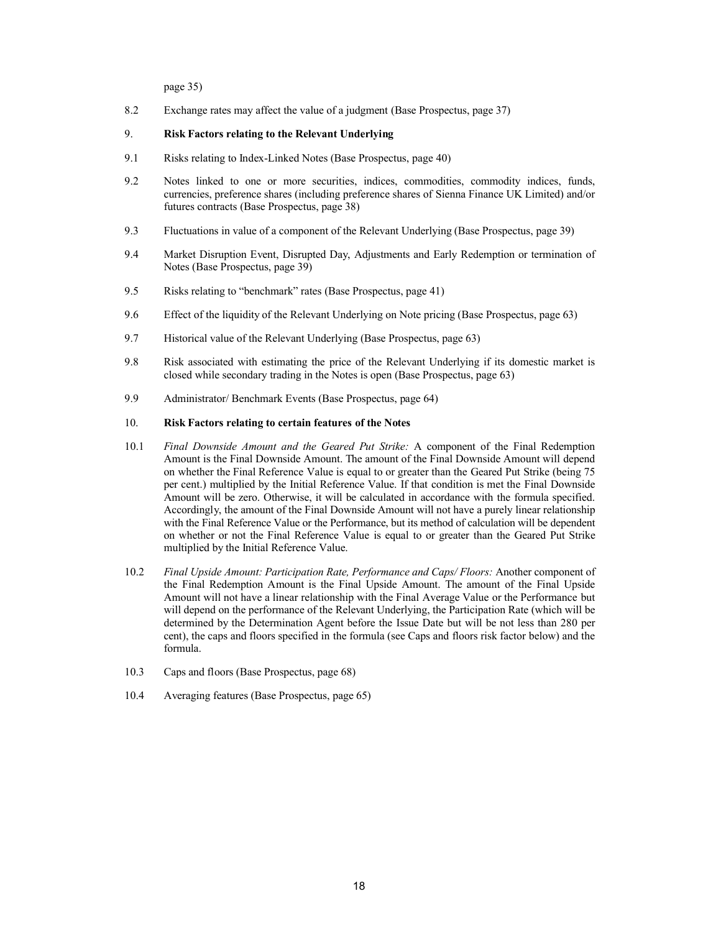page 35)

8.2 Exchange rates may affect the value of a judgment (Base Prospectus, page 37)

#### 9. **Risk Factors relating to the Relevant Underlying**

- 9.1 Risks relating to Index-Linked Notes (Base Prospectus, page 40)
- 9.2 Notes linked to one or more securities, indices, commodities, commodity indices, funds, currencies, preference shares (including preference shares of Sienna Finance UK Limited) and/or futures contracts (Base Prospectus, page 38)
- 9.3 Fluctuations in value of a component of the Relevant Underlying (Base Prospectus, page 39)
- 9.4 Market Disruption Event, Disrupted Day, Adjustments and Early Redemption or termination of Notes (Base Prospectus, page 39)
- 9.5 Risks relating to "benchmark" rates (Base Prospectus, page 41)
- 9.6 Effect of the liquidity of the Relevant Underlying on Note pricing (Base Prospectus, page 63)
- 9.7 Historical value of the Relevant Underlying (Base Prospectus, page 63)
- 9.8 Risk associated with estimating the price of the Relevant Underlying if its domestic market is closed while secondary trading in the Notes is open (Base Prospectus, page 63)
- 9.9 Administrator/ Benchmark Events (Base Prospectus, page 64)

#### 10. **Risk Factors relating to certain features of the Notes**

- 10.1 *Final Downside Amount and the Geared Put Strike:* A component of the Final Redemption Amount is the Final Downside Amount. The amount of the Final Downside Amount will depend on whether the Final Reference Value is equal to or greater than the Geared Put Strike (being 75 per cent.) multiplied by the Initial Reference Value. If that condition is met the Final Downside Amount will be zero. Otherwise, it will be calculated in accordance with the formula specified. Accordingly, the amount of the Final Downside Amount will not have a purely linear relationship with the Final Reference Value or the Performance, but its method of calculation will be dependent on whether or not the Final Reference Value is equal to or greater than the Geared Put Strike multiplied by the Initial Reference Value.
- 10.2 *Final Upside Amount: Participation Rate, Performance and Caps/ Floors:* Another component of the Final Redemption Amount is the Final Upside Amount. The amount of the Final Upside Amount will not have a linear relationship with the Final Average Value or the Performance but will depend on the performance of the Relevant Underlying, the Participation Rate (which will be determined by the Determination Agent before the Issue Date but will be not less than 280 per cent), the caps and floors specified in the formula (see Caps and floors risk factor below) and the formula.
- 10.3 Caps and floors (Base Prospectus, page 68)
- 10.4 Averaging features (Base Prospectus, page 65)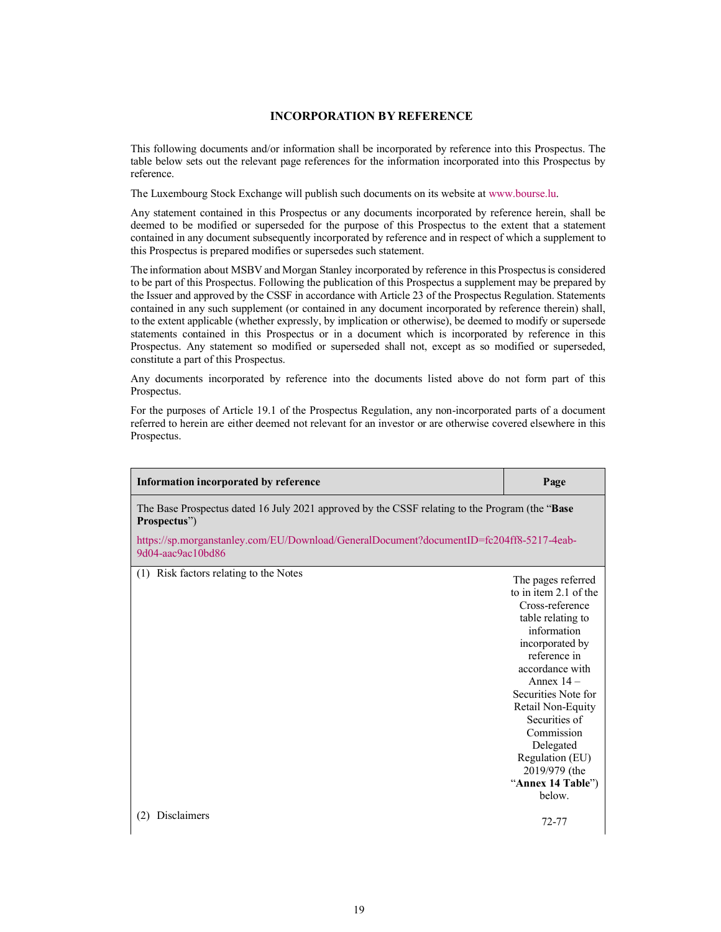# <span id="page-18-0"></span>**INCORPORATION BY REFERENCE**

This following documents and/or information shall be incorporated by referen[ce into this Prospe](http://www.bourse.lu/)ctus. The table below sets out the relevant page references for the information incorporated into this Prospectus by reference.

The Luxembourg Stock Exchange will publish such documents on its website at www.bourse.lu.

Any statement contained in this Prospectus or any documents incorporated by reference herein, shall be deemed to be modified or superseded for the purpose of this Prospectus to the extent that a statement contained in any document subsequently incorporated by reference and in respect of which a supplement to this Prospectus is prepared modifies or supersedes such statement.

The information about MSBV and Morgan Stanley incorporated by reference in this Prospectus is considered to be part of this Prospectus. Following the publication of this Prospectus a supplement may be prepared by the Issuer and approved by the CSSF in accordance with Article 23 of the Prospectus Regulation. Statements contained in any such supplement (or contained in any document incorporated by reference therein) shall, to the extent applicable (whether expressly, by implication or otherwise), be deemed to modify or supersede statements contained in this Prospectus or in a document which is incorporated by reference in this Prospectus. Any statement so modified or superseded shall not, except as so modified or superseded, constitute a part of this Prospectus.

Any documents incorporated by reference into the documents listed above do not form part of this Prospectus.

For the purposes of Article 19.1 of the Prospectus Regulation, any non-incorporated parts of a document referred to herein are either deemed not relevant for an investor or are otherwise covered elsewhere in this Prospectus.

| Information incorporated by reference                                                                           | Page                               |
|-----------------------------------------------------------------------------------------------------------------|------------------------------------|
| The Base Prospectus dated 16 July 2021 approved by the CSSF relating to the Program (the "Base"<br>Prospectus") |                                    |
| https://sp.morganstanley.com/EU/Download/GeneralDocument?documentID=fc204ff8-5217-4eab-<br>9d04-aac9ac10bd86    |                                    |
| (1) Risk factors relating to the Notes                                                                          | The pages referred                 |
|                                                                                                                 | to in item 2.1 of the              |
|                                                                                                                 | Cross-reference                    |
|                                                                                                                 | table relating to                  |
|                                                                                                                 | information                        |
|                                                                                                                 | incorporated by                    |
|                                                                                                                 | reference in                       |
|                                                                                                                 | accordance with                    |
|                                                                                                                 | Annex $14-$                        |
|                                                                                                                 | Securities Note for                |
|                                                                                                                 | Retail Non-Equity                  |
|                                                                                                                 | Securities of                      |
|                                                                                                                 | Commission                         |
|                                                                                                                 | Delegated                          |
|                                                                                                                 | Regulation (EU)                    |
|                                                                                                                 | 2019/979 (the<br>"Annex 14 Table") |
|                                                                                                                 | below.                             |
|                                                                                                                 |                                    |
| <b>Disclaimers</b><br>(2)                                                                                       | $72 - 77$                          |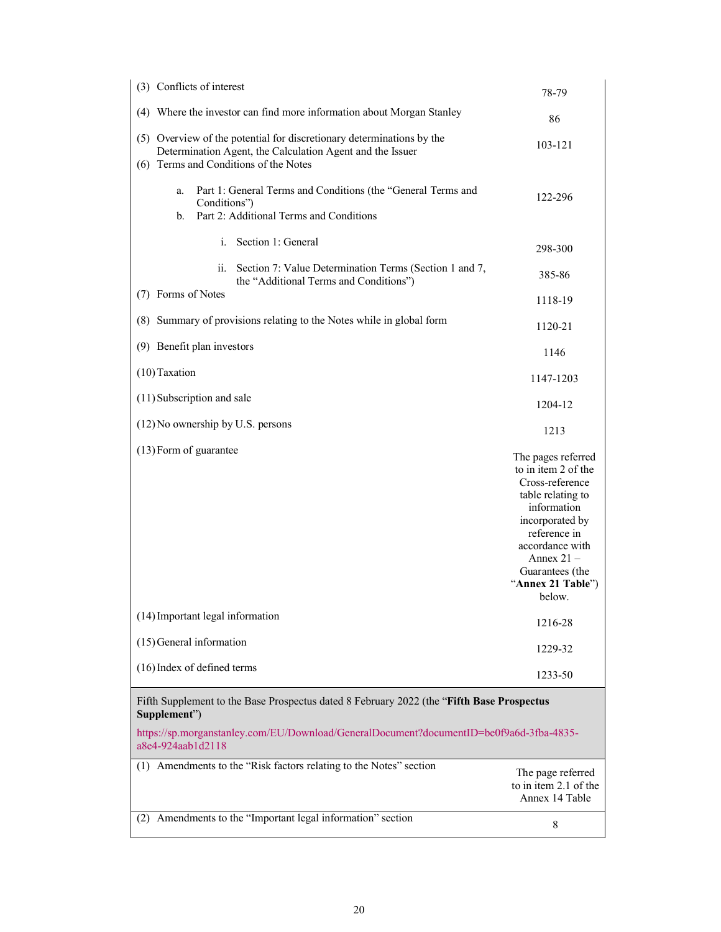| (3) Conflicts of interest                                                                                                                                                                            | 78-79                                                                                                                                                                                                                    |  |
|------------------------------------------------------------------------------------------------------------------------------------------------------------------------------------------------------|--------------------------------------------------------------------------------------------------------------------------------------------------------------------------------------------------------------------------|--|
| (4) Where the investor can find more information about Morgan Stanley                                                                                                                                | 86                                                                                                                                                                                                                       |  |
| (5) Overview of the potential for discretionary determinations by the<br>Determination Agent, the Calculation Agent and the Issuer<br>(6) Terms and Conditions of the Notes                          | 103-121                                                                                                                                                                                                                  |  |
| Part 1: General Terms and Conditions (the "General Terms and<br>a.<br>Conditions")<br>Part 2: Additional Terms and Conditions<br>b.                                                                  | 122-296                                                                                                                                                                                                                  |  |
| Section 1: General<br>i.                                                                                                                                                                             | 298-300                                                                                                                                                                                                                  |  |
| ii. Section 7: Value Determination Terms (Section 1 and 7,<br>the "Additional Terms and Conditions")                                                                                                 | 385-86                                                                                                                                                                                                                   |  |
| (7) Forms of Notes                                                                                                                                                                                   | 1118-19                                                                                                                                                                                                                  |  |
| (8) Summary of provisions relating to the Notes while in global form                                                                                                                                 | 1120-21                                                                                                                                                                                                                  |  |
| (9) Benefit plan investors                                                                                                                                                                           | 1146                                                                                                                                                                                                                     |  |
| (10) Taxation                                                                                                                                                                                        | 1147-1203                                                                                                                                                                                                                |  |
| (11) Subscription and sale                                                                                                                                                                           | 1204-12                                                                                                                                                                                                                  |  |
| (12) No ownership by U.S. persons                                                                                                                                                                    | 1213                                                                                                                                                                                                                     |  |
| (13) Form of guarantee                                                                                                                                                                               | The pages referred<br>to in item 2 of the<br>Cross-reference<br>table relating to<br>information<br>incorporated by<br>reference in<br>accordance with<br>Annex $21 -$<br>Guarantees (the<br>"Annex 21 Table")<br>below. |  |
| (14) Important legal information                                                                                                                                                                     | 1216-28                                                                                                                                                                                                                  |  |
| $(15)$ General information                                                                                                                                                                           | 1229-32                                                                                                                                                                                                                  |  |
| (16) Index of defined terms                                                                                                                                                                          | 1233-50                                                                                                                                                                                                                  |  |
| Fifth Supplement to the Base Prospectus dated 8 February 2022 (the "Fifth Base Prospectus<br>Supplement")<br>https://sp.morganstanley.com/EU/Download/GeneralDocument?documentID=be0f9a6d-3fba-4835- |                                                                                                                                                                                                                          |  |
| a8e4-924aab1d2118                                                                                                                                                                                    |                                                                                                                                                                                                                          |  |
| (1) Amendments to the "Risk factors relating to the Notes" section                                                                                                                                   | The page referred<br>to in item 2.1 of the<br>Annex 14 Table                                                                                                                                                             |  |
| (2) Amendments to the "Important legal information" section                                                                                                                                          | 8                                                                                                                                                                                                                        |  |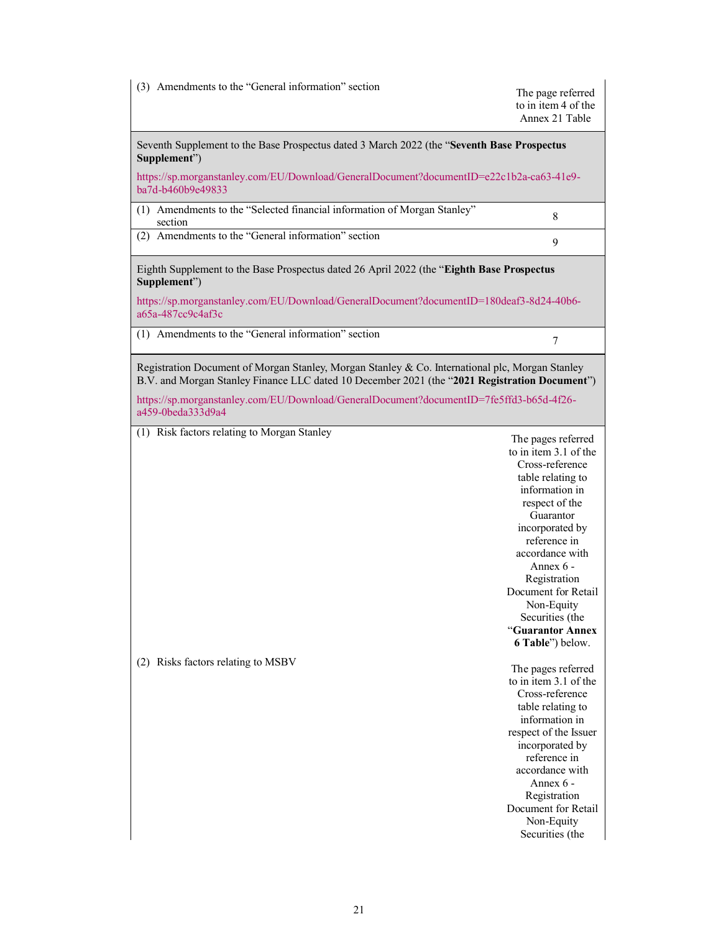(3) Amendments to the "General information" section The page referred

to in item 4 of the [Annex 21 Table](https://sp.morganstanley.com/EU/Download/GeneralDocument?documentID=e22c1b2a-ca63-41e9-ba7d-b460b9e49833)

[Seventh](https://sp.morganstanley.com/EU/Download/GeneralDocument?documentID=e22c1b2a-ca63-41e9-ba7d-b460b9e49833) Supplement to the Base Prospectus dated 3 March 2022 (the "**Seventh Base Prospectus Supplement**")

https://sp.morganstanley.com/EU/Download/GeneralDocument?documentID=e22c1b2a-ca63-41e9 ba7d-b460b9e49833

(1) Amendments to the "Selected financial information of Morgan Stanley" section <sup>8</sup>

(2) Amendments to the "General information" section <sup>9</sup>

Eighth [Supplement to the Base Prospectus dated 26](https://sp.morganstanley.com/EU/Download/GeneralDocument?documentID=180deaf3-8d24-40b6-a65a-487cc9c4af3c) April 2022 (the "**Eighth Base Prospectus [Supplement](https://sp.morganstanley.com/EU/Download/GeneralDocument?documentID=180deaf3-8d24-40b6-a65a-487cc9c4af3c)**")

https://sp.morganstanley.com/EU/Download/GeneralDocument?documentID=180deaf3-8d24-40b6 a65a-487cc9c4af3c

(1) Amendments to the "General information" section <sup>7</sup>

[Registration Document of Morgan Stanley, Morgan Stanley & Co. International plc, Morgan Stanley](https://sp.morganstanley.com/EU/Download/GeneralDocument?documentID=7fe5ffd3-b65d-4f26-a459-0beda333d9a4)  [B.V. and Morgan](https://sp.morganstanley.com/EU/Download/GeneralDocument?documentID=7fe5ffd3-b65d-4f26-a459-0beda333d9a4) Stanley Finance LLC dated 10 December 2021 (the "**2021 Registration Document**")

https://sp.morganstanley.com/EU/Download/GeneralDocument?documentID=7fe5ffd3-b65d-4f26 a459-0beda333d9a4

(1) Risk factors relating to Morgan Stanley The pages referred

to in item 3.1 of the Cross-reference table relating to information in respect of the Guarantor incorporated by reference in accordance with Annex 6 - Registration Document for Retail Non-Equity Securities (the "**Guarantor Annex 6 Table**") below.

(2) Risks factors relating to MSBV The pages referred to in item 3.1 of the Cross-reference table relating to information in respect of the Issuer incorporated by reference in accordance with Annex 6 - Registration Document for Retail Non-Equity Securities (the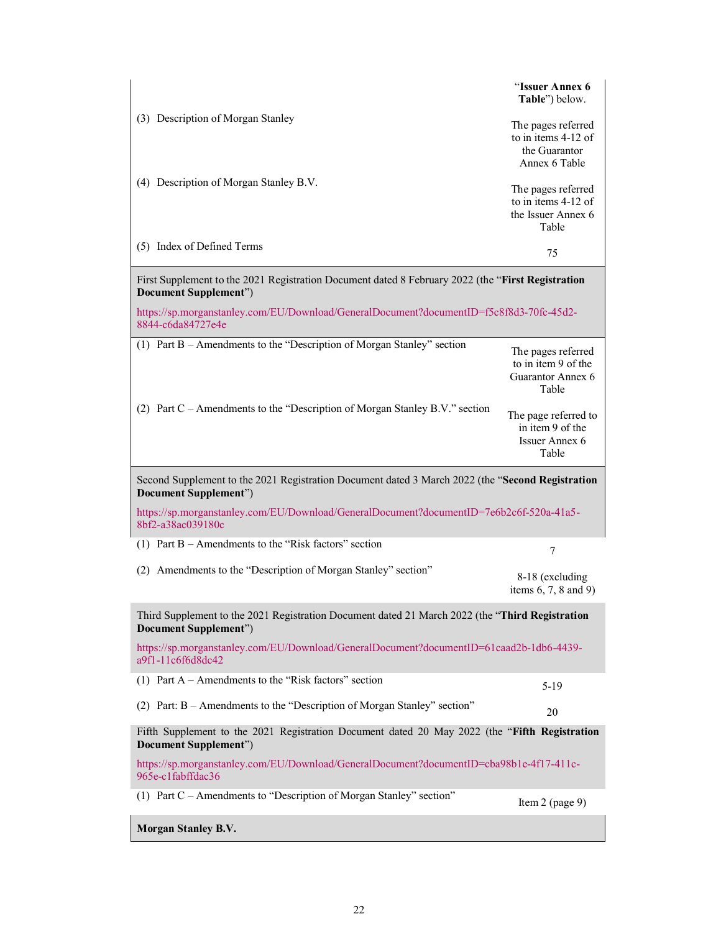|                                                                                                                                    | "Issuer Annex 6<br>Table") below.                                           |
|------------------------------------------------------------------------------------------------------------------------------------|-----------------------------------------------------------------------------|
| (3) Description of Morgan Stanley                                                                                                  | The pages referred<br>to in items 4-12 of<br>the Guarantor<br>Annex 6 Table |
| (4) Description of Morgan Stanley B.V.                                                                                             | The pages referred<br>to in items 4-12 of<br>the Issuer Annex 6<br>Table    |
| (5) Index of Defined Terms                                                                                                         | 75                                                                          |
| First Supplement to the 2021 Registration Document dated 8 February 2022 (the "First Registration<br><b>Document Supplement"</b> ) |                                                                             |
| https://sp.morganstanley.com/EU/Download/GeneralDocument?documentID=f5c8f8d3-70fc-45d2-<br>8844-c6da84727e4e                       |                                                                             |
| (1) Part B - Amendments to the "Description of Morgan Stanley" section                                                             | The pages referred<br>to in item 9 of the<br>Guarantor Annex 6<br>Table     |
| (2) Part C - Amendments to the "Description of Morgan Stanley B.V." section                                                        | The page referred to<br>in item 9 of the<br>Issuer Annex 6<br>Table         |
| Second Supplement to the 2021 Registration Document dated 3 March 2022 (the "Second Registration<br><b>Document Supplement")</b>   |                                                                             |
| https://sp.morganstanley.com/EU/Download/GeneralDocument?documentID=7e6b2c6f-520a-41a5-<br>8bf2-a38ac039180c                       |                                                                             |
| (1) Part B – Amendments to the "Risk factors" section                                                                              | $\tau$                                                                      |
| (2) Amendments to the "Description of Morgan Stanley" section"                                                                     | 8-18 (excluding<br>items $6, 7, 8$ and $9)$                                 |
| Third Supplement to the 2021 Registration Document dated 21 March 2022 (the "Third Registration<br><b>Document Supplement"</b> )   |                                                                             |
| https://sp.morganstanley.com/EU/Download/GeneralDocument?documentID=61caad2b-1db6-4439-<br>a9f1-11c6f6d8dc42                       |                                                                             |
| (1) Part $A -$ Amendments to the "Risk factors" section                                                                            | $5-19$                                                                      |
|                                                                                                                                    |                                                                             |
| (2) Part: B - Amendments to the "Description of Morgan Stanley" section"                                                           | 20                                                                          |
| Fifth Supplement to the 2021 Registration Document dated 20 May 2022 (the "Fifth Registration<br><b>Document Supplement"</b> )     |                                                                             |
| https://sp.morganstanley.com/EU/Download/GeneralDocument?documentID=cba98b1e-4f17-411c-<br>965e-c1fabffdac36                       |                                                                             |
| (1) Part C – Amendments to "Description of Morgan Stanley" section"                                                                | Item $2$ (page 9)                                                           |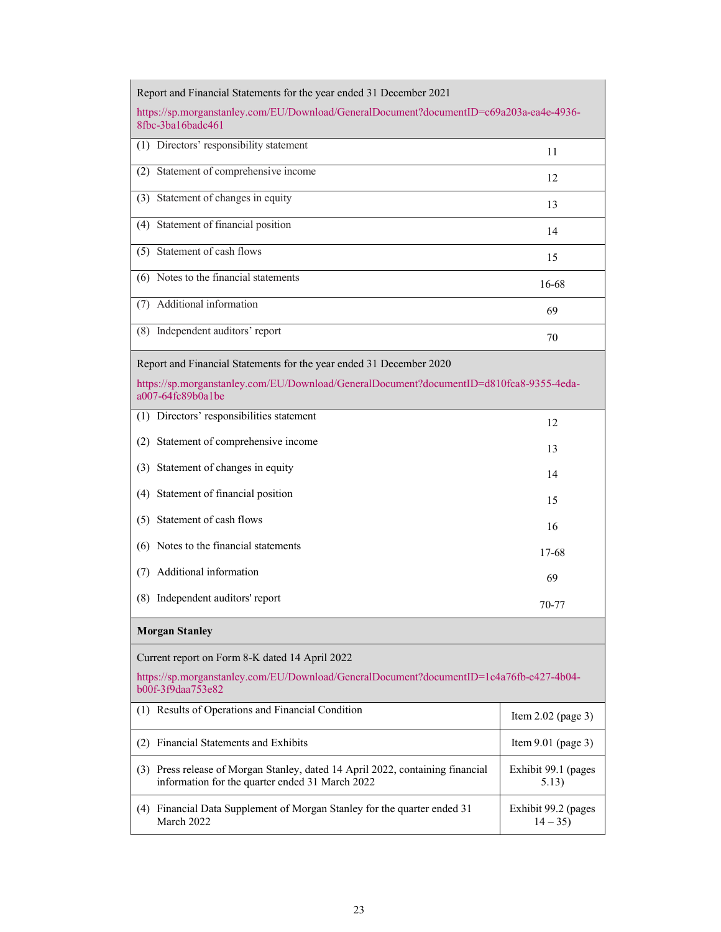| Report and Financial Statements for the year ended 31 December 2021                                                                                                                 |                                  |  |  |  |
|-------------------------------------------------------------------------------------------------------------------------------------------------------------------------------------|----------------------------------|--|--|--|
| https://sp.morganstanley.com/EU/Download/GeneralDocument?documentID=c69a203a-ea4e-4936-<br>8fbc-3ba16badc461                                                                        |                                  |  |  |  |
| (1) Directors' responsibility statement                                                                                                                                             | 11                               |  |  |  |
| Statement of comprehensive income<br>(2)                                                                                                                                            | 12                               |  |  |  |
| (3) Statement of changes in equity                                                                                                                                                  | 13                               |  |  |  |
| Statement of financial position<br>(4)                                                                                                                                              | 14                               |  |  |  |
| (5) Statement of cash flows                                                                                                                                                         | 15                               |  |  |  |
| (6) Notes to the financial statements                                                                                                                                               | 16-68                            |  |  |  |
| (7) Additional information                                                                                                                                                          | 69                               |  |  |  |
| (8) Independent auditors' report                                                                                                                                                    | 70                               |  |  |  |
| Report and Financial Statements for the year ended 31 December 2020<br>https://sp.morganstanley.com/EU/Download/GeneralDocument?documentID=d810fca8-9355-4eda-<br>a007-64fc89b0a1be |                                  |  |  |  |
| (1) Directors' responsibilities statement                                                                                                                                           | 12                               |  |  |  |
| Statement of comprehensive income<br>(2)                                                                                                                                            | 13                               |  |  |  |
| Statement of changes in equity<br>(3)                                                                                                                                               | 14                               |  |  |  |
| Statement of financial position<br>(4)                                                                                                                                              | 15                               |  |  |  |
| (5) Statement of cash flows                                                                                                                                                         | 16                               |  |  |  |
| (6) Notes to the financial statements                                                                                                                                               | 17-68                            |  |  |  |
| Additional information<br>(7)                                                                                                                                                       | 69                               |  |  |  |
| (8) Independent auditors' report                                                                                                                                                    | 70-77                            |  |  |  |
| <b>Morgan Stanley</b>                                                                                                                                                               |                                  |  |  |  |
| Current report on Form 8-K dated 14 April 2022                                                                                                                                      |                                  |  |  |  |
| https://sp.morganstanley.com/EU/Download/GeneralDocument?documentID=1c4a76fb-e427-4b04-<br>b00f-3f9daa753e82                                                                        |                                  |  |  |  |
| (1) Results of Operations and Financial Condition                                                                                                                                   | Item 2.02 (page 3)               |  |  |  |
| (2) Financial Statements and Exhibits<br>Item $9.01$ (page 3)                                                                                                                       |                                  |  |  |  |
| (3) Press release of Morgan Stanley, dated 14 April 2022, containing financial<br>information for the quarter ended 31 March 2022                                                   | Exhibit 99.1 (pages<br>5.13)     |  |  |  |
| (4) Financial Data Supplement of Morgan Stanley for the quarter ended 31<br>March 2022                                                                                              | Exhibit 99.2 (pages<br>$14 - 35$ |  |  |  |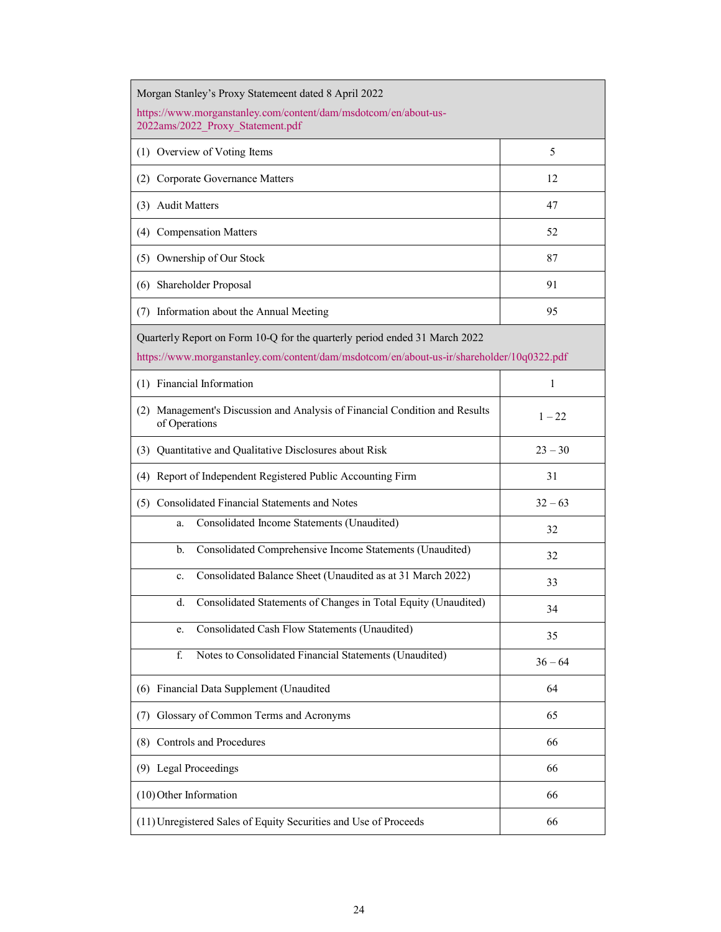| Morgan Stanley's Proxy Statemeent dated 8 April 2022                                                                                                                    |              |  |  |
|-------------------------------------------------------------------------------------------------------------------------------------------------------------------------|--------------|--|--|
| https://www.morganstanley.com/content/dam/msdotcom/en/about-us-<br>2022ams/2022_Proxy_Statement.pdf                                                                     |              |  |  |
| (1) Overview of Voting Items                                                                                                                                            | 5            |  |  |
| (2) Corporate Governance Matters                                                                                                                                        | 12           |  |  |
| (3) Audit Matters                                                                                                                                                       | 47           |  |  |
| (4) Compensation Matters                                                                                                                                                | 52           |  |  |
| (5) Ownership of Our Stock                                                                                                                                              | 87           |  |  |
| (6) Shareholder Proposal                                                                                                                                                | 91           |  |  |
| (7) Information about the Annual Meeting                                                                                                                                | 95           |  |  |
| Quarterly Report on Form 10-Q for the quarterly period ended 31 March 2022<br>https://www.morganstanley.com/content/dam/msdotcom/en/about-us-ir/shareholder/10q0322.pdf |              |  |  |
| (1) Financial Information                                                                                                                                               | $\mathbf{1}$ |  |  |
| (2) Management's Discussion and Analysis of Financial Condition and Results<br>of Operations                                                                            | $1 - 22$     |  |  |
| (3) Quantitative and Qualitative Disclosures about Risk                                                                                                                 | $23 - 30$    |  |  |
| (4) Report of Independent Registered Public Accounting Firm                                                                                                             | 31           |  |  |
| (5) Consolidated Financial Statements and Notes                                                                                                                         | $32 - 63$    |  |  |
| Consolidated Income Statements (Unaudited)<br>a.                                                                                                                        | 32           |  |  |
| Consolidated Comprehensive Income Statements (Unaudited)<br>b.                                                                                                          | 32           |  |  |
| Consolidated Balance Sheet (Unaudited as at 31 March 2022)<br>c.                                                                                                        | 33           |  |  |
| Consolidated Statements of Changes in Total Equity (Unaudited)<br>d.                                                                                                    | 34           |  |  |
| Consolidated Cash Flow Statements (Unaudited)<br>e.                                                                                                                     | 35           |  |  |
| Notes to Consolidated Financial Statements (Unaudited)<br>f.                                                                                                            | $36 - 64$    |  |  |
| (6) Financial Data Supplement (Unaudited                                                                                                                                | 64           |  |  |
| (7) Glossary of Common Terms and Acronyms                                                                                                                               | 65           |  |  |
| (8) Controls and Procedures                                                                                                                                             | 66           |  |  |
| (9) Legal Proceedings                                                                                                                                                   | 66           |  |  |
| $(10)$ Other Information                                                                                                                                                | 66           |  |  |
| (11) Unregistered Sales of Equity Securities and Use of Proceeds                                                                                                        | 66           |  |  |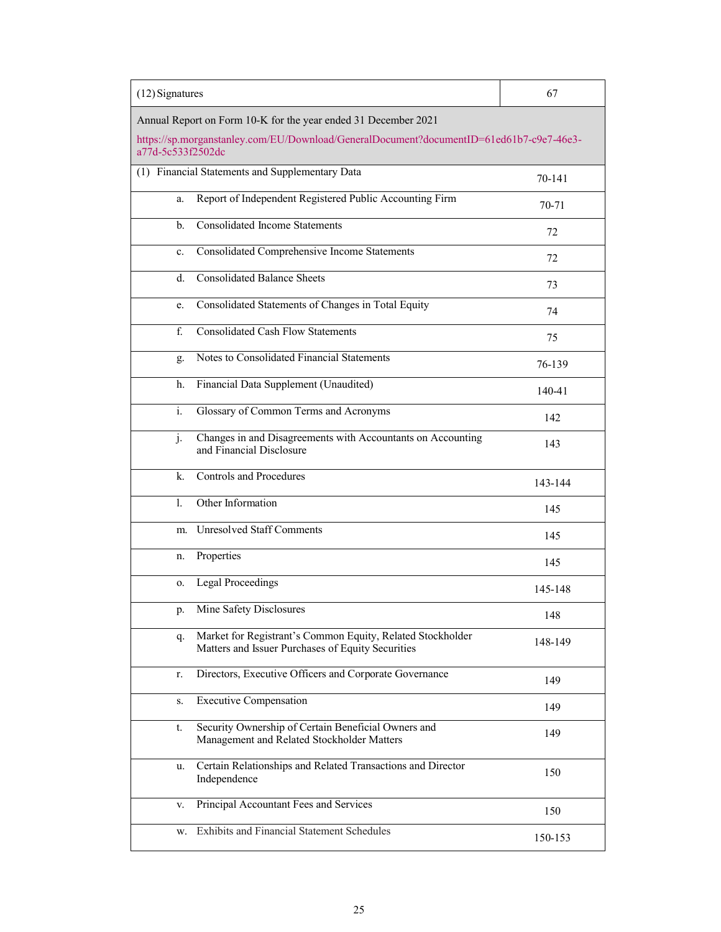| $(12)$ Signatures                                              |                                                                                                                 | 67      |  |
|----------------------------------------------------------------|-----------------------------------------------------------------------------------------------------------------|---------|--|
| Annual Report on Form 10-K for the year ended 31 December 2021 |                                                                                                                 |         |  |
| a77d-5c533f2502dc                                              | https://sp.morganstanley.com/EU/Download/GeneralDocument?documentID=61ed61b7-c9e7-46e3-                         |         |  |
| (1) Financial Statements and Supplementary Data                |                                                                                                                 | 70-141  |  |
| a.                                                             | Report of Independent Registered Public Accounting Firm                                                         | 70-71   |  |
| <b>Consolidated Income Statements</b><br>b.                    |                                                                                                                 | 72      |  |
| c.                                                             | Consolidated Comprehensive Income Statements                                                                    | 72      |  |
| <b>Consolidated Balance Sheets</b><br>d.                       |                                                                                                                 | 73      |  |
| e.                                                             | Consolidated Statements of Changes in Total Equity                                                              | 74      |  |
| <b>Consolidated Cash Flow Statements</b><br>f.                 |                                                                                                                 | 75      |  |
| Notes to Consolidated Financial Statements<br>g.               |                                                                                                                 | 76-139  |  |
| Financial Data Supplement (Unaudited)<br>h.                    |                                                                                                                 | 140-41  |  |
| $\overline{i}$ .<br>Glossary of Common Terms and Acronyms      |                                                                                                                 | 142     |  |
| j.<br>and Financial Disclosure                                 | Changes in and Disagreements with Accountants on Accounting                                                     | 143     |  |
| <b>Controls and Procedures</b><br>k.                           |                                                                                                                 | 143-144 |  |
| Other Information<br>$\mathbf{1}$ .                            |                                                                                                                 | 145     |  |
| <b>Unresolved Staff Comments</b><br>m.                         |                                                                                                                 | 145     |  |
| Properties<br>n.                                               |                                                                                                                 | 145     |  |
| <b>Legal Proceedings</b><br>0.                                 |                                                                                                                 | 145-148 |  |
| Mine Safety Disclosures<br>p.                                  |                                                                                                                 | 148     |  |
| q.                                                             | Market for Registrant's Common Equity, Related Stockholder<br>Matters and Issuer Purchases of Equity Securities | 148-149 |  |
| r.                                                             | Directors, Executive Officers and Corporate Governance                                                          | 149     |  |
| <b>Executive Compensation</b><br>S.                            |                                                                                                                 | 149     |  |
| t.                                                             | Security Ownership of Certain Beneficial Owners and<br>Management and Related Stockholder Matters               | 149     |  |
| u.<br>Independence                                             | Certain Relationships and Related Transactions and Director                                                     | 150     |  |
| Principal Accountant Fees and Services<br>v.                   |                                                                                                                 | 150     |  |
| <b>Exhibits and Financial Statement Schedules</b><br>w.        |                                                                                                                 | 150-153 |  |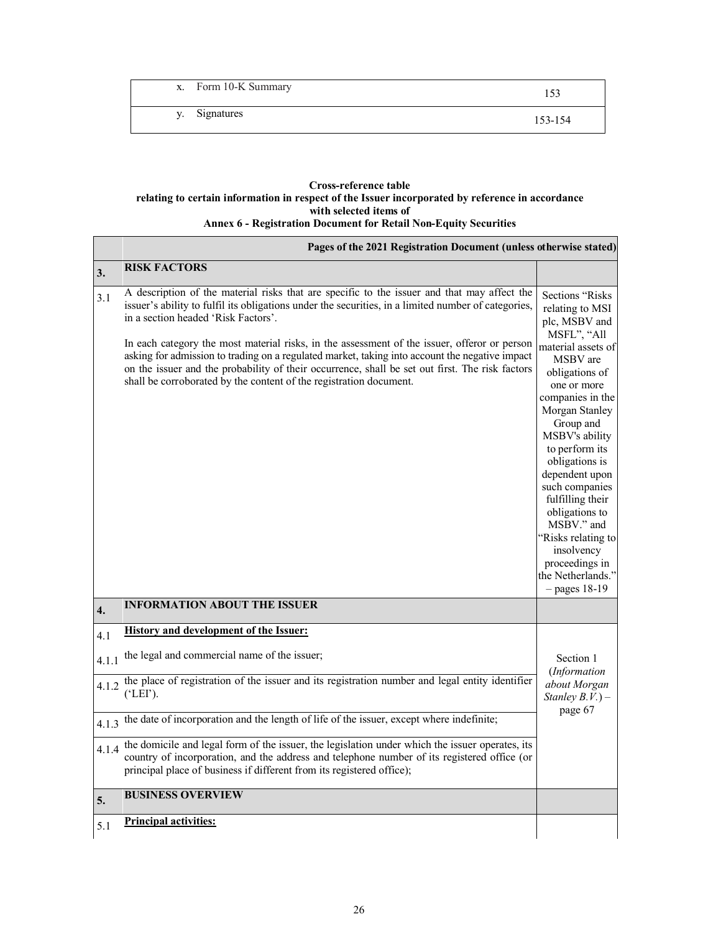| x. Form 10-K Summary |         |
|----------------------|---------|
| y. Signatures        | 153-154 |

# **Cross-reference table relating to certain information in respect of the Issuer incorporated by reference in accordance with selected items of Annex 6 - Registration Document for Retail Non-Equity Securities**

| Pages of the 2021 Registration Document (unless otherwise stated) |                                                                                                                                                                                                                                                                                                                                                                                                                                                                                                                                                                                                                      |                                                                                                                                                                                                                                                                                                                                                                                                                                      |
|-------------------------------------------------------------------|----------------------------------------------------------------------------------------------------------------------------------------------------------------------------------------------------------------------------------------------------------------------------------------------------------------------------------------------------------------------------------------------------------------------------------------------------------------------------------------------------------------------------------------------------------------------------------------------------------------------|--------------------------------------------------------------------------------------------------------------------------------------------------------------------------------------------------------------------------------------------------------------------------------------------------------------------------------------------------------------------------------------------------------------------------------------|
| 3.                                                                | <b>RISK FACTORS</b>                                                                                                                                                                                                                                                                                                                                                                                                                                                                                                                                                                                                  |                                                                                                                                                                                                                                                                                                                                                                                                                                      |
| 3.1                                                               | A description of the material risks that are specific to the issuer and that may affect the<br>issuer's ability to fulfil its obligations under the securities, in a limited number of categories,<br>in a section headed 'Risk Factors'.<br>In each category the most material risks, in the assessment of the issuer, offeror or person<br>asking for admission to trading on a regulated market, taking into account the negative impact<br>on the issuer and the probability of their occurrence, shall be set out first. The risk factors<br>shall be corroborated by the content of the registration document. | Sections "Risks<br>relating to MSI<br>plc, MSBV and<br>MSFL", "All<br>material assets of<br>MSBV are<br>obligations of<br>one or more<br>companies in the<br>Morgan Stanley<br>Group and<br>MSBV's ability<br>to perform its<br>obligations is<br>dependent upon<br>such companies<br>fulfilling their<br>obligations to<br>MSBV." and<br>"Risks relating to<br>insolvency<br>proceedings in<br>the Netherlands."<br>$-$ pages 18-19 |
| $\overline{4}$ .                                                  | <b>INFORMATION ABOUT THE ISSUER</b>                                                                                                                                                                                                                                                                                                                                                                                                                                                                                                                                                                                  |                                                                                                                                                                                                                                                                                                                                                                                                                                      |
| 4.1                                                               | <b>History and development of the Issuer:</b>                                                                                                                                                                                                                                                                                                                                                                                                                                                                                                                                                                        |                                                                                                                                                                                                                                                                                                                                                                                                                                      |
| 4.1.1                                                             | the legal and commercial name of the issuer;                                                                                                                                                                                                                                                                                                                                                                                                                                                                                                                                                                         | Section 1<br>(Information                                                                                                                                                                                                                                                                                                                                                                                                            |
| 4.1.2                                                             | the place of registration of the issuer and its registration number and legal entity identifier<br>$({EIF})$ .                                                                                                                                                                                                                                                                                                                                                                                                                                                                                                       | about Morgan<br>Stanley $B.V.$ ) –<br>page 67                                                                                                                                                                                                                                                                                                                                                                                        |
| 4.1.3                                                             | the date of incorporation and the length of life of the issuer, except where indefinite;                                                                                                                                                                                                                                                                                                                                                                                                                                                                                                                             |                                                                                                                                                                                                                                                                                                                                                                                                                                      |
| 4.1.4                                                             | the domicile and legal form of the issuer, the legislation under which the issuer operates, its<br>country of incorporation, and the address and telephone number of its registered office (or<br>principal place of business if different from its registered office);                                                                                                                                                                                                                                                                                                                                              |                                                                                                                                                                                                                                                                                                                                                                                                                                      |
| 5.                                                                | <b>BUSINESS OVERVIEW</b>                                                                                                                                                                                                                                                                                                                                                                                                                                                                                                                                                                                             |                                                                                                                                                                                                                                                                                                                                                                                                                                      |
| 5.1                                                               | <b>Principal activities:</b>                                                                                                                                                                                                                                                                                                                                                                                                                                                                                                                                                                                         |                                                                                                                                                                                                                                                                                                                                                                                                                                      |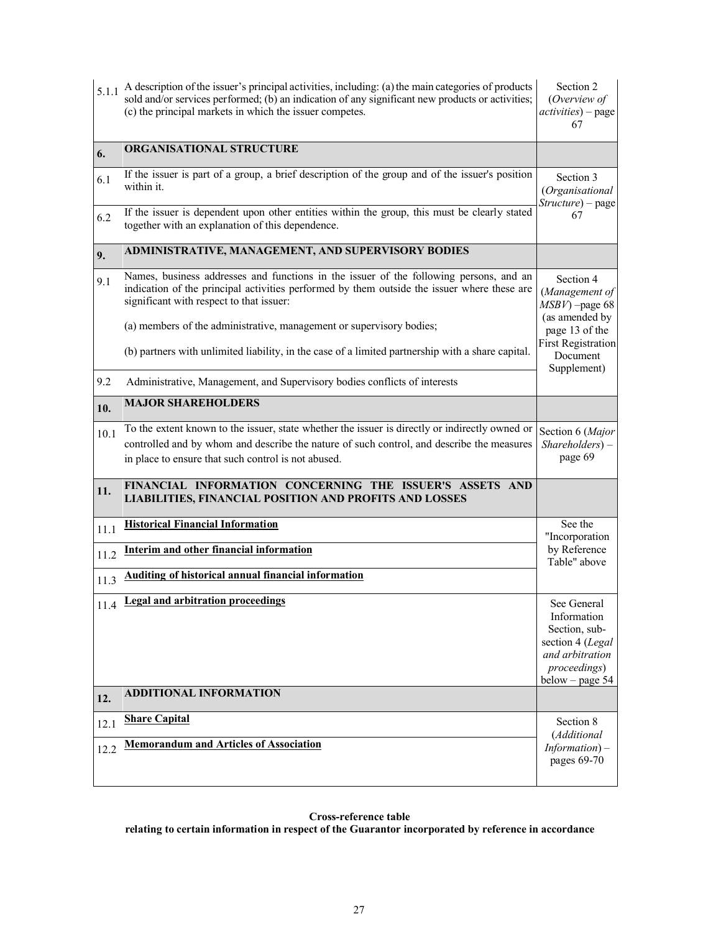| 5.1.1        | A description of the issuer's principal activities, including: (a) the main categories of products<br>sold and/or services performed; (b) an indication of any significant new products or activities;<br>(c) the principal markets in which the issuer competes. |                                                                                                                         |  |  |
|--------------|-------------------------------------------------------------------------------------------------------------------------------------------------------------------------------------------------------------------------------------------------------------------|-------------------------------------------------------------------------------------------------------------------------|--|--|
| 6.           | ORGANISATIONAL STRUCTURE                                                                                                                                                                                                                                          |                                                                                                                         |  |  |
| 6.1          | If the issuer is part of a group, a brief description of the group and of the issuer's position<br>within it.                                                                                                                                                     | Section 3<br>(Organisational<br>Structure) - page                                                                       |  |  |
| 6.2          | If the issuer is dependent upon other entities within the group, this must be clearly stated<br>together with an explanation of this dependence.                                                                                                                  | 67                                                                                                                      |  |  |
| 9.           | ADMINISTRATIVE, MANAGEMENT, AND SUPERVISORY BODIES                                                                                                                                                                                                                |                                                                                                                         |  |  |
| 9.1          | Names, business addresses and functions in the issuer of the following persons, and an<br>indication of the principal activities performed by them outside the issuer where these are<br>significant with respect to that issuer:                                 | Section 4<br>(Management of<br>$MSBV$ ) -page 68<br>(as amended by                                                      |  |  |
|              | (a) members of the administrative, management or supervisory bodies;                                                                                                                                                                                              | page 13 of the<br><b>First Registration</b>                                                                             |  |  |
|              | (b) partners with unlimited liability, in the case of a limited partnership with a share capital.                                                                                                                                                                 | Document<br>Supplement)                                                                                                 |  |  |
| 9.2          | Administrative, Management, and Supervisory bodies conflicts of interests                                                                                                                                                                                         |                                                                                                                         |  |  |
| 10.          | <b>MAJOR SHAREHOLDERS</b>                                                                                                                                                                                                                                         |                                                                                                                         |  |  |
| 10.1         | To the extent known to the issuer, state whether the issuer is directly or indirectly owned or<br>controlled and by whom and describe the nature of such control, and describe the measures<br>in place to ensure that such control is not abused.                | Section 6 (Major<br>$Shareholders$ ) –<br>page 69                                                                       |  |  |
| 11.          | FINANCIAL INFORMATION CONCERNING THE ISSUER'S ASSETS AND<br>LIABILITIES, FINANCIAL POSITION AND PROFITS AND LOSSES                                                                                                                                                |                                                                                                                         |  |  |
| 11.1         | <b>Historical Financial Information</b>                                                                                                                                                                                                                           | See the<br>"Incorporation                                                                                               |  |  |
| 11.2         | <b>Interim and other financial information</b>                                                                                                                                                                                                                    | by Reference<br>Table" above                                                                                            |  |  |
| 11.3         | Auditing of historical annual financial information                                                                                                                                                                                                               |                                                                                                                         |  |  |
| 11.4         | <b>Legal and arbitration proceedings</b>                                                                                                                                                                                                                          | See General<br>Information<br>Section, sub-<br>section 4 (Legal<br>and arbitration<br>proceedings)<br>$below - page 54$ |  |  |
| 12.          | <b>ADDITIONAL INFORMATION</b>                                                                                                                                                                                                                                     |                                                                                                                         |  |  |
| 12.1<br>12.2 | <b>Share Capital</b><br><b>Memorandum and Articles of Association</b>                                                                                                                                                                                             | Section 8<br>(Additional<br>$Information$ ) –<br>pages 69-70                                                            |  |  |

**relating to certain information in respect of the Guarantor incorporated by reference in accordance**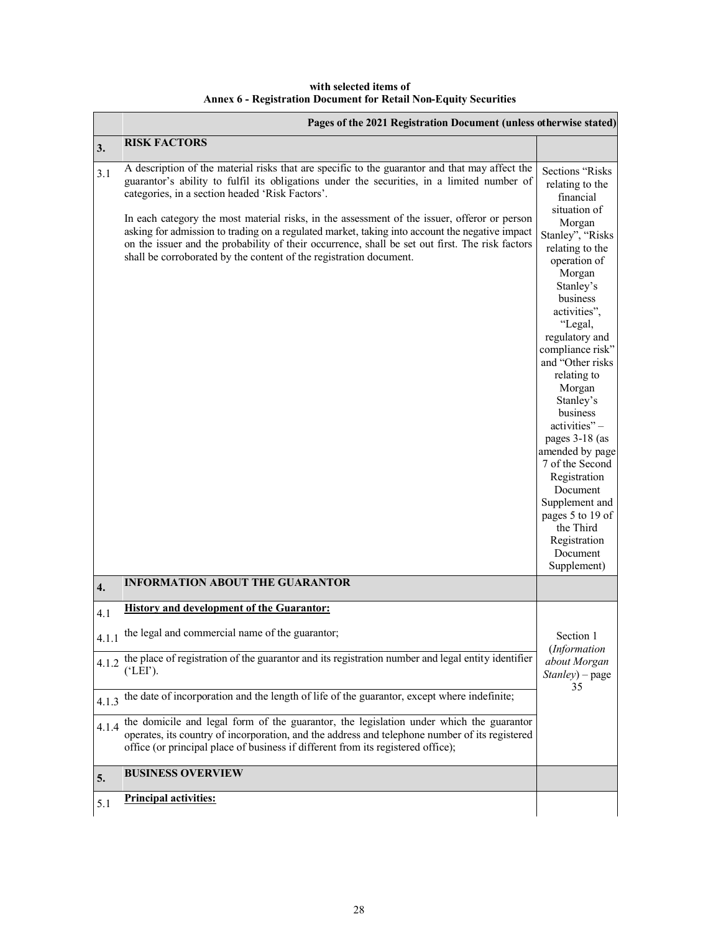**with selected items of Annex 6 - Registration Document for Retail Non-Equity Securities**

| <b>RISK FACTORS</b><br>3.<br>A description of the material risks that are specific to the guarantor and that may affect the<br>3.1<br>guarantor's ability to fulfil its obligations under the securities, in a limited number of<br>categories, in a section headed 'Risk Factors'.<br>financial<br>situation of<br>In each category the most material risks, in the assessment of the issuer, offeror or person<br>Morgan<br>asking for admission to trading on a regulated market, taking into account the negative impact<br>on the issuer and the probability of their occurrence, shall be set out first. The risk factors<br>shall be corroborated by the content of the registration document.<br>operation of<br>Morgan<br>Stanley's<br>business<br>activities",<br>"Legal,<br>regulatory and<br>relating to<br>Morgan<br>Stanley's<br>business<br>activities"-<br>7 of the Second<br>Registration<br>Document<br>the Third<br>Registration<br>Document<br>Supplement)<br><b>INFORMATION ABOUT THE GUARANTOR</b><br>$\overline{4}$ .<br><b>History and development of the Guarantor:</b><br>4.1<br>the legal and commercial name of the guarantor;<br>Section 1<br>4.1.1<br>(Information<br>4.1.2 the place of registration of the guarantor and its registration number and legal entity identifier<br>(`LEI').<br>35<br>the date of incorporation and the length of life of the guarantor, except where indefinite;<br>4.1.3<br>the domicile and legal form of the guarantor, the legislation under which the guarantor<br>4.1.4<br>operates, its country of incorporation, and the address and telephone number of its registered<br>office (or principal place of business if different from its registered office);<br><b>BUSINESS OVERVIEW</b><br>5. |     | Pages of the 2021 Registration Document (unless otherwise stated) |                                      |  |
|--------------------------------------------------------------------------------------------------------------------------------------------------------------------------------------------------------------------------------------------------------------------------------------------------------------------------------------------------------------------------------------------------------------------------------------------------------------------------------------------------------------------------------------------------------------------------------------------------------------------------------------------------------------------------------------------------------------------------------------------------------------------------------------------------------------------------------------------------------------------------------------------------------------------------------------------------------------------------------------------------------------------------------------------------------------------------------------------------------------------------------------------------------------------------------------------------------------------------------------------------------------------------------------------------------------------------------------------------------------------------------------------------------------------------------------------------------------------------------------------------------------------------------------------------------------------------------------------------------------------------------------------------------------------------------------------------------------------------------------------------------------------|-----|-------------------------------------------------------------------|--------------------------------------|--|
|                                                                                                                                                                                                                                                                                                                                                                                                                                                                                                                                                                                                                                                                                                                                                                                                                                                                                                                                                                                                                                                                                                                                                                                                                                                                                                                                                                                                                                                                                                                                                                                                                                                                                                                                                                    |     |                                                                   |                                      |  |
|                                                                                                                                                                                                                                                                                                                                                                                                                                                                                                                                                                                                                                                                                                                                                                                                                                                                                                                                                                                                                                                                                                                                                                                                                                                                                                                                                                                                                                                                                                                                                                                                                                                                                                                                                                    |     |                                                                   | Sections "Risks"<br>relating to the  |  |
|                                                                                                                                                                                                                                                                                                                                                                                                                                                                                                                                                                                                                                                                                                                                                                                                                                                                                                                                                                                                                                                                                                                                                                                                                                                                                                                                                                                                                                                                                                                                                                                                                                                                                                                                                                    |     |                                                                   | Stanley", "Risks<br>relating to the  |  |
|                                                                                                                                                                                                                                                                                                                                                                                                                                                                                                                                                                                                                                                                                                                                                                                                                                                                                                                                                                                                                                                                                                                                                                                                                                                                                                                                                                                                                                                                                                                                                                                                                                                                                                                                                                    |     |                                                                   | compliance risk"<br>and "Other risks |  |
|                                                                                                                                                                                                                                                                                                                                                                                                                                                                                                                                                                                                                                                                                                                                                                                                                                                                                                                                                                                                                                                                                                                                                                                                                                                                                                                                                                                                                                                                                                                                                                                                                                                                                                                                                                    |     |                                                                   | pages 3-18 (as<br>amended by page    |  |
|                                                                                                                                                                                                                                                                                                                                                                                                                                                                                                                                                                                                                                                                                                                                                                                                                                                                                                                                                                                                                                                                                                                                                                                                                                                                                                                                                                                                                                                                                                                                                                                                                                                                                                                                                                    |     |                                                                   | Supplement and<br>pages 5 to 19 of   |  |
|                                                                                                                                                                                                                                                                                                                                                                                                                                                                                                                                                                                                                                                                                                                                                                                                                                                                                                                                                                                                                                                                                                                                                                                                                                                                                                                                                                                                                                                                                                                                                                                                                                                                                                                                                                    |     |                                                                   |                                      |  |
|                                                                                                                                                                                                                                                                                                                                                                                                                                                                                                                                                                                                                                                                                                                                                                                                                                                                                                                                                                                                                                                                                                                                                                                                                                                                                                                                                                                                                                                                                                                                                                                                                                                                                                                                                                    |     |                                                                   |                                      |  |
|                                                                                                                                                                                                                                                                                                                                                                                                                                                                                                                                                                                                                                                                                                                                                                                                                                                                                                                                                                                                                                                                                                                                                                                                                                                                                                                                                                                                                                                                                                                                                                                                                                                                                                                                                                    |     |                                                                   |                                      |  |
|                                                                                                                                                                                                                                                                                                                                                                                                                                                                                                                                                                                                                                                                                                                                                                                                                                                                                                                                                                                                                                                                                                                                                                                                                                                                                                                                                                                                                                                                                                                                                                                                                                                                                                                                                                    |     |                                                                   |                                      |  |
|                                                                                                                                                                                                                                                                                                                                                                                                                                                                                                                                                                                                                                                                                                                                                                                                                                                                                                                                                                                                                                                                                                                                                                                                                                                                                                                                                                                                                                                                                                                                                                                                                                                                                                                                                                    |     |                                                                   | about Morgan<br>$Stanley$ ) – page   |  |
|                                                                                                                                                                                                                                                                                                                                                                                                                                                                                                                                                                                                                                                                                                                                                                                                                                                                                                                                                                                                                                                                                                                                                                                                                                                                                                                                                                                                                                                                                                                                                                                                                                                                                                                                                                    |     |                                                                   |                                      |  |
|                                                                                                                                                                                                                                                                                                                                                                                                                                                                                                                                                                                                                                                                                                                                                                                                                                                                                                                                                                                                                                                                                                                                                                                                                                                                                                                                                                                                                                                                                                                                                                                                                                                                                                                                                                    |     |                                                                   |                                      |  |
|                                                                                                                                                                                                                                                                                                                                                                                                                                                                                                                                                                                                                                                                                                                                                                                                                                                                                                                                                                                                                                                                                                                                                                                                                                                                                                                                                                                                                                                                                                                                                                                                                                                                                                                                                                    |     |                                                                   |                                      |  |
|                                                                                                                                                                                                                                                                                                                                                                                                                                                                                                                                                                                                                                                                                                                                                                                                                                                                                                                                                                                                                                                                                                                                                                                                                                                                                                                                                                                                                                                                                                                                                                                                                                                                                                                                                                    | 5.1 | <b>Principal activities:</b>                                      |                                      |  |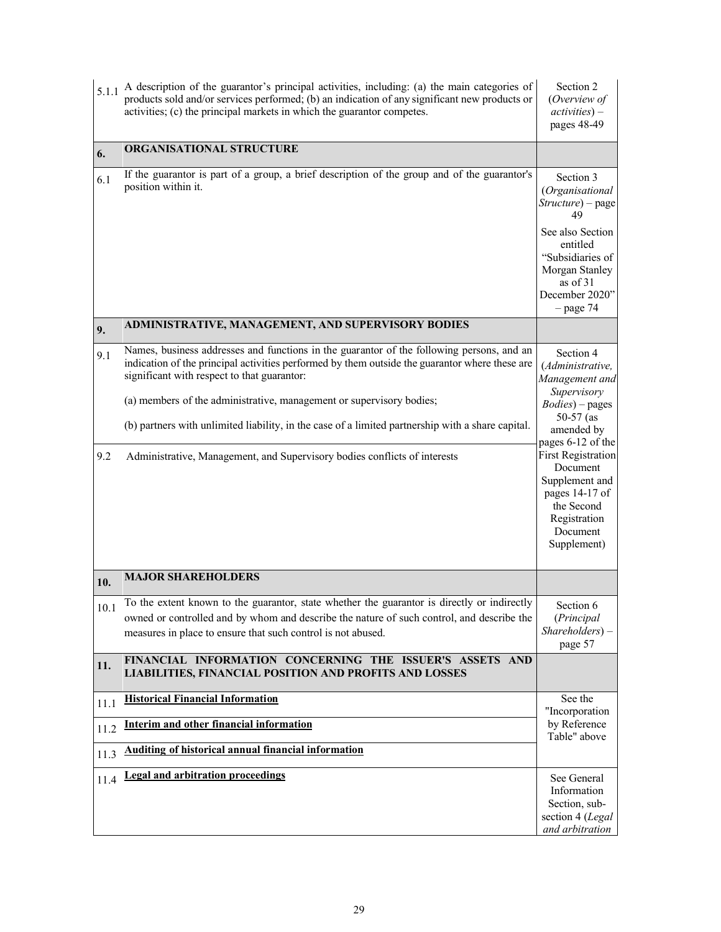| 5.1.1      | A description of the guarantor's principal activities, including: (a) the main categories of<br>products sold and/or services performed; (b) an indication of any significant new products or<br>activities; (c) the principal markets in which the guarantor competes.                                                                                                                                                                                                                              |                                                                                                                                                                                                                            |
|------------|------------------------------------------------------------------------------------------------------------------------------------------------------------------------------------------------------------------------------------------------------------------------------------------------------------------------------------------------------------------------------------------------------------------------------------------------------------------------------------------------------|----------------------------------------------------------------------------------------------------------------------------------------------------------------------------------------------------------------------------|
| 6.         | ORGANISATIONAL STRUCTURE                                                                                                                                                                                                                                                                                                                                                                                                                                                                             |                                                                                                                                                                                                                            |
| 6.1        | If the guarantor is part of a group, a brief description of the group and of the guarantor's<br>position within it.                                                                                                                                                                                                                                                                                                                                                                                  | Section 3<br>(Organisational<br>Structure) - page<br>49<br>See also Section<br>entitled<br>"Subsidiaries of<br>Morgan Stanley<br>as of 31<br>December 2020"<br>$-$ page 74                                                 |
| 9.         | ADMINISTRATIVE, MANAGEMENT, AND SUPERVISORY BODIES                                                                                                                                                                                                                                                                                                                                                                                                                                                   |                                                                                                                                                                                                                            |
| 9.1<br>9.2 | Names, business addresses and functions in the guarantor of the following persons, and an<br>indication of the principal activities performed by them outside the guarantor where these are<br>significant with respect to that guarantor:<br>(a) members of the administrative, management or supervisory bodies;<br>(b) partners with unlimited liability, in the case of a limited partnership with a share capital.<br>Administrative, Management, and Supervisory bodies conflicts of interests | Section 4<br>(Administrative,<br>Management and<br>Supervisory<br>$Bodies$ ) – pages<br>$50-57$ (as<br>amended by<br>pages 6-12 of the<br>First Registration<br>Document<br>Supplement and<br>pages 14-17 of<br>the Second |
|            |                                                                                                                                                                                                                                                                                                                                                                                                                                                                                                      | Registration<br>Document<br>Supplement)                                                                                                                                                                                    |
| 10.        | <b>MAJOR SHAREHOLDERS</b>                                                                                                                                                                                                                                                                                                                                                                                                                                                                            |                                                                                                                                                                                                                            |
| 10.1       | To the extent known to the guarantor, state whether the guarantor is directly or indirectly<br>owned or controlled and by whom and describe the nature of such control, and describe the<br>measures in place to ensure that such control is not abused.                                                                                                                                                                                                                                             | Section 6<br>(Principal<br>Shareholders) -<br>page 57                                                                                                                                                                      |
| 11.        | FINANCIAL INFORMATION CONCERNING THE ISSUER'S ASSETS AND<br>LIABILITIES, FINANCIAL POSITION AND PROFITS AND LOSSES                                                                                                                                                                                                                                                                                                                                                                                   |                                                                                                                                                                                                                            |
| 11.1       | <b>Historical Financial Information</b>                                                                                                                                                                                                                                                                                                                                                                                                                                                              | See the<br>"Incorporation                                                                                                                                                                                                  |
| 11.2       | <b>Interim and other financial information</b>                                                                                                                                                                                                                                                                                                                                                                                                                                                       | by Reference<br>Table" above                                                                                                                                                                                               |
| 11.3       | <b>Auditing of historical annual financial information</b>                                                                                                                                                                                                                                                                                                                                                                                                                                           |                                                                                                                                                                                                                            |
| 11.4       | <b>Legal and arbitration proceedings</b>                                                                                                                                                                                                                                                                                                                                                                                                                                                             | See General<br>Information<br>Section, sub-<br>section 4 (Legal<br>and arbitration                                                                                                                                         |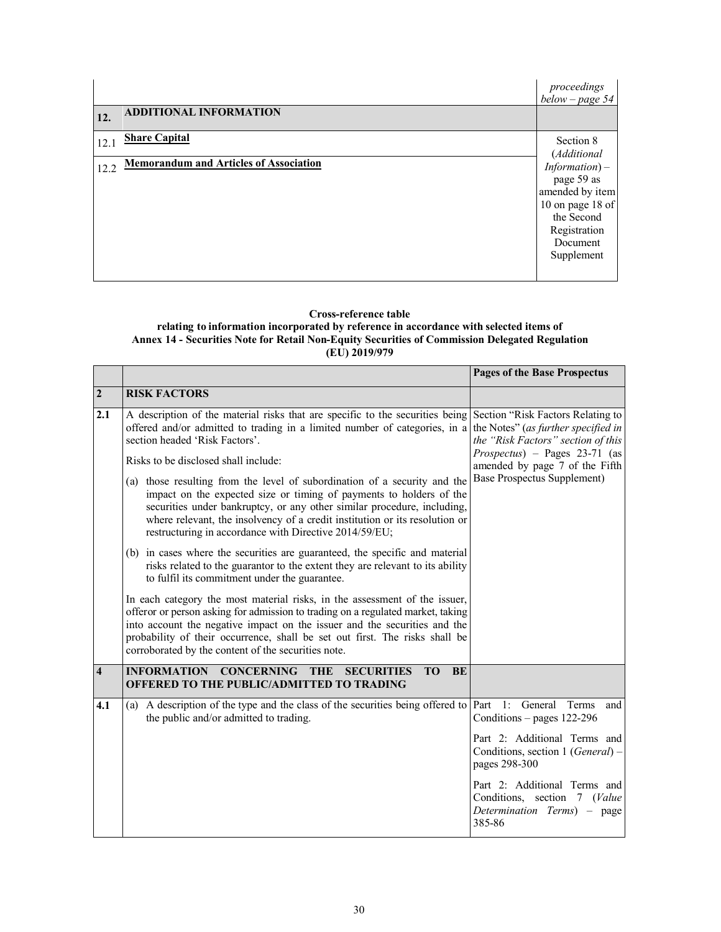|      |                                               | proceedings<br>below – page 54                                                                                                 |
|------|-----------------------------------------------|--------------------------------------------------------------------------------------------------------------------------------|
| 12.  | <b>ADDITIONAL INFORMATION</b>                 |                                                                                                                                |
| 12.1 | <b>Share Capital</b>                          | Section 8<br>(Additional                                                                                                       |
| 12.2 | <b>Memorandum and Articles of Association</b> | $Information$ ) –<br>page 59 as<br>amended by item<br>10 on page 18 of<br>the Second<br>Registration<br>Document<br>Supplement |

#### **Cross-reference table**

**relating to information incorporated by reference in accordance with selected items of Annex 14 - Securities Note for Retail Non-Equity Securities of Commission Delegated Regulation (EU) 2019/979**

|                         |                                                                                                                                                                                                                                                                                                                                                                                  | <b>Pages of the Base Prospectus</b>                                                                   |
|-------------------------|----------------------------------------------------------------------------------------------------------------------------------------------------------------------------------------------------------------------------------------------------------------------------------------------------------------------------------------------------------------------------------|-------------------------------------------------------------------------------------------------------|
| $\overline{2}$          | <b>RISK FACTORS</b>                                                                                                                                                                                                                                                                                                                                                              |                                                                                                       |
| 2.1                     | A description of the material risks that are specific to the securities being Section "Risk Factors Relating to<br>offered and/or admitted to trading in a limited number of categories, in a the Notes" (as further specified in<br>section headed 'Risk Factors'.                                                                                                              | the "Risk Factors" section of this                                                                    |
|                         | Risks to be disclosed shall include:                                                                                                                                                                                                                                                                                                                                             | $Proofus$ – Pages 23-71 (as<br>amended by page 7 of the Fifth                                         |
|                         | (a) those resulting from the level of subordination of a security and the<br>impact on the expected size or timing of payments to holders of the<br>securities under bankruptcy, or any other similar procedure, including,<br>where relevant, the insolvency of a credit institution or its resolution or<br>restructuring in accordance with Directive 2014/59/EU;             | Base Prospectus Supplement)                                                                           |
|                         | (b) in cases where the securities are guaranteed, the specific and material<br>risks related to the guarantor to the extent they are relevant to its ability<br>to fulfil its commitment under the guarantee.                                                                                                                                                                    |                                                                                                       |
|                         | In each category the most material risks, in the assessment of the issuer,<br>offeror or person asking for admission to trading on a regulated market, taking<br>into account the negative impact on the issuer and the securities and the<br>probability of their occurrence, shall be set out first. The risks shall be<br>corroborated by the content of the securities note. |                                                                                                       |
| $\overline{\mathbf{4}}$ | <b>CONCERNING THE</b><br><b>INFORMATION</b><br>BE<br><b>SECURITIES</b><br><b>TO</b><br><b>OFFERED TO THE PUBLIC/ADMITTED TO TRADING</b>                                                                                                                                                                                                                                          |                                                                                                       |
| 4.1                     | (a) A description of the type and the class of the securities being offered to Part 1: General Terms<br>the public and/or admitted to trading.                                                                                                                                                                                                                                   | and<br>Conditions $-$ pages 122-296                                                                   |
|                         |                                                                                                                                                                                                                                                                                                                                                                                  | Part 2: Additional Terms and<br>Conditions, section 1 (General) -<br>pages 298-300                    |
|                         |                                                                                                                                                                                                                                                                                                                                                                                  | Part 2: Additional Terms and<br>Conditions, section 7 (Value<br>Determination Terms) - page<br>385-86 |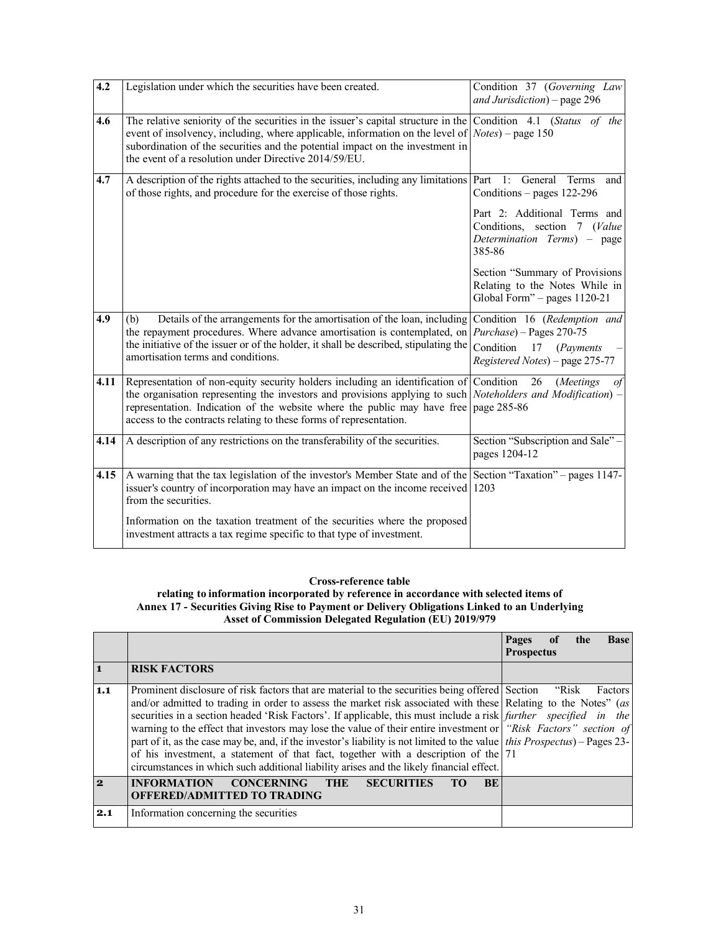| $\overline{4.2}$ | Legislation under which the securities have been created.                                                                                                                                                                                                                                                                                                                           | Condition 37 (Governing Law<br>and Jurisdiction) – page 296                                               |
|------------------|-------------------------------------------------------------------------------------------------------------------------------------------------------------------------------------------------------------------------------------------------------------------------------------------------------------------------------------------------------------------------------------|-----------------------------------------------------------------------------------------------------------|
| 4.6              | The relative seniority of the securities in the issuer's capital structure in the Condition 4.1 (Status of the<br>event of insolvency, including, where applicable, information on the level of $\vert$ <i>Notes</i> $\rangle$ – page 150<br>subordination of the securities and the potential impact on the investment in<br>the event of a resolution under Directive 2014/59/EU. |                                                                                                           |
| 4.7              | A description of the rights attached to the securities, including any limitations Part 1: General<br>of those rights, and procedure for the exercise of those rights.                                                                                                                                                                                                               | Terms<br>and<br>Conditions – pages $122-296$                                                              |
|                  |                                                                                                                                                                                                                                                                                                                                                                                     | Part 2: Additional Terms and<br>Conditions, section 7 (Value<br>Determination Terms) - page<br>385-86     |
|                  |                                                                                                                                                                                                                                                                                                                                                                                     | Section "Summary of Provisions<br>Relating to the Notes While in<br>Global Form" - pages 1120-21          |
| 4.9              | Details of the arrangements for the amortisation of the loan, including<br>(b)<br>the repayment procedures. Where advance amortisation is contemplated, on $Purchase$ – Pages 270-75<br>the initiative of the issuer or of the holder, it shall be described, stipulating the<br>amortisation terms and conditions.                                                                 | Condition 16 (Redemption and<br>Condition<br>17<br>( <i>Payments</i> )<br>Registered Notes) - page 275-77 |
| 4.11             | Representation of non-equity security holders including an identification of Condition<br>the organisation representing the investors and provisions applying to such <i>Noteholders and Modification</i> ) –<br>representation. Indication of the website where the public may have free page $285-86$<br>access to the contracts relating to these forms of representation.       | 26<br>( <i>Meetings</i><br>of                                                                             |
| 4.14             | A description of any restrictions on the transferability of the securities.                                                                                                                                                                                                                                                                                                         | Section "Subscription and Sale" -<br>pages 1204-12                                                        |
| 4.15             | A warning that the tax legislation of the investor's Member State and of the Section "Taxation" – pages 1147-<br>issuer's country of incorporation may have an impact on the income received 1203<br>from the securities.                                                                                                                                                           |                                                                                                           |
|                  | Information on the taxation treatment of the securities where the proposed<br>investment attracts a tax regime specific to that type of investment.                                                                                                                                                                                                                                 |                                                                                                           |

# **Cross-reference table**

**relating to information incorporated by reference in accordance with selected items of Annex 17 - Securities Giving Rise to Payment or Delivery Obligations Linked to an Underlying Asset of Commission Delegated Regulation (EU) 2019/979**

|     |                                                                                                                                                                                                                                                                                                                                                                                                                                                                                                                                                                                                                                                                                                                                                                                             | of<br>Pages<br><b>Base</b><br>the<br><b>Prospectus</b> |
|-----|---------------------------------------------------------------------------------------------------------------------------------------------------------------------------------------------------------------------------------------------------------------------------------------------------------------------------------------------------------------------------------------------------------------------------------------------------------------------------------------------------------------------------------------------------------------------------------------------------------------------------------------------------------------------------------------------------------------------------------------------------------------------------------------------|--------------------------------------------------------|
| ∣ 1 | <b>RISK FACTORS</b>                                                                                                                                                                                                                                                                                                                                                                                                                                                                                                                                                                                                                                                                                                                                                                         |                                                        |
| 1.1 | Prominent disclosure of risk factors that are material to the securities being offered Section "Risk"<br>and/or admitted to trading in order to assess the market risk associated with these Relating to the Notes" (as<br>securities in a section headed 'Risk Factors'. If applicable, this must include a risk <i>further</i> specified in the<br>warning to the effect that investors may lose the value of their entire investment or "Risk Factors" section of<br>part of it, as the case may be, and, if the investor's liability is not limited to the value <i>this Prospectus</i> ) – Pages 23-<br>of his investment, a statement of that fact, together with a description of the 71<br>circumstances in which such additional liability arises and the likely financial effect. | Factors                                                |
| 2   | <b>INFORMATION</b><br><b>CONCERNING</b><br><b>BE</b><br><b>THE</b><br><b>SECURITIES</b><br>TО<br><b>OFFERED/ADMITTED TO TRADING</b>                                                                                                                                                                                                                                                                                                                                                                                                                                                                                                                                                                                                                                                         |                                                        |
| 2.1 | Information concerning the securities                                                                                                                                                                                                                                                                                                                                                                                                                                                                                                                                                                                                                                                                                                                                                       |                                                        |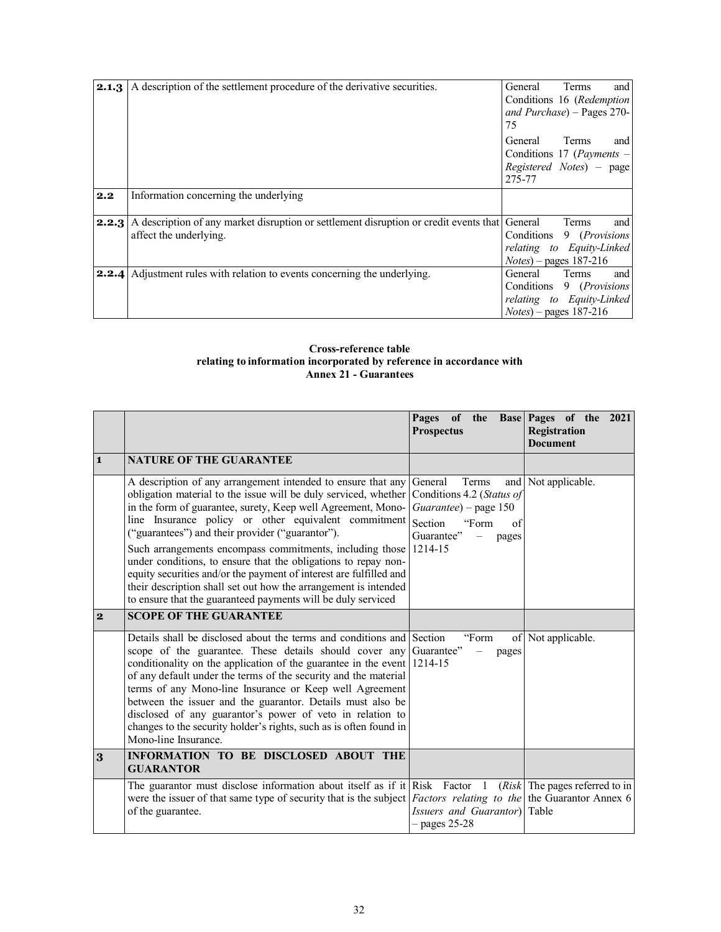| 2.1.3 | A description of the settlement procedure of the derivative securities.                                                              | and<br><b>Terms</b><br>General<br>Conditions 16 (Redemption<br>and Purchase) $-$ Pages 270-<br>75                       |
|-------|--------------------------------------------------------------------------------------------------------------------------------------|-------------------------------------------------------------------------------------------------------------------------|
|       |                                                                                                                                      | and<br><b>Terms</b><br>General<br>Conditions 17 ( <i>Payments –</i><br>Registered Notes) – page<br>275-77               |
| 2.2   | Information concerning the underlying                                                                                                |                                                                                                                         |
|       | <b>2.2.3</b> A description of any market disruption or settlement disruption or credit events that General<br>affect the underlying. | and<br>Terms<br>Conditions<br>9 ( <i>Provisions</i> )<br>relating to Equity-Linked<br>$Notes)$ – pages 187-216          |
|       | <b>2.2.4</b> Adjustment rules with relation to events concerning the underlying.                                                     | and<br>General<br>Terms<br>Conditions<br>9 ( <i>Provisions</i><br>relating to Equity-Linked<br>$Notes)$ – pages 187-216 |

## **Cross-reference table relating to information incorporated by reference in accordance with Annex 21 - Guarantees**

|                |                                                                                                                                                                                                                                                                                                                                                                                                                                                                                                                                                                                                                                                            | Pages of the Base Pages of the 2021<br><b>Prospectus</b>                                                                | Registration<br><b>Document</b>   |
|----------------|------------------------------------------------------------------------------------------------------------------------------------------------------------------------------------------------------------------------------------------------------------------------------------------------------------------------------------------------------------------------------------------------------------------------------------------------------------------------------------------------------------------------------------------------------------------------------------------------------------------------------------------------------------|-------------------------------------------------------------------------------------------------------------------------|-----------------------------------|
| $\mathbf{1}$   | <b>NATURE OF THE GUARANTEE</b>                                                                                                                                                                                                                                                                                                                                                                                                                                                                                                                                                                                                                             |                                                                                                                         |                                   |
|                | A description of any arrangement intended to ensure that any<br>obligation material to the issue will be duly serviced, whether<br>in the form of guarantee, surety, Keep well Agreement, Mono-<br>line Insurance policy or other equivalent commitment<br>("guarantees") and their provider ("guarantor").<br>Such arrangements encompass commitments, including those 1214-15<br>under conditions, to ensure that the obligations to repay non-<br>equity securities and/or the payment of interest are fulfilled and<br>their description shall set out how the arrangement is intended<br>to ensure that the guaranteed payments will be duly serviced | General<br>Terms<br>Conditions 4.2 (Status of<br>Guarantee) - page 150<br>Section<br>"Form<br>of<br>Guarantee"<br>pages | and Not applicable.               |
| $\overline{2}$ | <b>SCOPE OF THE GUARANTEE</b>                                                                                                                                                                                                                                                                                                                                                                                                                                                                                                                                                                                                                              |                                                                                                                         |                                   |
|                | Details shall be disclosed about the terms and conditions and Section<br>scope of the guarantee. These details should cover any Guarantee"<br>conditionality on the application of the guarantee in the event $ 1214-15$<br>of any default under the terms of the security and the material<br>terms of any Mono-line Insurance or Keep well Agreement<br>between the issuer and the guarantor. Details must also be<br>disclosed of any guarantor's power of veto in relation to<br>changes to the security holder's rights, such as is often found in<br>Mono-line Insurance.                                                                            | "Form<br>pages                                                                                                          | of Not applicable.                |
| 3              | INFORMATION TO BE DISCLOSED ABOUT THE<br><b>GUARANTOR</b>                                                                                                                                                                                                                                                                                                                                                                                                                                                                                                                                                                                                  |                                                                                                                         |                                   |
|                | The guarantor must disclose information about itself as if it Risk Factor $1$<br>were the issuer of that same type of security that is the subject <i>Factors relating to the</i> the Guarantor Annex 6<br>of the guarantee.                                                                                                                                                                                                                                                                                                                                                                                                                               | <i>Issuers and Guarantor</i> ) Table<br>$-$ pages 25-28                                                                 | $(Risk)$ The pages referred to in |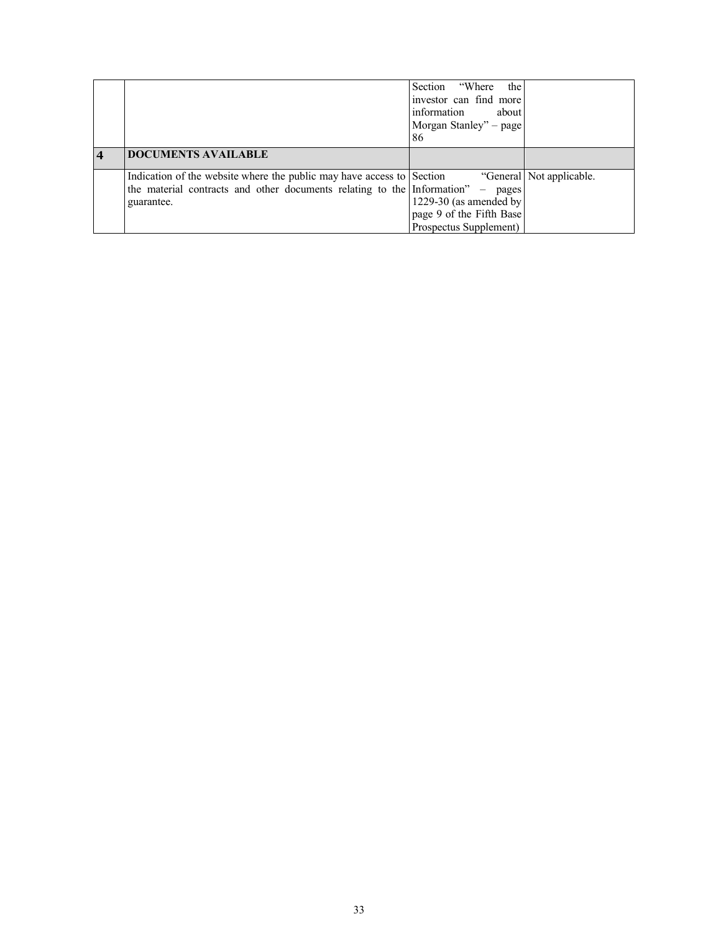|                                                                                                                                                                          | Section "Where"<br>the<br>investor can find more<br>information<br>about<br>Morgan Stanley" - page |                          |
|--------------------------------------------------------------------------------------------------------------------------------------------------------------------------|----------------------------------------------------------------------------------------------------|--------------------------|
|                                                                                                                                                                          | 86                                                                                                 |                          |
| <b>DOCUMENTS AVAILABLE</b>                                                                                                                                               |                                                                                                    |                          |
| Indication of the website where the public may have access to Section<br>the material contracts and other documents relating to the Information" $-$ pages<br>guarantee. | 1229-30 (as amended by<br>page 9 of the Fifth Base<br>Prospectus Supplement)                       | "General Not applicable. |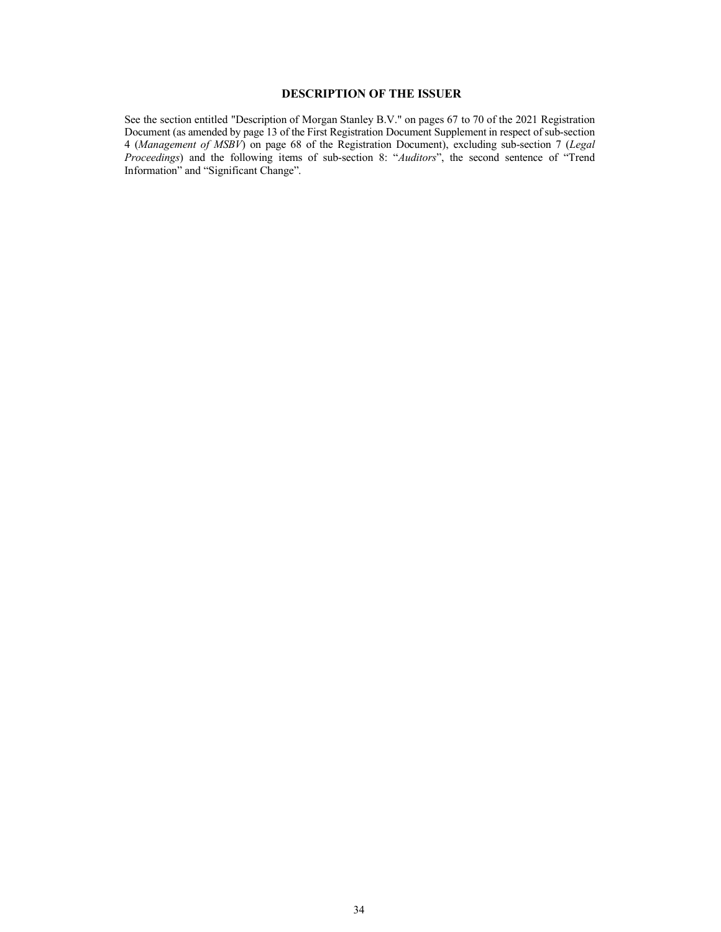# **DESCRIPTION OF THE ISSUER**

<span id="page-33-0"></span>See the section entitled "Description of Morgan Stanley B.V." on pages 67 to 70 of the 2021 Registration Document (as amended by page 13 of the First Registration Document Supplement in respect of sub-section 4 (*Management of MSBV*) on page 68 of the Registration Document), excluding sub-section 7 (*Legal Proceedings*) and the following items of sub-section 8: "*Auditors*", the second sentence of "Trend Information" and "Significant Change".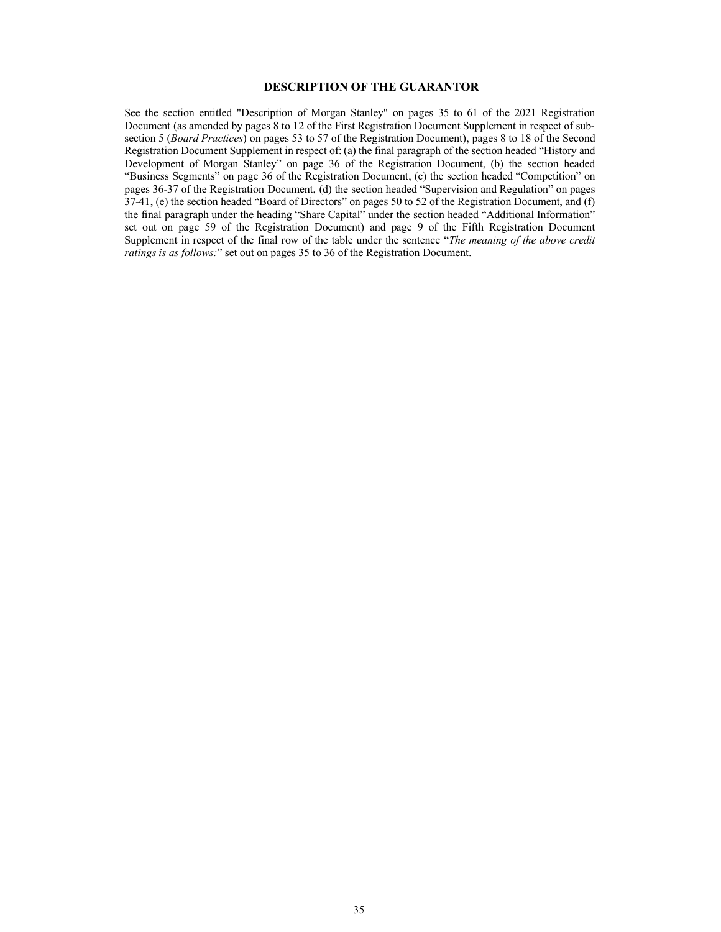## **DESCRIPTION OF THE GUARANTOR**

<span id="page-34-0"></span>See the section entitled "Description of Morgan Stanley" on pages 35 to 61 of the 2021 Registration Document (as amended by pages 8 to 12 of the First Registration Document Supplement in respect of subsection 5 (*Board Practices*) on pages 53 to 57 of the Registration Document), pages 8 to 18 of the Second Registration Document Supplement in respect of: (a) the final paragraph of the section headed "History and Development of Morgan Stanley" on page 36 of the Registration Document, (b) the section headed "Business Segments" on page 36 of the Registration Document, (c) the section headed "Competition" on pages 36-37 of the Registration Document, (d) the section headed "Supervision and Regulation" on pages 37-41, (e) the section headed "Board of Directors" on pages 50 to 52 of the Registration Document, and (f) the final paragraph under the heading "Share Capital" under the section headed "Additional Information" set out on page 59 of the Registration Document) and page 9 of the Fifth Registration Document Supplement in respect of the final row of the table under the sentence "*The meaning of the above credit ratings is as follows:*" set out on pages 35 to 36 of the Registration Document.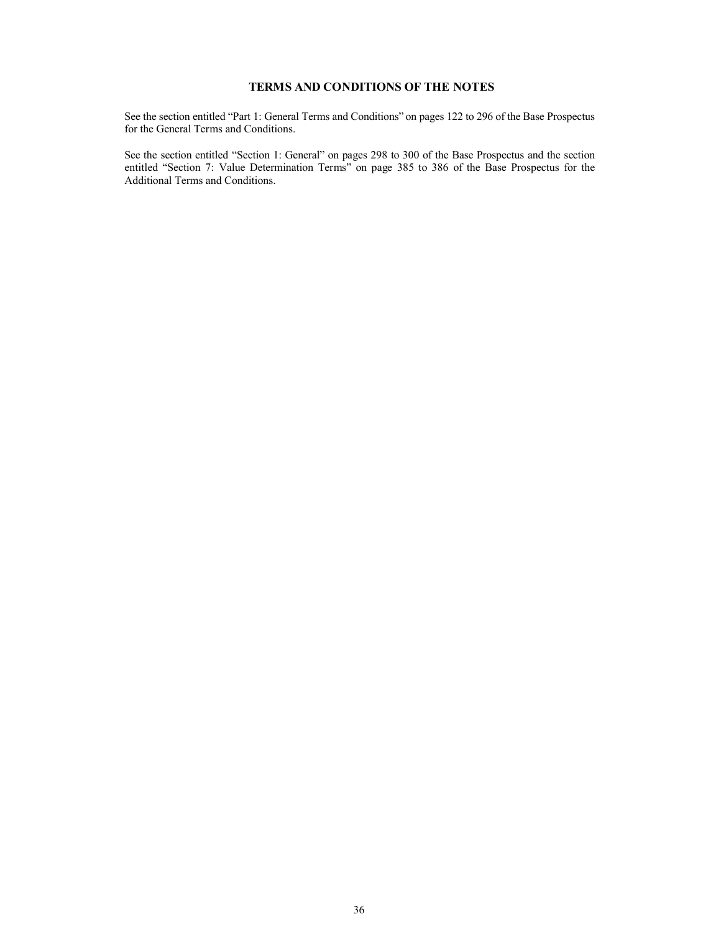# <span id="page-35-0"></span>**TERMS AND CONDITIONS OF THE NOTES**

See the section entitled "Part 1: General Terms and Conditions" on pages 122 to 296 of the Base Prospectus for the General Terms and Conditions.

See the section entitled "Section 1: General" on pages 298 to 300 of the Base Prospectus and the section entitled "Section 7: Value Determination Terms" on page 385 to 386 of the Base Prospectus for the Additional Terms and Conditions.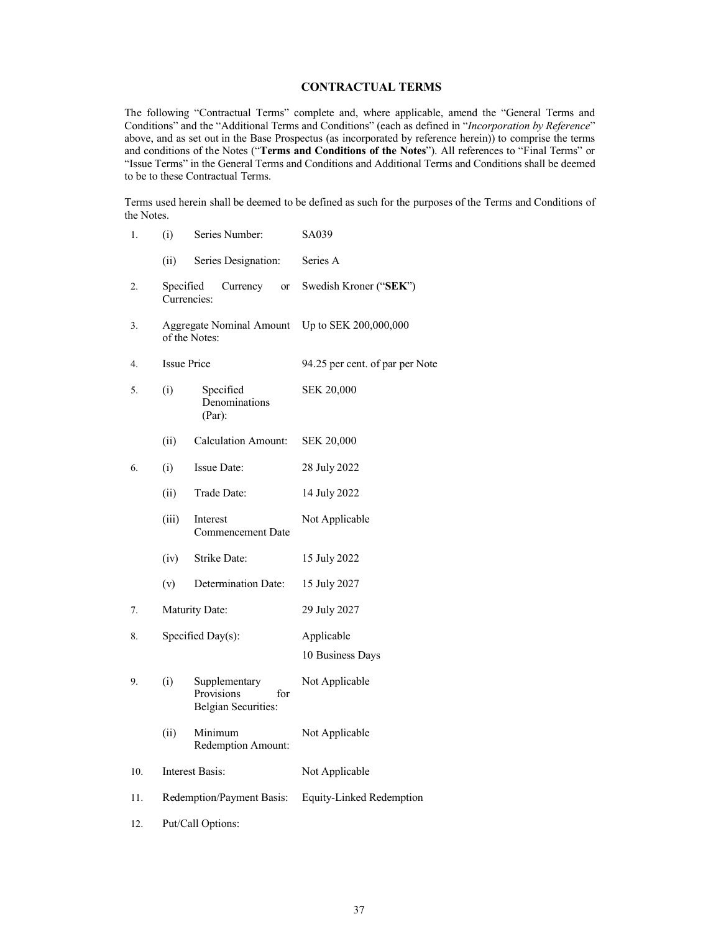## **CONTRACTUAL TERMS**

<span id="page-36-0"></span>The following "Contractual Terms" complete and, where applicable, amend the "General Terms and Conditions" and the "Additional Terms and Conditions" (each as defined in "*Incorporation by Reference*" above, and as set out in the Base Prospectus (as incorporated by reference herein)) to comprise the terms and conditions of the Notes ("**Terms and Conditions of the Notes**"). All references to "Final Terms" or "Issue Terms" in the General Terms and Conditions and Additional Terms and Conditions shall be deemed to be to these Contractual Terms.

Terms used herein shall be deemed to be defined as such for the purposes of the Terms and Conditions of the Notes.

| 1.  | (i)<br>Series Number:     |                                                                  | SA039                           |  |
|-----|---------------------------|------------------------------------------------------------------|---------------------------------|--|
|     | (ii)                      | Series Designation:                                              | Series A                        |  |
| 2.  | Specified<br>Currencies:  | Currency<br><b>or</b>                                            | Swedish Kroner ("SEK")          |  |
| 3.  |                           | Aggregate Nominal Amount<br>of the Notes:                        | Up to SEK 200,000,000           |  |
| 4.  | <b>Issue Price</b>        |                                                                  | 94.25 per cent. of par per Note |  |
| 5.  | (i)                       | Specified<br>Denominations<br>(Par):                             | <b>SEK 20,000</b>               |  |
|     | (ii)                      | <b>Calculation Amount:</b>                                       | <b>SEK 20,000</b>               |  |
| 6.  | (i)                       | Issue Date:                                                      | 28 July 2022                    |  |
|     | (ii)                      | Trade Date:                                                      | 14 July 2022                    |  |
|     | (iii)                     | Interest<br><b>Commencement Date</b>                             | Not Applicable                  |  |
|     | (iv)                      | Strike Date:                                                     | 15 July 2022                    |  |
|     | (v)                       | Determination Date:                                              | 15 July 2027                    |  |
| 7.  |                           | Maturity Date:                                                   | 29 July 2027                    |  |
| 8.  |                           | Specified Day(s):                                                | Applicable<br>10 Business Days  |  |
| 9.  | (i)                       | Supplementary<br>Provisions<br>for<br><b>Belgian Securities:</b> | Not Applicable                  |  |
|     | (ii)                      | Minimum<br>Redemption Amount:                                    | Not Applicable                  |  |
| 10. |                           | <b>Interest Basis:</b>                                           | Not Applicable                  |  |
| 11. | Redemption/Payment Basis: |                                                                  | Equity-Linked Redemption        |  |
|     |                           |                                                                  |                                 |  |

12. Put/Call Options: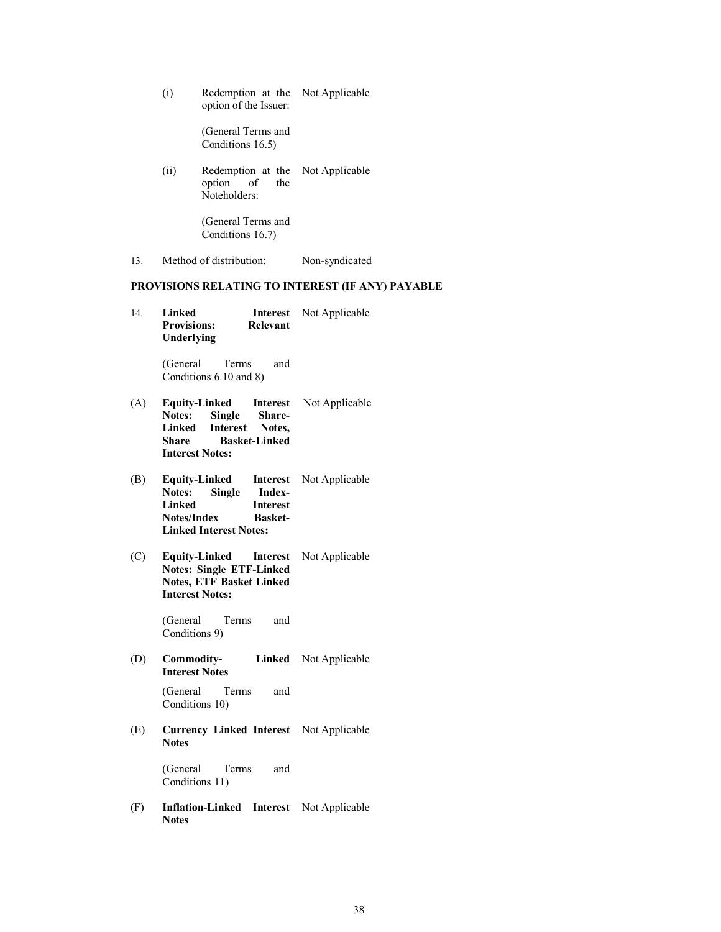(i) Redemption at the Not Applicable option of the Issuer:

> (General Terms and Conditions 16.5)

(ii) Redemption at the Not Applicable option of the Noteholders:

> (General Terms and Conditions 16.7)

13. Method of distribution: Non-syndicated

# **PROVISIONS RELATING TO INTEREST (IF ANY) PAYABLE**

14. **Linked Interest**  Not Applicable **Provisions: Relevant Underlying**

> (General Terms and Conditions 6.10 and 8)

- (A) **Equity-Linked Notes: Single Share-Linked Interest Notes, Share Basket-Linked Interest Notes:** Interest Not Applicable
- (B) **Equity-Linked Notes: Single Index-L**nterest **Notes/Index Basket-Linked Interest Notes:** Interest Not Applicable
- (C) **Equity-Linked Notes: Single ETF-Linked Notes, ETF Basket Linked Interest Notes:** Interest Not Applicable

(General Terms and Conditions 9)

(D) **Commodity-Interest Notes** Linked Not Applicable

> (General Terms and Conditions 10)

(E) **Currency Linked Interest**  Not Applicable **Notes**

> (General Terms and Conditions 11)

(F) **Inflation-Linked Interest**  Not Applicable**Notes**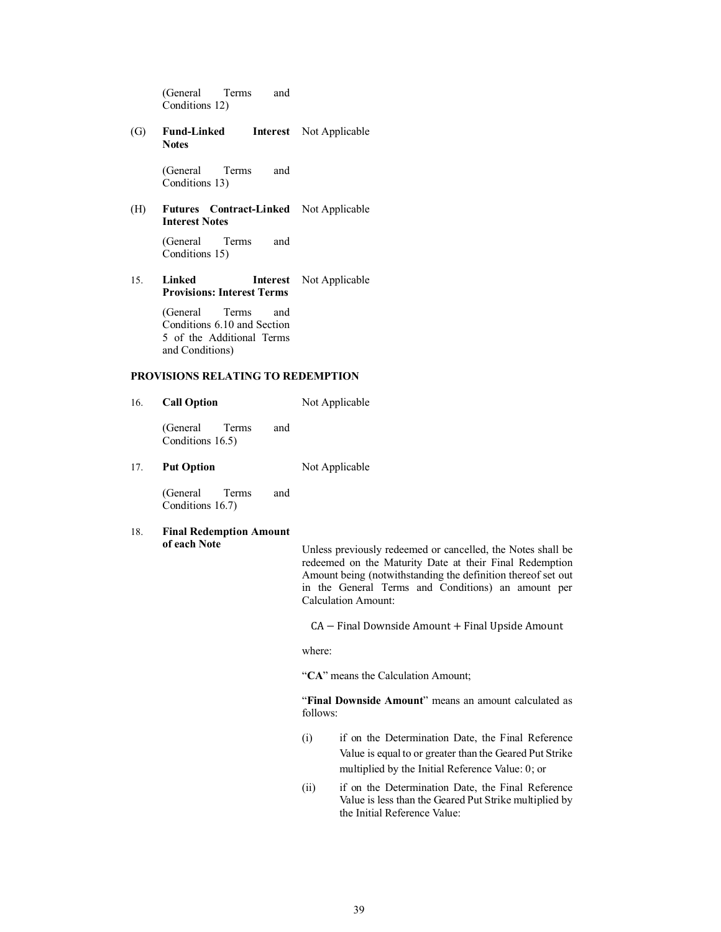(General Terms and Conditions 12)

(G) **Fund-Linked Notes** Interest Not Applicable

> (General Terms and Conditions 13)

(H) **Futures Contract-Linked**  Not Applicable **Interest Notes** 

> (General Terms and Conditions 15)

15. **Linked Interest**  Not Applicable **Provisions: Interest Terms**

> (General Terms and Conditions 6.10 and Section 5 of the Additional Terms and Conditions)

## **PROVISIONS RELATING TO REDEMPTION**

16. **Call Option** Not Applicable

(General Terms and Conditions 16.5)

17. **Put Option** Not Applicable

(General Terms and Conditions 16.7)

18. **Final Redemption Amount** 

**of each Note** Unless previously redeemed or cancelled, the Notes shall be redeemed on the Maturity Date at their Final Redemption Amount being (notwithstanding the definition thereof set out in the General Terms and Conditions) an amount per Calculation Amount:

CA − Final Downside Amount + Final Upside Amount

where:

"**CA**" means the Calculation Amount;

"**Final Downside Amount**" means an amount calculated as follows:

- (i) if on the Determination Date, the Final Reference Value is equal to or greater than the Geared Put Strike multiplied by the Initial Reference Value: 0; or
- (ii) if on the Determination Date, the Final Reference Value is less than the Geared Put Strike multiplied by the Initial Reference Value: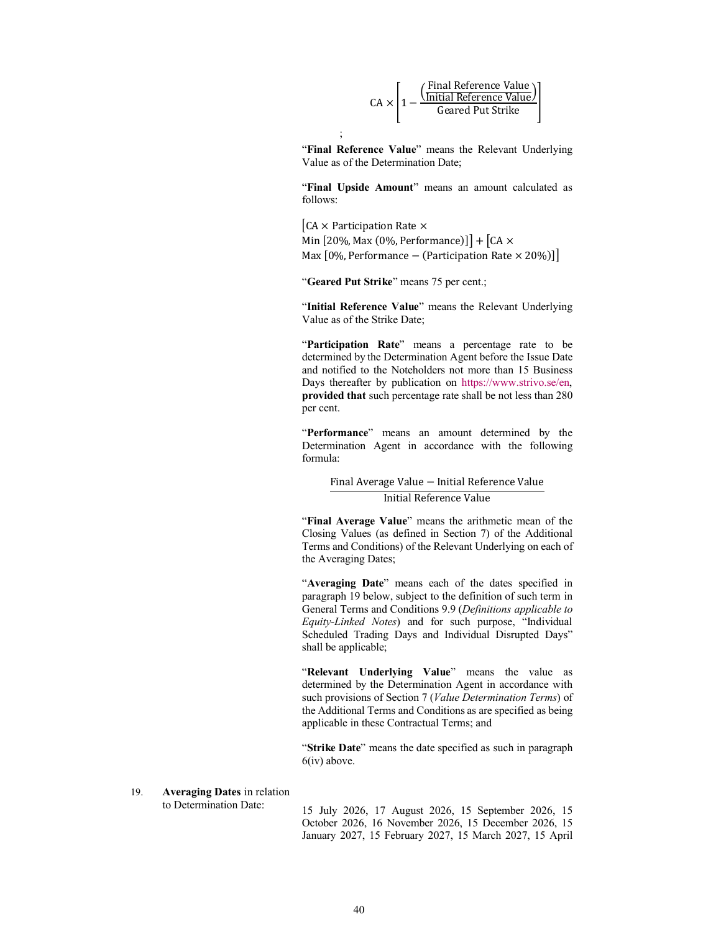$$
CA \times \left[1 - \frac{\left(\frac{\text{Final Reference Value}}{\text{Initial Reference Value}}\right)}{\text{Geared Put Strike}}\right]
$$

"**Final Reference Value**" means the Relevant Underlying Value as of the Determination Date;

"**Final Upside Amount**" means an amount calculated as follows:

 $CA \times$  Participation Rate  $\times$ Min  $[20\%, \text{Max } (0\%, \text{Performance})]$  +  $[CA \times$ Max  $[0\%$ , Performance – (Participation Rate × 20%)]]

"**Geared Put Strike**" means 75 per cent.;

;

"**Initial Reference Value**" means the Relevant Underlying Value as of the Strike Date;

"**Participation Rate**" means a [percentage rate to be](https://www.strivo.se/en)  determined by the Determination Agent before the Issue Date and notified to the Noteholders not more than 15 Business Days thereafter by publication on https://www.strivo.se/en, **provided that** such percentage rate shall be not less than 280 per cent.

"**Performance**" means an amount determined by the Determination Agent in accordance with the following formula:

#### Final Average Value − Initial Reference Value

## Initial Reference Value

"**Final Average Value**" means the arithmetic mean of the Closing Values (as defined in Section 7) of the Additional Terms and Conditions) of the Relevant Underlying on each of the Averaging Dates;

"**Averaging Date**" means each of the dates specified in paragraph 19 below, subject to the definition of such term in General Terms and Conditions 9.9 (*Definitions applicable to Equity-Linked Notes*) and for such purpose, "Individual Scheduled Trading Days and Individual Disrupted Days" shall be applicable;

"**Relevant Underlying Value**" means the value as determined by the Determination Agent in accordance with such provisions of Section 7 (*Value Determination Terms*) of the Additional Terms and Conditions as are specified as being applicable in these Contractual Terms; and

"**Strike Date**" means the date specified as such in paragraph 6(iv) above.

# 19. **Averaging Dates** in relation

to Determination Date: <sup>15</sup> July 2026, 17 August 2026, 15 September 2026, 15 October 2026, 16 November 2026, 15 December 2026, 15 January 2027, 15 February 2027, 15 March 2027, 15 April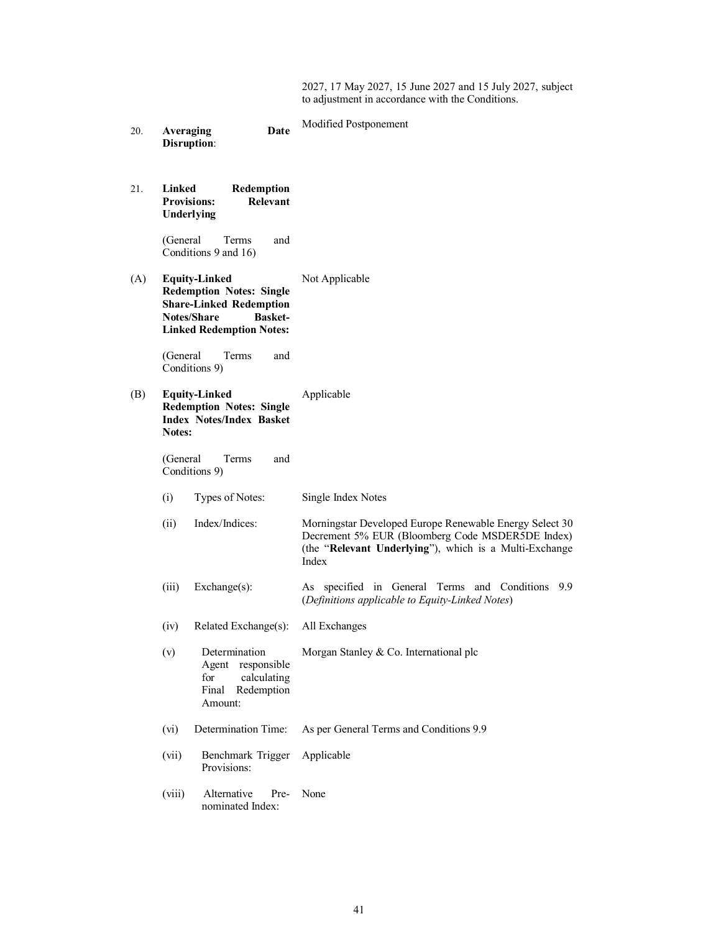2027, 17 May 2027, 15 June 2027 and 15 July 2027, subject to adjustment in accordance with the Conditions.

| 20. | <b>Averaging</b><br>Date<br><b>Disruption:</b>                                                                                                                | Modified Postponement                                                                                                                                                          |
|-----|---------------------------------------------------------------------------------------------------------------------------------------------------------------|--------------------------------------------------------------------------------------------------------------------------------------------------------------------------------|
| 21. | Linked<br>Redemption<br><b>Provisions:</b><br>Relevant<br>Underlying                                                                                          |                                                                                                                                                                                |
|     | (General<br>and<br>Terms<br>Conditions 9 and 16)                                                                                                              |                                                                                                                                                                                |
| (A) | <b>Equity-Linked</b><br><b>Redemption Notes: Single</b><br><b>Share-Linked Redemption</b><br>Notes/Share<br><b>Basket-</b><br><b>Linked Redemption Notes:</b> | Not Applicable                                                                                                                                                                 |
|     | (General<br>Terms<br>and<br>Conditions 9)                                                                                                                     |                                                                                                                                                                                |
| (B) | <b>Equity-Linked</b><br><b>Redemption Notes: Single</b><br><b>Index Notes/Index Basket</b><br>Notes:                                                          | Applicable                                                                                                                                                                     |
|     | and<br>(General)<br>Terms<br>Conditions 9)                                                                                                                    |                                                                                                                                                                                |
|     | Types of Notes:<br>(i)                                                                                                                                        | Single Index Notes                                                                                                                                                             |
|     | Index/Indices:<br>(ii)                                                                                                                                        | Morningstar Developed Europe Renewable Energy Select 30<br>Decrement 5% EUR (Bloomberg Code MSDER5DE Index)<br>(the "Relevant Underlying"), which is a Multi-Exchange<br>Index |
|     | Exchange(s):<br>(iii)                                                                                                                                         | As specified in General Terms and Conditions<br>9.9<br>(Definitions applicable to Equity-Linked Notes)                                                                         |
|     | (iv)<br>Related Exchange(s):                                                                                                                                  | All Exchanges                                                                                                                                                                  |
|     | Determination<br>(v)<br>Agent responsible<br>for<br>calculating<br>Final<br>Redemption<br>Amount:                                                             | Morgan Stanley & Co. International plc                                                                                                                                         |
|     | Determination Time:<br>(vi)                                                                                                                                   | As per General Terms and Conditions 9.9                                                                                                                                        |
|     | (vii)<br>Benchmark Trigger<br>Provisions:                                                                                                                     | Applicable                                                                                                                                                                     |
|     | (viii)<br>Alternative<br>Pre-<br>nominated Index:                                                                                                             | None                                                                                                                                                                           |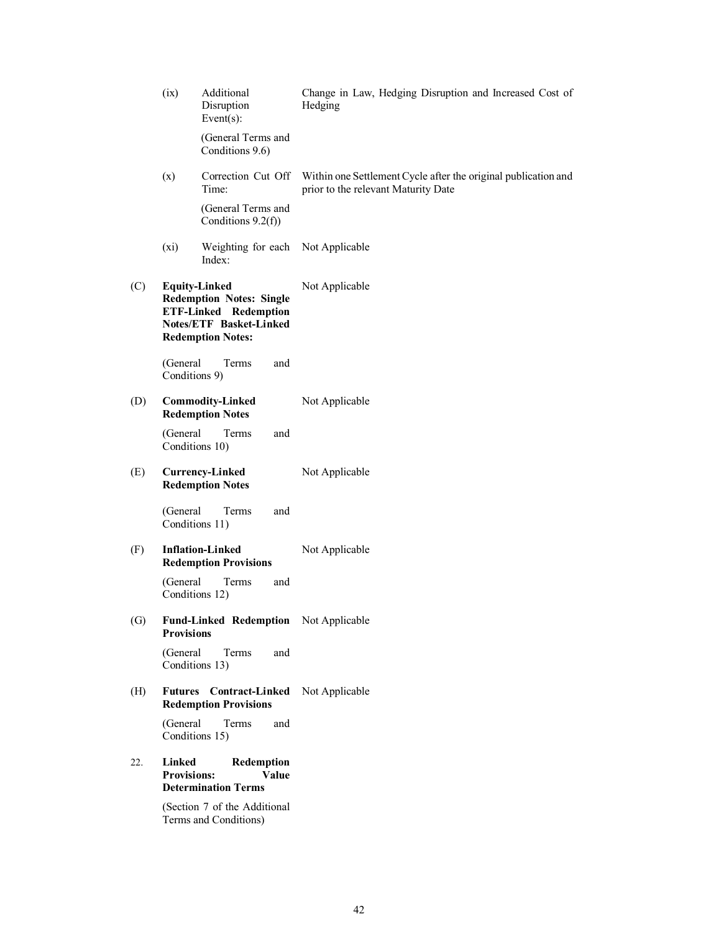|                   | (ix)                         | Additional<br>Disruption<br>Event $(s)$ :                                                                                                             | Change in Law, Hedging Disruption and Increased Cost of<br>Hedging                                    |
|-------------------|------------------------------|-------------------------------------------------------------------------------------------------------------------------------------------------------|-------------------------------------------------------------------------------------------------------|
|                   |                              | (General Terms and<br>Conditions 9.6)                                                                                                                 |                                                                                                       |
|                   | (x)                          | Correction Cut Off<br>Time:                                                                                                                           | Within one Settlement Cycle after the original publication and<br>prior to the relevant Maturity Date |
|                   |                              | (General Terms and<br>Conditions 9.2(f))                                                                                                              |                                                                                                       |
|                   | $(x_i)$                      | Weighting for each<br>Index:                                                                                                                          | Not Applicable                                                                                        |
| (C)               |                              | <b>Equity-Linked</b><br><b>Redemption Notes: Single</b><br><b>ETF-Linked Redemption</b><br><b>Notes/ETF Basket-Linked</b><br><b>Redemption Notes:</b> | Not Applicable                                                                                        |
|                   | (General<br>Conditions 9)    | Terms<br>and                                                                                                                                          |                                                                                                       |
| (D)               |                              | <b>Commodity-Linked</b><br><b>Redemption Notes</b>                                                                                                    | Not Applicable                                                                                        |
|                   | (General                     | Terms<br>and<br>Conditions 10)                                                                                                                        |                                                                                                       |
| (E)               |                              | <b>Currency-Linked</b><br><b>Redemption Notes</b>                                                                                                     | Not Applicable                                                                                        |
|                   | (General                     | and<br>Terms<br>Conditions 11)                                                                                                                        |                                                                                                       |
| (F)               |                              | <b>Inflation-Linked</b><br><b>Redemption Provisions</b>                                                                                               | Not Applicable                                                                                        |
|                   | (General                     | Terms<br>and<br>Conditions 12)                                                                                                                        |                                                                                                       |
| $\left( G\right)$ | <b>Provisions</b>            | Fund-Linked Redemption Not Applicable                                                                                                                 |                                                                                                       |
|                   | (General                     | and<br>Terms<br>Conditions 13)                                                                                                                        |                                                                                                       |
| (H)               | <b>Futures</b>               | <b>Contract-Linked</b><br><b>Redemption Provisions</b>                                                                                                | Not Applicable                                                                                        |
|                   | (General                     | Terms<br>and<br>Conditions 15)                                                                                                                        |                                                                                                       |
| 22.               | Linked<br><b>Provisions:</b> | Redemption<br>Value<br><b>Determination Terms</b>                                                                                                     |                                                                                                       |
|                   |                              | (Section 7 of the Additional<br>Terms and Conditions)                                                                                                 |                                                                                                       |
|                   |                              |                                                                                                                                                       |                                                                                                       |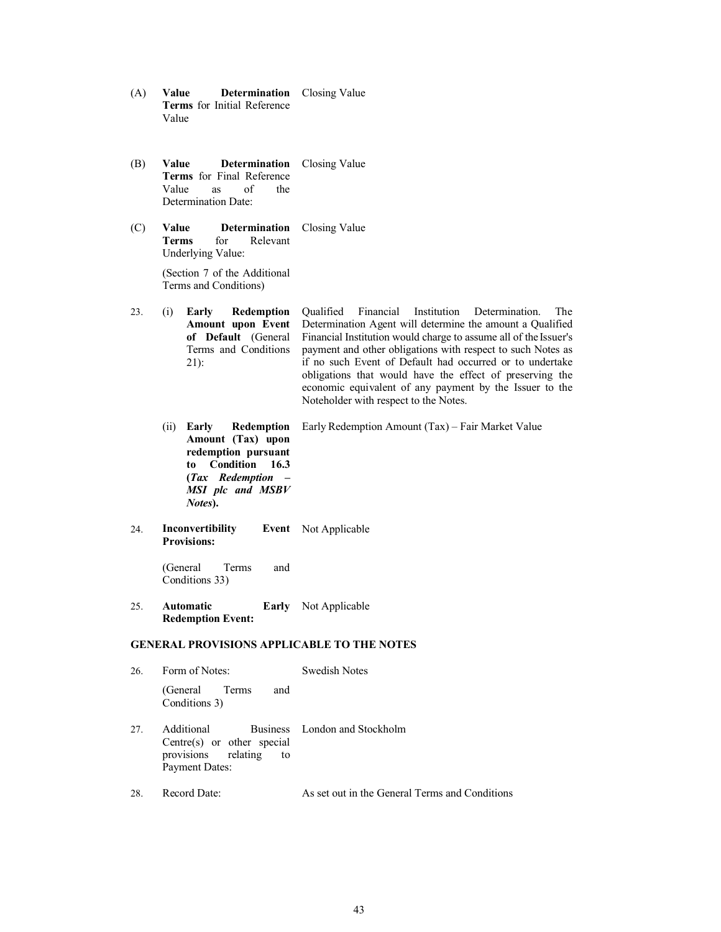- (A) **Value Determination**  Closing Value **Terms** for Initial Reference Value
- (B) **Value Determination**  Closing Value **Terms** for Final Reference Value as of the Determination Date:
- (C) **Value Determination**  Closing Value **Terms** for Relevant Underlying Value:

(Section 7 of the Additional Terms and Conditions)

23. (i) **Early Redemption Amount upon Event of Default** (General Terms and Conditions 21):

Qualified Financial Institution Determination. The Determination Agent will determine the amount a Qualified Financial Institution would charge to assume all of the Issuer's payment and other obligations with respect to such Notes as if no such Event of Default had occurred or to undertake obligations that would have the effect of preserving the economic equivalent of any payment by the Issuer to the Noteholder with respect to the Notes.

- (ii) **Early Redemption Amount (Tax) upon redemption pursuant to Condition 16.3 (***Tax Redemption – MSI plc and MSBV Notes***).** Early Redemption Amount (Tax) – Fair Market Value
- 24. **Inconvertibility Provisions:** Event Not Applicable

(General Terms and Conditions 33)

25. **Automatic Redemption Event:** Early Not Applicable

# **GENERAL PROVISIONS APPLICABLE TO THE NOTES**

| 26. | Form of Notes:                                                                              | Swedish Notes                 |  |
|-----|---------------------------------------------------------------------------------------------|-------------------------------|--|
|     | (General Terms<br>and<br>Conditions 3)                                                      |                               |  |
| 27. | Additional<br>Centre(s) or other special<br>provisions relating to<br><b>Payment Dates:</b> | Business London and Stockholm |  |

28. Record Date: As set out in the General Terms and Conditions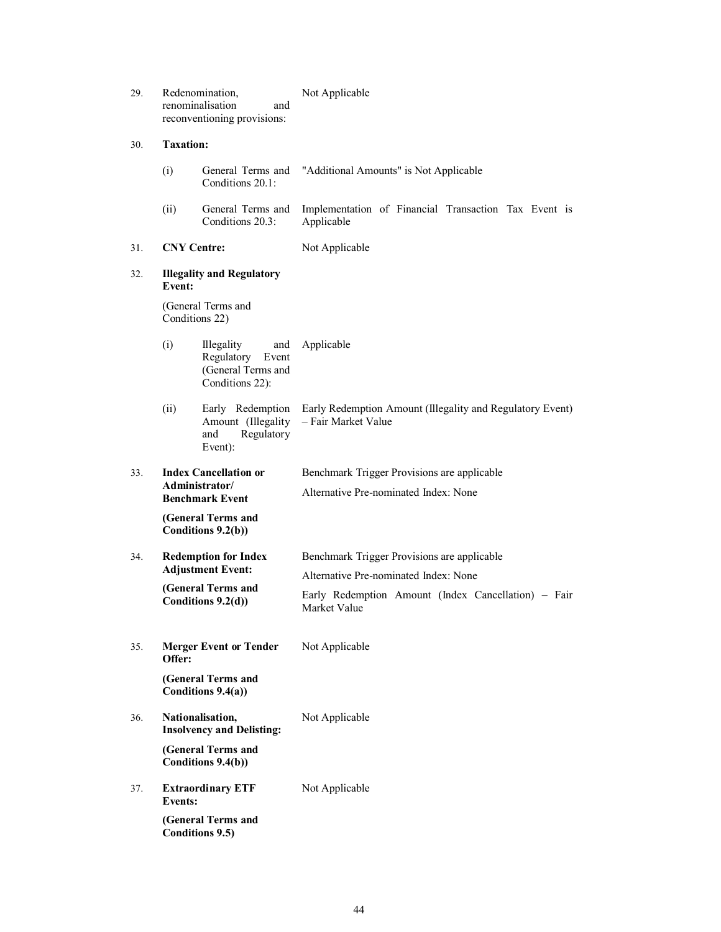| 29.                                                                             | Redenomination,<br>renominalisation<br>and<br>reconventioning provisions:                  |                                                                                          | Not Applicable                                                                       |  |
|---------------------------------------------------------------------------------|--------------------------------------------------------------------------------------------|------------------------------------------------------------------------------------------|--------------------------------------------------------------------------------------|--|
| 30.                                                                             | <b>Taxation:</b>                                                                           |                                                                                          |                                                                                      |  |
|                                                                                 | (i)                                                                                        | General Terms and<br>Conditions 20.1:                                                    | "Additional Amounts" is Not Applicable                                               |  |
|                                                                                 | (ii)                                                                                       | General Terms and<br>Conditions 20.3:                                                    | Implementation of Financial Transaction Tax Event is<br>Applicable                   |  |
| 31.                                                                             | <b>CNY Centre:</b>                                                                         |                                                                                          | Not Applicable                                                                       |  |
| 32.                                                                             | <b>Illegality and Regulatory</b><br>Event:                                                 |                                                                                          |                                                                                      |  |
|                                                                                 |                                                                                            | (General Terms and<br>Conditions 22)                                                     |                                                                                      |  |
|                                                                                 | (i)                                                                                        | <b>Illegality</b><br>and<br>Regulatory<br>Event<br>(General Terms and<br>Conditions 22): | Applicable                                                                           |  |
|                                                                                 | (ii)                                                                                       | Early Redemption<br>Amount (Illegality<br>Regulatory<br>and<br>Event):                   | Early Redemption Amount (Illegality and Regulatory Event)<br>- Fair Market Value     |  |
| <b>Index Cancellation or</b><br>33.<br>Administrator/<br><b>Benchmark Event</b> |                                                                                            |                                                                                          | Benchmark Trigger Provisions are applicable<br>Alternative Pre-nominated Index: None |  |
|                                                                                 |                                                                                            | (General Terms and<br>Conditions 9.2(b))                                                 |                                                                                      |  |
| 34.                                                                             |                                                                                            | <b>Redemption for Index</b><br><b>Adjustment Event:</b>                                  | Benchmark Trigger Provisions are applicable<br>Alternative Pre-nominated Index: None |  |
|                                                                                 | (General Terms and<br>Conditions 9.2(d))                                                   |                                                                                          | Early Redemption Amount (Index Cancellation) – Fair<br>Market Value                  |  |
| 35.                                                                             | Offer:                                                                                     | <b>Merger Event or Tender</b>                                                            | Not Applicable                                                                       |  |
|                                                                                 |                                                                                            | (General Terms and<br>Conditions 9.4(a))                                                 |                                                                                      |  |
| 36.                                                                             | Nationalisation,<br><b>Insolvency and Delisting:</b>                                       |                                                                                          | Not Applicable                                                                       |  |
|                                                                                 |                                                                                            | (General Terms and<br>Conditions 9.4(b))                                                 |                                                                                      |  |
| 37.                                                                             | <b>Extraordinary ETF</b><br><b>Events:</b><br>(General Terms and<br><b>Conditions 9.5)</b> |                                                                                          | Not Applicable                                                                       |  |
|                                                                                 |                                                                                            |                                                                                          |                                                                                      |  |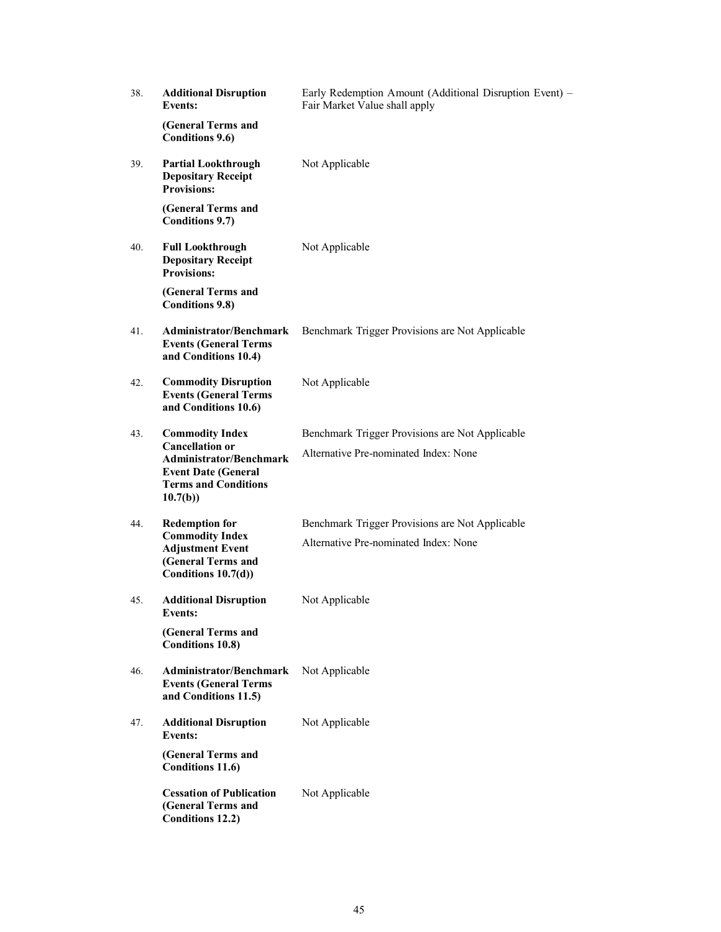| 38. | <b>Additional Disruption</b><br><b>Events:</b>                                                                                                             | Early Redemption Amount (Additional Disruption Event) -<br>Fair Market Value shall apply |
|-----|------------------------------------------------------------------------------------------------------------------------------------------------------------|------------------------------------------------------------------------------------------|
|     | (General Terms and<br><b>Conditions 9.6)</b>                                                                                                               |                                                                                          |
| 39. | <b>Partial Lookthrough</b><br><b>Depositary Receipt</b><br><b>Provisions:</b>                                                                              | Not Applicable                                                                           |
|     | (General Terms and<br><b>Conditions 9.7)</b>                                                                                                               |                                                                                          |
| 40. | <b>Full Lookthrough</b><br><b>Depositary Receipt</b><br><b>Provisions:</b>                                                                                 | Not Applicable                                                                           |
|     | (General Terms and<br><b>Conditions 9.8)</b>                                                                                                               |                                                                                          |
| 41. | Administrator/Benchmark<br><b>Events (General Terms</b><br>and Conditions 10.4)                                                                            | Benchmark Trigger Provisions are Not Applicable                                          |
| 42. | <b>Commodity Disruption</b><br><b>Events (General Terms</b><br>and Conditions 10.6)                                                                        | Not Applicable                                                                           |
| 43. | <b>Commodity Index</b><br><b>Cancellation or</b><br><b>Administrator/Benchmark</b><br><b>Event Date (General</b><br><b>Terms and Conditions</b><br>10.7(b) | Benchmark Trigger Provisions are Not Applicable<br>Alternative Pre-nominated Index: None |
| 44. | <b>Redemption for</b><br><b>Commodity Index</b><br><b>Adjustment Event</b><br>(General Terms and<br>Conditions 10.7(d))                                    | Benchmark Trigger Provisions are Not Applicable<br>Alternative Pre-nominated Index: None |
| 45. | <b>Additional Disruption</b><br>Events:                                                                                                                    | Not Applicable                                                                           |
|     | (General Terms and<br><b>Conditions 10.8)</b>                                                                                                              |                                                                                          |
| 46. | Administrator/Benchmark<br><b>Events (General Terms</b><br>and Conditions 11.5)                                                                            | Not Applicable                                                                           |
| 47. | <b>Additional Disruption</b><br><b>Events:</b>                                                                                                             | Not Applicable                                                                           |
|     | (General Terms and<br><b>Conditions 11.6)</b>                                                                                                              |                                                                                          |
|     | <b>Cessation of Publication</b><br>(General Terms and<br><b>Conditions 12.2)</b>                                                                           | Not Applicable                                                                           |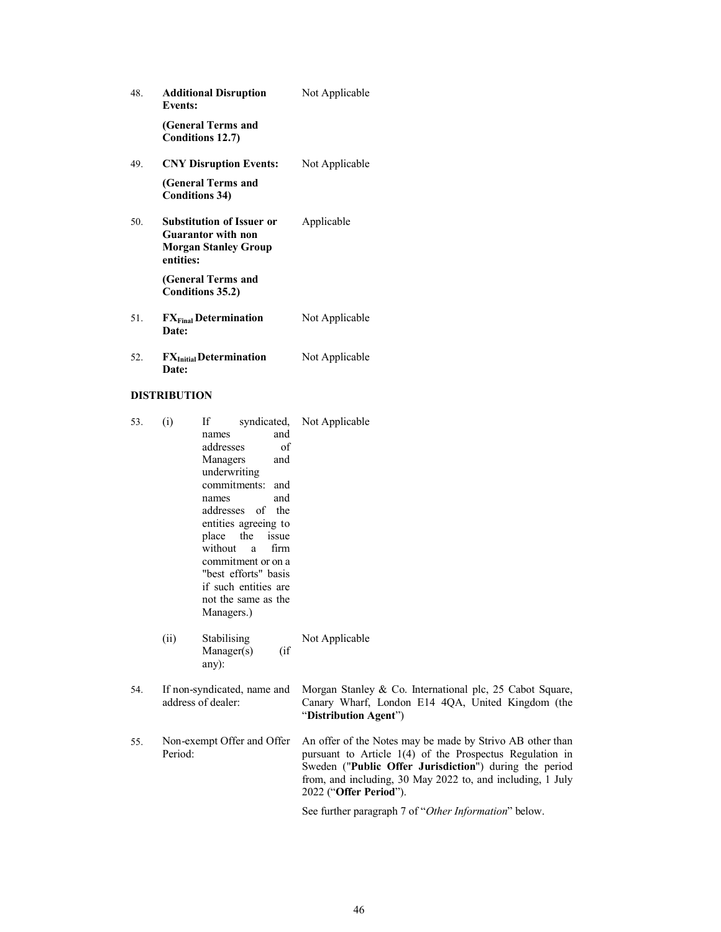| 48. | <b>Additional Disruption</b><br><b>Events:</b>                                                            | Not Applicable |
|-----|-----------------------------------------------------------------------------------------------------------|----------------|
|     | (General Terms and<br>Conditions 12.7)                                                                    |                |
| 49. | <b>CNY Disruption Events:</b>                                                                             | Not Applicable |
|     | (General Terms and<br><b>Conditions 34)</b>                                                               |                |
| 50. | <b>Substitution of Issuer or</b><br><b>Guarantor with non</b><br><b>Morgan Stanley Group</b><br>entities: | Applicable     |
|     | (General Terms and<br>Conditions 35.2)                                                                    |                |
| 51. | FX <sub>Final</sub> Determination<br>Date:                                                                | Not Applicable |
| 52. | <b>FX</b> Initial Determination<br>Date:                                                                  | Not Applicable |

# **DISTRIBUTION**

| 53. | (i)     | If<br>and<br>names<br>addresses<br>of<br>Managers<br>and<br>underwriting<br>commitments: and<br>and<br>names<br>addresses of the<br>entities agreeing to<br>the<br>place<br>issue<br>without<br>firm<br>a<br>commitment or on a<br>"best efforts" basis<br>if such entities are<br>not the same as the<br>Managers.) | syndicated, Not Applicable                                                                                                                                                                                                                                              |
|-----|---------|----------------------------------------------------------------------------------------------------------------------------------------------------------------------------------------------------------------------------------------------------------------------------------------------------------------------|-------------------------------------------------------------------------------------------------------------------------------------------------------------------------------------------------------------------------------------------------------------------------|
|     | (ii)    | Stabilising<br>(if<br>Manager(s)<br>any):                                                                                                                                                                                                                                                                            | Not Applicable                                                                                                                                                                                                                                                          |
| 54. |         | If non-syndicated, name and<br>address of dealer:                                                                                                                                                                                                                                                                    | Morgan Stanley & Co. International plc, 25 Cabot Square,<br>Canary Wharf, London E14 4QA, United Kingdom (the<br>"Distribution Agent")                                                                                                                                  |
| 55. | Period: | Non-exempt Offer and Offer                                                                                                                                                                                                                                                                                           | An offer of the Notes may be made by Strivo AB other than<br>pursuant to Article 1(4) of the Prospectus Regulation in<br>Sweden ("Public Offer Jurisdiction") during the period<br>from, and including, 30 May 2022 to, and including, 1 July<br>2022 ("Offer Period"). |
|     |         |                                                                                                                                                                                                                                                                                                                      | See further paragraph 7 of "Other Information" below.                                                                                                                                                                                                                   |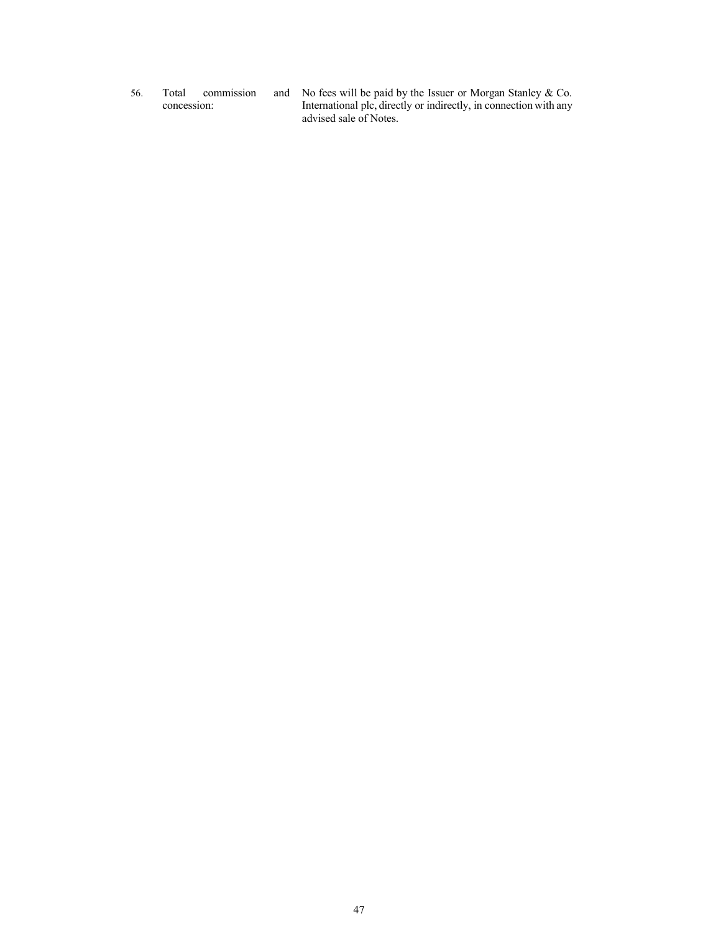56. Total commission concession:

No fees will be paid by the Issuer or Morgan Stanley & Co. International plc, directly or indirectly, in connection with any advised sale of Notes.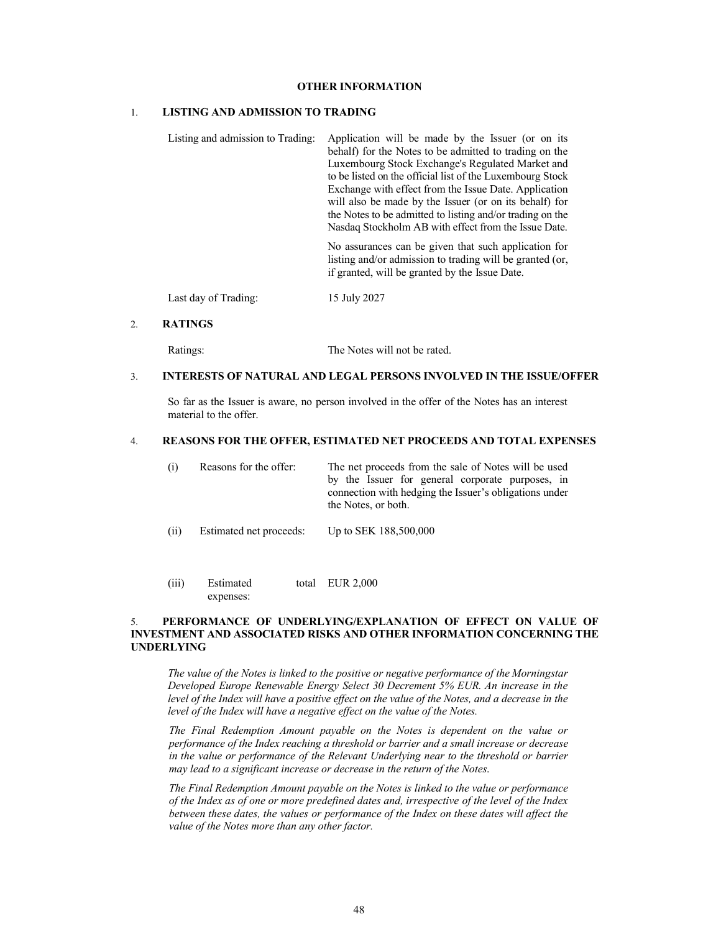## **OTHER INFORMATION**

## 1. **LISTING AND ADMISSION TO TRADING**

| Listing and admission to Trading: | Application will be made by the Issuer (or on its<br>behalf) for the Notes to be admitted to trading on the<br>Luxembourg Stock Exchange's Regulated Market and<br>to be listed on the official list of the Luxembourg Stock<br>Exchange with effect from the Issue Date. Application<br>will also be made by the Issuer (or on its behalf) for<br>the Notes to be admitted to listing and/or trading on the<br>Nasdaq Stockholm AB with effect from the Issue Date. |  |
|-----------------------------------|----------------------------------------------------------------------------------------------------------------------------------------------------------------------------------------------------------------------------------------------------------------------------------------------------------------------------------------------------------------------------------------------------------------------------------------------------------------------|--|
|                                   | No assurances can be given that such application for<br>listing and/or admission to trading will be granted (or,<br>if granted, will be granted by the Issue Date.                                                                                                                                                                                                                                                                                                   |  |
| Last day of Trading:              | 15 July 2027                                                                                                                                                                                                                                                                                                                                                                                                                                                         |  |

#### 2. **RATINGS**

Ratings: The Notes will not be rated.

# 3. **INTERESTS OF NATURAL AND LEGAL PERSONS INVOLVED IN THE ISSUE/OFFER**

So far as the Issuer is aware, no person involved in the offer of the Notes has an interest material to the offer.

#### 4. **REASONS FOR THE OFFER, ESTIMATED NET PROCEEDS AND TOTAL EXPENSES**

| (i) | Reasons for the offer: | The net proceeds from the sale of Notes will be used   |
|-----|------------------------|--------------------------------------------------------|
|     |                        | by the Issuer for general corporate purposes, in       |
|     |                        | connection with hedging the Issuer's obligations under |
|     |                        | the Notes, or both.                                    |
|     |                        |                                                        |

- (ii) Estimated net proceeds: Up to SEK 188,500,000
- (iii) Estimated expenses: EUR 2,000

### 5. **PERFORMANCE OF UNDERLYING/EXPLANATION OF EFFECT ON VALUE OF INVESTMENT AND ASSOCIATED RISKS AND OTHER INFORMATION CONCERNING THE UNDERLYING**

*The value of the Notes is linked to the positive or negative performance of the Morningstar Developed Europe Renewable Energy Select 30 Decrement 5% EUR. An increase in the level of the Index will have a positive effect on the value of the Notes, and a decrease in the level of the Index will have a negative effect on the value of the Notes.*

*The Final Redemption Amount payable on the Notes is dependent on the value or performance of the Index reaching a threshold or barrier and a small increase or decrease in the value or performance of the Relevant Underlying near to the threshold or barrier may lead to a significant increase or decrease in the return of the Notes*.

*The Final Redemption Amount payable on the Notes is linked to the value or performance of the Index as of one or more predefined dates and, irrespective of the level of the Index between these dates, the values or performance of the Index on these dates will affect the value of the Notes more than any other factor.*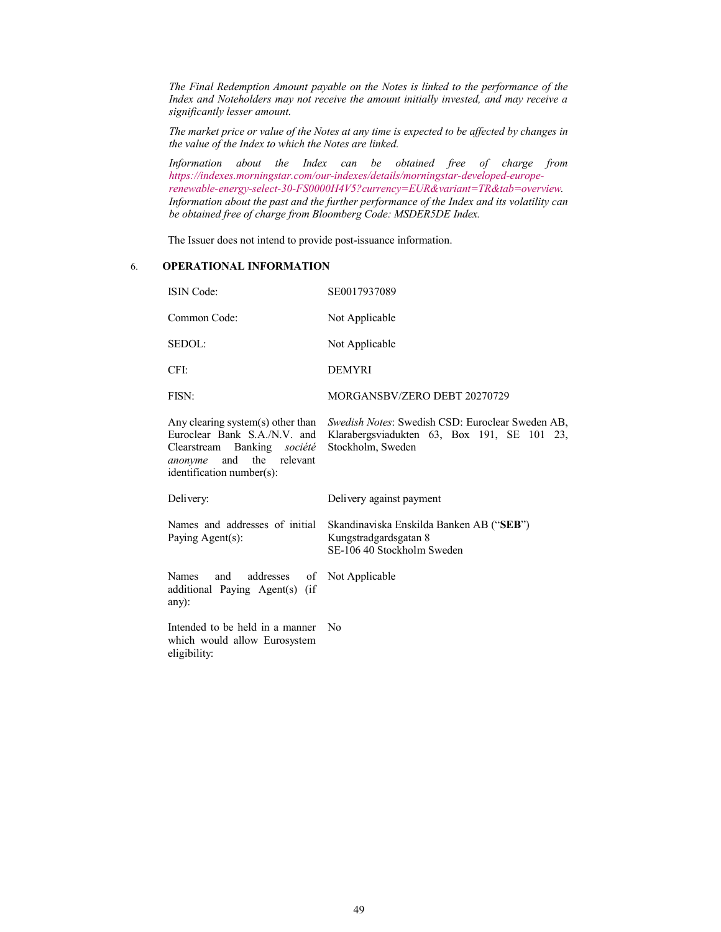*The Final Redemption Amount payable on the Notes is linked to the performance of the Index and Noteholders may not receive the amount initially invested, and may receive a significantly lesser amount*.

*[The market price or value of the Notes at any time is expected to be affected by changes](https://indexes.morningstar.com/our-indexes/details/morningstar-developed-europe-renewable-energy-select-30-FS0000H4V5?currency=EUR&variant=TR&tab=overview) in [the value of the Index to which the Notes are linked.](https://indexes.morningstar.com/our-indexes/details/morningstar-developed-europe-renewable-energy-select-30-FS0000H4V5?currency=EUR&variant=TR&tab=overview)*

*Information about the Index can be obtained free of charge from https://indexes.morningstar.com/our-indexes/details/morningstar-developed-europerenewable-energy-select-30-FS0000H4V5?currency=EUR&variant=TR&tab=overview. Information about the past and the further performance of the Index and its volatility can be obtained free of charge from Bloomberg Code: MSDER5DE Index.*

The Issuer does not intend to provide post-issuance information.

## 6. **OPERATIONAL INFORMATION**

| <b>ISIN</b> Code:                                                                                                                                               | SE0017937089                                                                                                            |  |
|-----------------------------------------------------------------------------------------------------------------------------------------------------------------|-------------------------------------------------------------------------------------------------------------------------|--|
| Common Code:                                                                                                                                                    | Not Applicable                                                                                                          |  |
| SEDOL:                                                                                                                                                          | Not Applicable                                                                                                          |  |
| CFI:                                                                                                                                                            | <b>DEMYRI</b>                                                                                                           |  |
| FISN:                                                                                                                                                           | MORGANSBV/ZERO DEBT 20270729                                                                                            |  |
| Any clearing system(s) other than<br>Euroclear Bank S.A./N.V. and<br>Clearstream Banking société<br>anonyme and<br>the<br>relevant<br>identification number(s): | Swedish Notes: Swedish CSD: Euroclear Sweden AB,<br>Klarabergsviadukten 63, Box 191, SE 101<br>23.<br>Stockholm, Sweden |  |
| Delivery:                                                                                                                                                       | Delivery against payment                                                                                                |  |
| Names and addresses of initial<br>Paying Agent(s):                                                                                                              | Skandinaviska Enskilda Banken AB ("SEB")<br>Kungstradgardsgatan 8<br>SE-106 40 Stockholm Sweden                         |  |
| addresses<br><b>Names</b><br>and<br>of<br>additional Paying Agent(s) (if<br>any):                                                                               | Not Applicable                                                                                                          |  |
| Intended to be held in a manner<br>which would allow Eurosystem<br>eligibility:                                                                                 | N <sub>0</sub>                                                                                                          |  |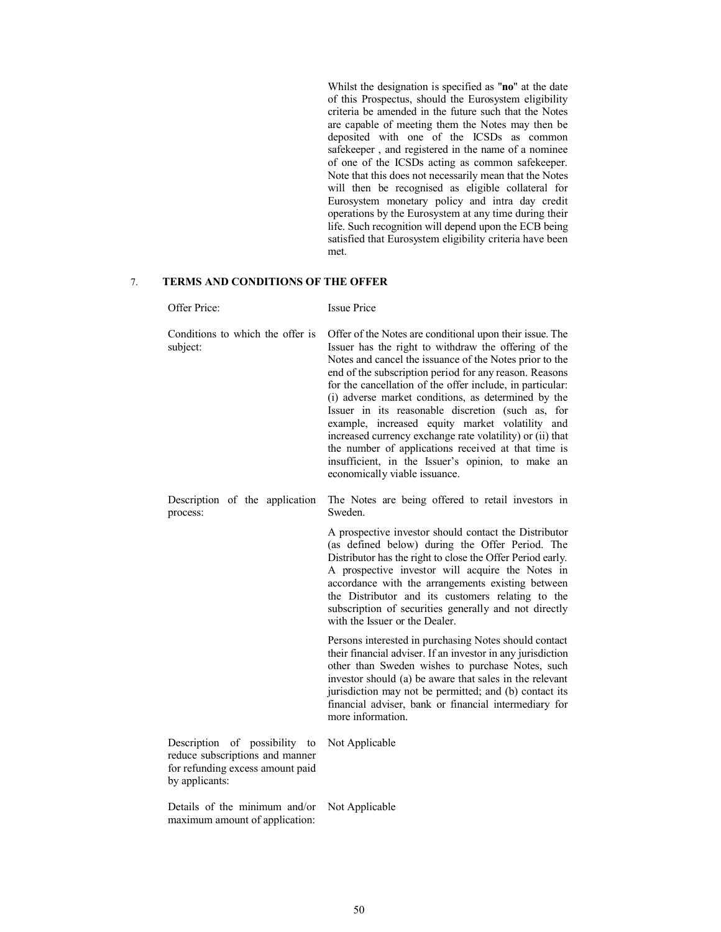Whilst the designation is specified as "**no**" at the date of this Prospectus, should the Eurosystem eligibility criteria be amended in the future such that the Notes are capable of meeting them the Notes may then be deposited with one of the ICSDs as common safekeeper , and registered in the name of a nominee of one of the ICSDs acting as common safekeeper. Note that this does not necessarily mean that the Notes will then be recognised as eligible collateral for Eurosystem monetary policy and intra day credit operations by the Eurosystem at any time during their life. Such recognition will depend upon the ECB being satisfied that Eurosystem eligibility criteria have been met.

## 7. **TERMS AND CONDITIONS OF THE OFFER**

|                                                                 | Offer Price:                                                                                                           | <b>Issue Price</b>                                                                                                                                                                                                                                                                                                                                                                                                                                                                                                                                                                                                                                                             |
|-----------------------------------------------------------------|------------------------------------------------------------------------------------------------------------------------|--------------------------------------------------------------------------------------------------------------------------------------------------------------------------------------------------------------------------------------------------------------------------------------------------------------------------------------------------------------------------------------------------------------------------------------------------------------------------------------------------------------------------------------------------------------------------------------------------------------------------------------------------------------------------------|
|                                                                 | Conditions to which the offer is<br>subject:                                                                           | Offer of the Notes are conditional upon their issue. The<br>Issuer has the right to withdraw the offering of the<br>Notes and cancel the issuance of the Notes prior to the<br>end of the subscription period for any reason. Reasons<br>for the cancellation of the offer include, in particular:<br>(i) adverse market conditions, as determined by the<br>Issuer in its reasonable discretion (such as,<br>for<br>example, increased equity market volatility and<br>increased currency exchange rate volatility) or (ii) that<br>the number of applications received at that time is<br>insufficient, in the Issuer's opinion, to make an<br>economically viable issuance. |
|                                                                 | Description of the application<br>process:                                                                             | The Notes are being offered to retail investors in<br>Sweden.                                                                                                                                                                                                                                                                                                                                                                                                                                                                                                                                                                                                                  |
|                                                                 |                                                                                                                        | A prospective investor should contact the Distributor<br>(as defined below) during the Offer Period. The<br>Distributor has the right to close the Offer Period early.<br>A prospective investor will acquire the Notes in<br>accordance with the arrangements existing between<br>the Distributor and its customers relating to the<br>subscription of securities generally and not directly<br>with the Issuer or the Dealer.                                                                                                                                                                                                                                                |
|                                                                 |                                                                                                                        | Persons interested in purchasing Notes should contact<br>their financial adviser. If an investor in any jurisdiction<br>other than Sweden wishes to purchase Notes, such<br>investor should (a) be aware that sales in the relevant<br>jurisdiction may not be permitted; and (b) contact its<br>financial adviser, bank or financial intermediary for<br>more information.                                                                                                                                                                                                                                                                                                    |
|                                                                 | Description of possibility to<br>reduce subscriptions and manner<br>for refunding excess amount paid<br>by applicants: | Not Applicable                                                                                                                                                                                                                                                                                                                                                                                                                                                                                                                                                                                                                                                                 |
| Details of the minimum and/or<br>maximum amount of application: |                                                                                                                        | Not Applicable                                                                                                                                                                                                                                                                                                                                                                                                                                                                                                                                                                                                                                                                 |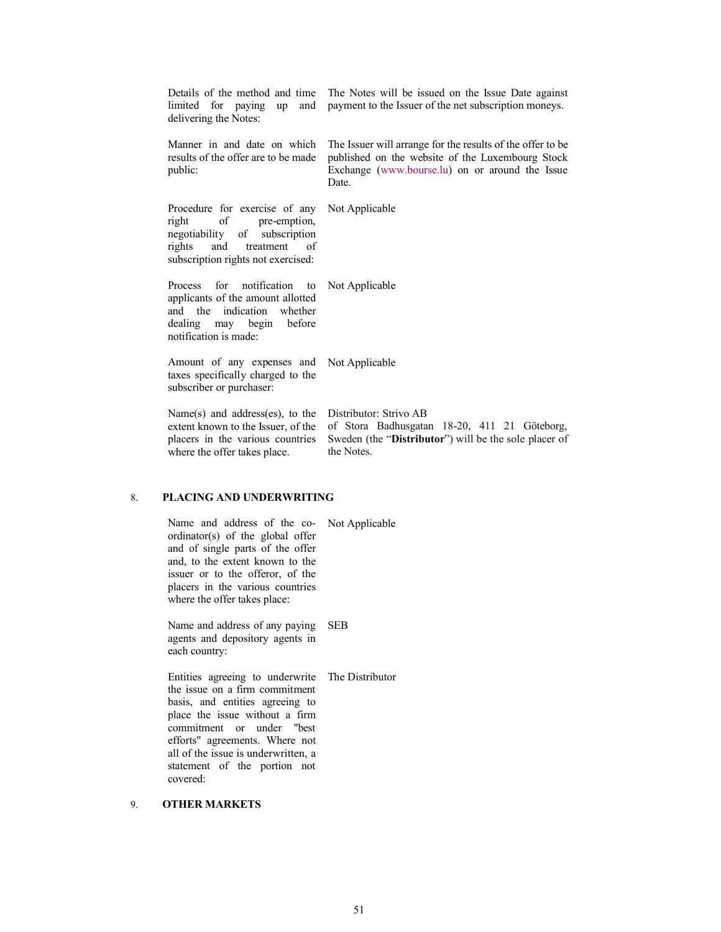| Details of the method and time<br>limited for paying<br>and<br>up<br>delivering the Notes:                                                                     | The Notes will be issued on the Issue Date against<br>payment to the Issuer of the net subscription moneys.                                                                 |
|----------------------------------------------------------------------------------------------------------------------------------------------------------------|-----------------------------------------------------------------------------------------------------------------------------------------------------------------------------|
| Manner in and date on which<br>results of the offer are to be made<br>public:                                                                                  | The Issuer will arrange for the results of the offer to be.<br>published on the website of the Luxembourg Stock<br>Exchange (www.bourse.lu) on or around the Issue<br>Date. |
| Procedure for exercise of any<br>of<br>pre-emption,<br>right<br>negotiability of subscription<br>rights and treatment of<br>subscription rights not exercised: | Not Applicable                                                                                                                                                              |
| for notification to<br><b>Process</b><br>applicants of the amount allotted<br>and the indication whether<br>dealing may begin before<br>notification is made:  | Not Applicable                                                                                                                                                              |
| Amount of any expenses and<br>taxes specifically charged to the<br>subscriber or purchaser:                                                                    | Not Applicable                                                                                                                                                              |
| Name $(s)$ and address $(es)$ , to the<br>extent known to the Issuer, of the<br>placers in the various countries<br>where the offer takes place.               | Distributor: Strivo AB<br>of Stora Badhusgatan 18-20, 411 21 Göteborg,<br>Sweden (the "Distributor") will be the sole placer of<br>the Notes.                               |

# 8. **PLACING AND UNDERWRITING**

| Name and address of the co- Not Applicable<br>ordinator(s) of the global offer<br>and of single parts of the offer<br>and, to the extent known to the<br>issuer or to the offeror, of the<br>placers in the various countries<br>where the offer takes place:                                            |            |
|----------------------------------------------------------------------------------------------------------------------------------------------------------------------------------------------------------------------------------------------------------------------------------------------------------|------------|
| Name and address of any paying<br>agents and depository agents in<br>each country:                                                                                                                                                                                                                       | <b>SEB</b> |
| Entities agreeing to underwrite The Distributor<br>the issue on a firm commitment<br>basis, and entities agreeing to<br>place the issue without a firm<br>commitment or under "best<br>efforts" agreements. Where not<br>all of the issue is underwritten, a<br>statement of the portion not<br>covered: |            |

# 9. **OTHER MARKETS**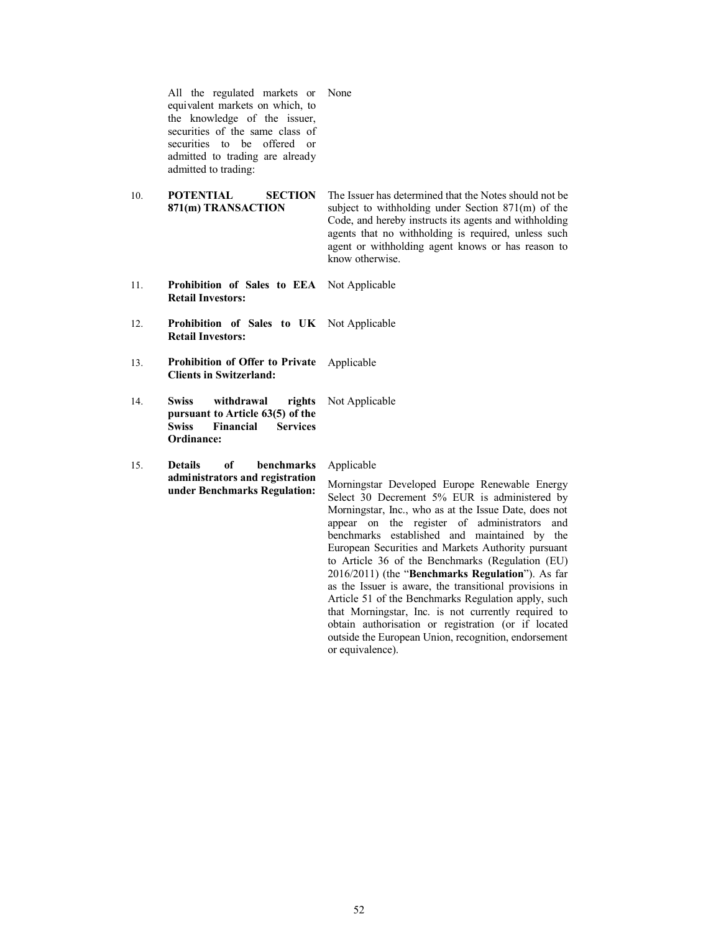All the regulated markets or None equivalent markets on which, to the knowledge of the issuer, securities of the same class of securities to be offered or admitted to trading are already admitted to trading:

10. **POTENTIAL SECTION 871(m) TRANSACTION**

The Issuer has determined that the Notes should not be subject to withholding under Section 871(m) of the Code, and hereby instructs its agents and withholding agents that no withholding is required, unless such agent or withholding agent knows or has reason to know otherwise.

- 11. **Prohibition of Sales to EEA**  Not Applicable **Retail Investors:**
- 12. **Prohibition of Sales to UK**  Not Applicable **Retail Investors:**
- 13. **Prohibition of Offer to Private Clients in Switzerland:** Applicable
- 14. **Swiss withdrawal rights pursuant to Article 63(5) of the Swiss Financial Services Ordinance:** Not Applicable
- 15. **Details of benchmarks administrators and registration under Benchmarks Regulation:**

#### Applicable

Morningstar Developed Europe Renewable Energy Select 30 Decrement 5% EUR is administered by Morningstar, Inc., who as at the Issue Date, does not appear on the register of administrators and benchmarks established and maintained by the European Securities and Markets Authority pursuant to Article 36 of the Benchmarks (Regulation (EU) 2016/2011) (the "**Benchmarks Regulation**"). As far as the Issuer is aware, the transitional provisions in Article 51 of the Benchmarks Regulation apply, such that Morningstar, Inc. is not currently required to obtain authorisation or registration (or if located outside the European Union, recognition, endorsement or equivalence).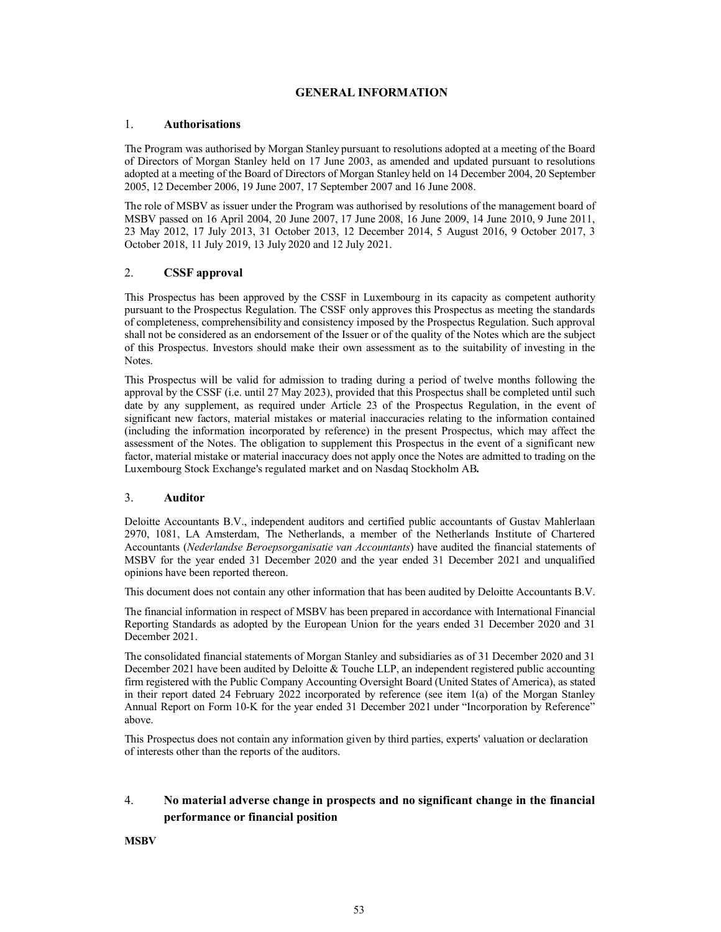## **GENERAL INFORMATION**

#### <span id="page-52-0"></span>1. **Authorisations**

The Program was authorised by Morgan Stanley pursuant to resolutions adopted at a meeting of the Board of Directors of Morgan Stanley held on 17 June 2003, as amended and updated pursuant to resolutions adopted at a meeting of the Board of Directors of Morgan Stanley held on 14 December 2004, 20 September 2005, 12 December 2006, 19 June 2007, 17 September 2007 and 16 June 2008.

The role of MSBV as issuer under the Program was authorised by resolutions of the management board of MSBV passed on 16 April 2004, 20 June 2007, 17 June 2008, 16 June 2009, 14 June 2010, 9 June 2011, 23 May 2012, 17 July 2013, 31 October 2013, 12 December 2014, 5 August 2016, 9 October 2017, 3 October 2018, 11 July 2019, 13 July 2020 and 12 July 2021.

# 2. **CSSF approval**

This Prospectus has been approved by the CSSF in Luxembourg in its capacity as competent authority pursuant to the Prospectus Regulation. The CSSF only approves this Prospectus as meeting the standards of completeness, comprehensibility and consistency imposed by the Prospectus Regulation. Such approval shall not be considered as an endorsement of the Issuer or of the quality of the Notes which are the subject of this Prospectus. Investors should make their own assessment as to the suitability of investing in the Notes.

This Prospectus will be valid for admission to trading during a period of twelve months following the approval by the CSSF (i.e. until 27 May 2023), provided that this Prospectus shall be completed until such date by any supplement, as required under Article 23 of the Prospectus Regulation, in the event of significant new factors, material mistakes or material inaccuracies relating to the information contained (including the information incorporated by reference) in the present Prospectus, which may affect the assessment of the Notes. The obligation to supplement this Prospectus in the event of a significant new factor, material mistake or material inaccuracy does not apply once the Notes are admitted to trading on the Luxembourg Stock Exchange's regulated market and on Nasdaq Stockholm AB*.*

#### 3. **Auditor**

Deloitte Accountants B.V., independent auditors and certified public accountants of Gustav Mahlerlaan 2970, 1081, LA Amsterdam, The Netherlands, a member of the Netherlands Institute of Chartered Accountants (*Nederlandse Beroepsorganisatie van Accountants*) have audited the financial statements of MSBV for the year ended 31 December 2020 and the year ended 31 December 2021 and unqualified opinions have been reported thereon.

This document does not contain any other information that has been audited by Deloitte Accountants B.V.

The financial information in respect of MSBV has been prepared in accordance with International Financial Reporting Standards as adopted by the European Union for the years ended 31 December 2020 and 31 December 2021.

The consolidated financial statements of Morgan Stanley and subsidiaries as of 31 December 2020 and 31 December 2021 have been audited by Deloitte & Touche LLP, an independent registered public accounting firm registered with the Public Company Accounting Oversight Board (United States of America), as stated in their report dated 24 February 2022 incorporated by reference (see item 1(a) of the Morgan Stanley Annual Report on Form 10-K for the year ended 31 December 2021 under "Incorporation by Reference" above.

This Prospectus does not contain any information given by third parties, experts' valuation or declaration of interests other than the reports of the auditors.

# 4. **No material adverse change in prospects and no significant change in the financial performance or financial position**

**MSBV**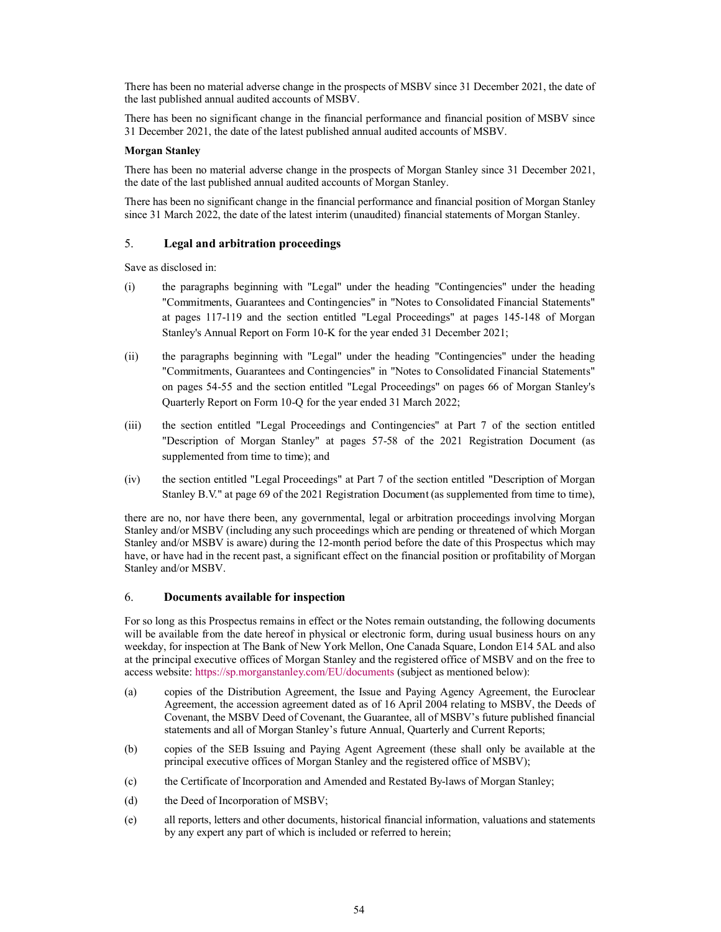There has been no material adverse change in the prospects of MSBV since 31 December 2021, the date of the last published annual audited accounts of MSBV.

There has been no significant change in the financial performance and financial position of MSBV since 31 December 2021, the date of the latest published annual audited accounts of MSBV.

#### **Morgan Stanley**

There has been no material adverse change in the prospects of Morgan Stanley since 31 December 2021, the date of the last published annual audited accounts of Morgan Stanley.

There has been no significant change in the financial performance and financial position of Morgan Stanley since 31 March 2022, the date of the latest interim (unaudited) financial statements of Morgan Stanley.

#### 5. **Legal and arbitration proceedings**

Save as disclosed in:

- (i) the paragraphs beginning with "Legal" under the heading "Contingencies" under the heading "Commitments, Guarantees and Contingencies" in "Notes to Consolidated Financial Statements" at pages 117-119 and the section entitled "Legal Proceedings" at pages 145-148 of Morgan Stanley's Annual Report on Form 10-K for the year ended 31 December 2021;
- (ii) the paragraphs beginning with "Legal" under the heading "Contingencies" under the heading "Commitments, Guarantees and Contingencies" in "Notes to Consolidated Financial Statements" on pages 54-55 and the section entitled "Legal Proceedings" on pages 66 of Morgan Stanley's Quarterly Report on Form 10-Q for the year ended 31 March 2022;
- (iii) the section entitled "Legal Proceedings and Contingencies" at Part 7 of the section entitled "Description of Morgan Stanley" at pages 57-58 of the 2021 Registration Document (as supplemented from time to time); and
- (iv) the section entitled "Legal Proceedings" at Part 7 of the section entitled "Description of Morgan Stanley B.V." at page 69 of the 2021 Registration Document (as supplemented from time to time),

there are no, nor have there been, any governmental, legal or arbitration proceedings involving Morgan Stanley and/or MSBV (including any such proceedings which are pending or threatened of which Morgan Stanley and/or MSBV is aware) during the 12-month period before the date of this Prospectus which may have, or have had in the recent past, a significant effect on the financial position or profitability of Morgan Stanley and/or MSBV.

#### 6. **Documents available for inspection**

For so long as this Prospectus remains in effect or the Notes remain outstanding, the following documents will be available from the date hereof in physical or electronic form, during usual business hours on any weekday, for inspection at The Bank of New York Mellon, One Canada Square, London E14 5AL and also at the prin[cipal executive offices of Morgan Stanley and the](https://sp.morganstanley.com/EU/documents) registered office of MSBV and on the free to access website: https://sp.morganstanley.com/EU/documents (subject as mentioned below):

- (a) copies of the Distribution Agreement, the Issue and Paying Agency Agreement, the Euroclear Agreement, the accession agreement dated as of 16 April 2004 relating to MSBV, the Deeds of Covenant, the MSBV Deed of Covenant, the Guarantee, all of MSBV's future published financial statements and all of Morgan Stanley's future Annual, Quarterly and Current Reports;
- (b) copies of the SEB Issuing and Paying Agent Agreement (these shall only be available at the principal executive offices of Morgan Stanley and the registered office of MSBV);
- (c) the Certificate of Incorporation and Amended and Restated By-laws of Morgan Stanley;
- (d) the Deed of Incorporation of MSBV;
- (e) all reports, letters and other documents, historical financial information, valuations and statements by any expert any part of which is included or referred to herein;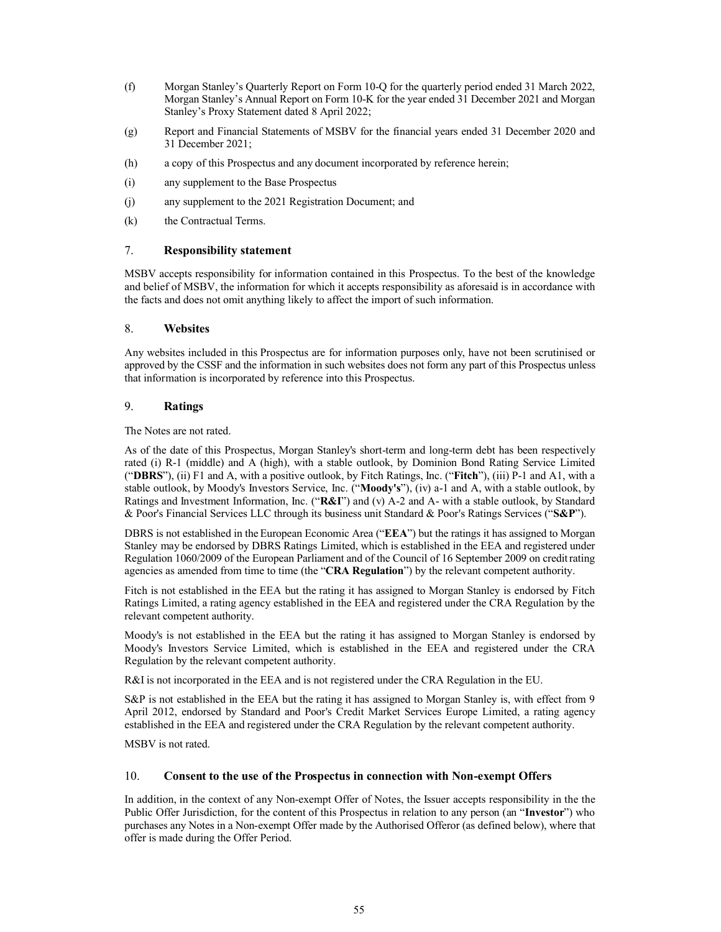- (f) Morgan Stanley's Quarterly Report on Form 10-Q for the quarterly period ended 31 March 2022, Morgan Stanley's Annual Report on Form 10-K for the year ended 31 December 2021 and Morgan Stanley's Proxy Statement dated 8 April 2022;
- (g) Report and Financial Statements of MSBV for the financial years ended 31 December 2020 and 31 December 2021;
- (h) a copy of this Prospectus and any document incorporated by reference herein;
- (i) any supplement to the Base Prospectus
- (j) any supplement to the 2021 Registration Document; and
- (k) the Contractual Terms.

# 7. **Responsibility statement**

MSBV accepts responsibility for information contained in this Prospectus. To the best of the knowledge and belief of MSBV, the information for which it accepts responsibility as aforesaid is in accordance with the facts and does not omit anything likely to affect the import of such information.

# 8. **Websites**

Any websites included in this Prospectus are for information purposes only, have not been scrutinised or approved by the CSSF and the information in such websites does not form any part of this Prospectus unless that information is incorporated by reference into this Prospectus.

# 9. **Ratings**

The Notes are not rated.

As of the date of this Prospectus, Morgan Stanley's short-term and long-term debt has been respectively rated (i) R-1 (middle) and A (high), with a stable outlook, by Dominion Bond Rating Service Limited ("**DBRS**"), (ii) F1 and A, with a positive outlook, by Fitch Ratings, Inc. ("**Fitch**"), (iii) P-1 and A1, with a stable outlook, by Moody's Investors Service, Inc. ("**Moody's**"), (iv) a-1 and A, with a stable outlook, by Ratings and Investment Information, Inc. ("**R&I**") and (v) A-2 and A- with a stable outlook, by Standard & Poor's Financial Services LLC through its business unit Standard & Poor's Ratings Services ("**S&P**").

DBRS is not established in the European Economic Area ("**EEA**") but the ratings it has assigned to Morgan Stanley may be endorsed by DBRS Ratings Limited, which is established in the EEA and registered under Regulation 1060/2009 of the European Parliament and of the Council of 16 September 2009 on credit rating agencies as amended from time to time (the "**CRA Regulation**") by the relevant competent authority.

Fitch is not established in the EEA but the rating it has assigned to Morgan Stanley is endorsed by Fitch Ratings Limited, a rating agency established in the EEA and registered under the CRA Regulation by the relevant competent authority.

Moody's is not established in the EEA but the rating it has assigned to Morgan Stanley is endorsed by Moody's Investors Service Limited, which is established in the EEA and registered under the CRA Regulation by the relevant competent authority.

R&I is not incorporated in the EEA and is not registered under the CRA Regulation in the EU.

S&P is not established in the EEA but the rating it has assigned to Morgan Stanley is, with effect from 9 April 2012, endorsed by Standard and Poor's Credit Market Services Europe Limited, a rating agency established in the EEA and registered under the CRA Regulation by the relevant competent authority.

MSBV is not rated.

# 10. **Consent to the use of the Prospectus in connection with Non-exempt Offers**

In addition, in the context of any Non-exempt Offer of Notes, the Issuer accepts responsibility in the the Public Offer Jurisdiction, for the content of this Prospectus in relation to any person (an "**Investor**") who purchases any Notes in a Non-exempt Offer made by the Authorised Offeror (as defined below), where that offer is made during the Offer Period.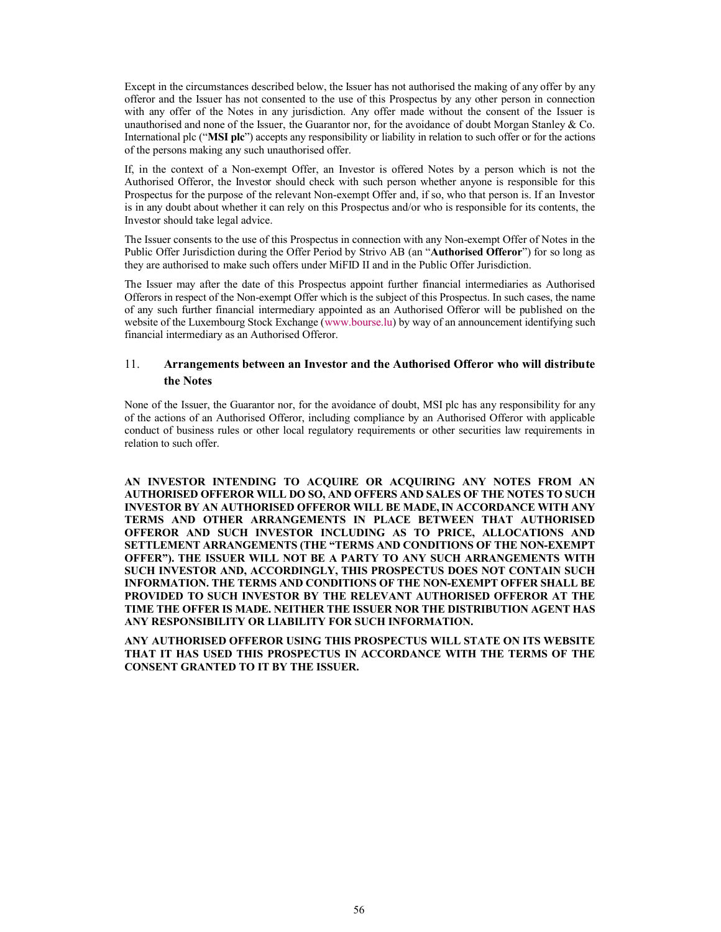Except in the circumstances described below, the Issuer has not authorised the making of any offer by any offeror and the Issuer has not consented to the use of this Prospectus by any other person in connection with any offer of the Notes in any jurisdiction. Any offer made without the consent of the Issuer is unauthorised and none of the Issuer, the Guarantor nor, for the avoidance of doubt Morgan Stanley & Co. International plc ("**MSI plc**") accepts any responsibility or liability in relation to such offer or for the actions of the persons making any such unauthorised offer.

If, in the context of a Non-exempt Offer, an Investor is offered Notes by a person which is not the Authorised Offeror, the Investor should check with such person whether anyone is responsible for this Prospectus for the purpose of the relevant Non-exempt Offer and, if so, who that person is. If an Investor is in any doubt about whether it can rely on this Prospectus and/or who is responsible for its contents, the Investor should take legal advice.

The Issuer consents to the use of this Prospectus in connection with any Non-exempt Offer of Notes in the Public Offer Jurisdiction during the Offer Period by Strivo AB (an "**Authorised Offeror**") for so long as they are authorised to make such offers under MiFID II and in the Public Offer Jurisdiction.

The Issuer may after the date of this Pr[ospectus appoint](http://www.bourse.lu/) further financial intermediaries as Authorised Offerors in respect of the Non-exempt Offer which is the subject of this Prospectus. In such cases, the name of any such further financial intermediary appointed as an Authorised Offeror will be published on the website of the Luxembourg Stock Exchange (www.bourse.lu) by way of an announcement identifying such financial intermediary as an Authorised Offeror.

# 11. **Arrangements between an Investor and the Authorised Offeror who will distribute the Notes**

None of the Issuer, the Guarantor nor, for the avoidance of doubt, MSI plc has any responsibility for any of the actions of an Authorised Offeror, including compliance by an Authorised Offeror with applicable conduct of business rules or other local regulatory requirements or other securities law requirements in relation to such offer.

**AN INVESTOR INTENDING TO ACQUIRE OR ACQUIRING ANY NOTES FROM AN AUTHORISED OFFEROR WILL DO SO, AND OFFERS AND SALES OF THE NOTES TO SUCH INVESTOR BY AN AUTHORISED OFFEROR WILL BE MADE, IN ACCORDANCE WITH ANY TERMS AND OTHER ARRANGEMENTS IN PLACE BETWEEN THAT AUTHORISED OFFEROR AND SUCH INVESTOR INCLUDING AS TO PRICE, ALLOCATIONS AND SETTLEMENT ARRANGEMENTS (THE "TERMS AND CONDITIONS OF THE NON-EXEMPT OFFER"). THE ISSUER WILL NOT BE A PARTY TO ANY SUCH ARRANGEMENTS WITH SUCH INVESTOR AND, ACCORDINGLY, THIS PROSPECTUS DOES NOT CONTAIN SUCH INFORMATION. THE TERMS AND CONDITIONS OF THE NON-EXEMPT OFFER SHALL BE PROVIDED TO SUCH INVESTOR BY THE RELEVANT AUTHORISED OFFEROR AT THE TIME THE OFFER IS MADE. NEITHER THE ISSUER NOR THE DISTRIBUTION AGENT HAS ANY RESPONSIBILITY OR LIABILITY FOR SUCH INFORMATION.**

**ANY AUTHORISED OFFEROR USING THIS PROSPECTUS WILL STATE ON ITS WEBSITE THAT IT HAS USED THIS PROSPECTUS IN ACCORDANCE WITH THE TERMS OF THE CONSENT GRANTED TO IT BY THE ISSUER.**